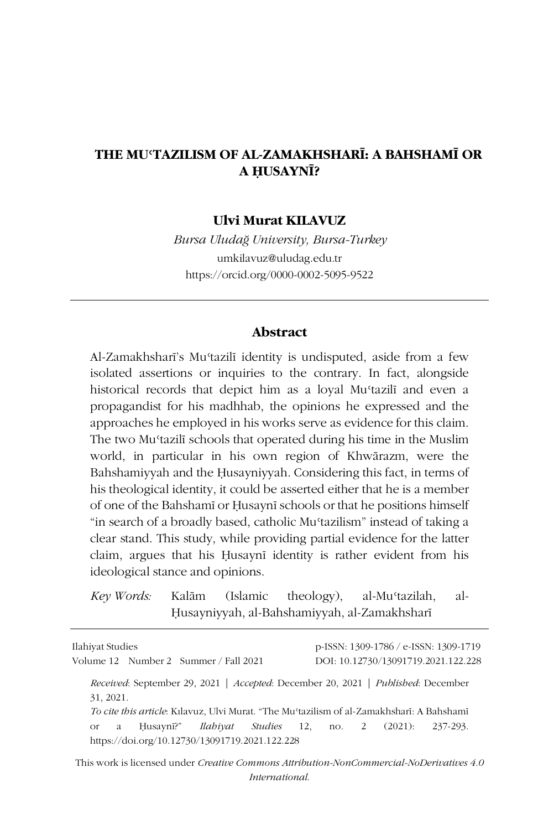### **THE MUʿTAZILISM OF AL-ZAMAKHSHARĪ: A BAHSHAMĪ OR A ḤUSAYNĪ?**

#### **Ulvi Murat KILAVUZ**

*Bursa Uludağ University, Bursa-Turkey* umkilavuz@uludag.edu.tr https://orcid.org/0000-0002-5095-9522

#### **Abstract**

Al-Zamakhsharī's Muʿtazilī identity is undisputed, aside from a few isolated assertions or inquiries to the contrary. In fact, alongside historical records that depict him as a loyal Mustazili and even a propagandist for his madhhab, the opinions he expressed and the approaches he employed in his works serve as evidence for this claim. The two Muʿtazilī schools that operated during his time in the Muslim world, in particular in his own region of Khwārazm, were the Bahshamiyyah and the Ḥusayniyyah. Considering this fact, in terms of his theological identity, it could be asserted either that he is a member of one of the Bahshamī or Ḥusaynī schools or that he positions himself "in search of a broadly based, catholic Muʿtazilism" instead of taking a clear stand. This study, while providing partial evidence for the latter claim, argues that his Ḥusaynī identity is rather evident from his ideological stance and opinions.

*Key Words:* Kalām (Islamic theology), al-Muʿtazilah, al-Ḥusayniyyah, al-Bahshamiyyah, al-Zamakhsharī

| Ilahiyat Studies                                                                              | p-ISSN: 1309-1786 / e-ISSN: 1309-1719                        |
|-----------------------------------------------------------------------------------------------|--------------------------------------------------------------|
| Volume 12 Number 2 Summer / Fall 2021                                                         | DOI: 10.12730/13091719.2021.122.228                          |
| Received: September 29, 2021   Accepted: December 20, 2021   Published: December<br>31, 2021. |                                                              |
| To cite this article: Kılavuz, Ulvi Murat. "The Mu'tazilism of al-Zamakhsharī: A Bahshamī     |                                                              |
| a -<br>$\overline{\text{or}}$<br>https://doi.org/10.12730/13091719.2021.122.228               | Husaynī?" <i>Ilabiyat Studies</i> 12, no. 2 (2021): 237-293. |

This work is licensed under *Creative Commons Attribution-NonCommercial-NoDerivatives 4.0 International*.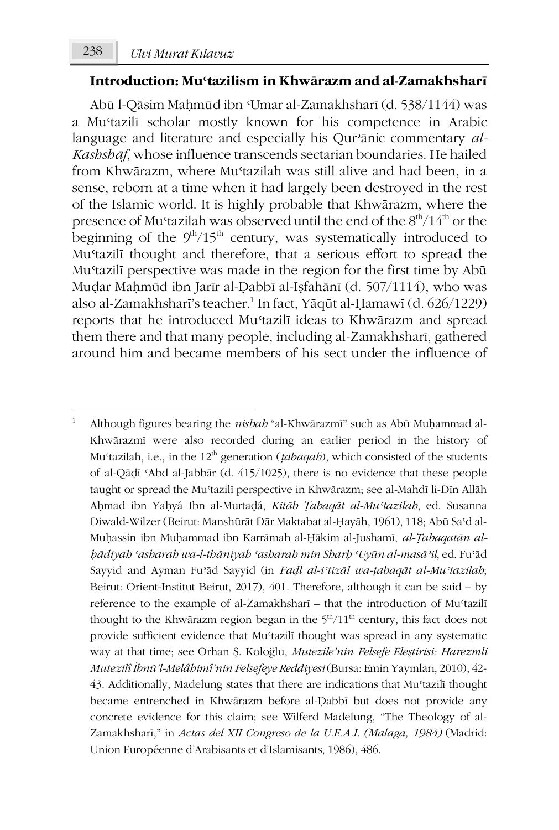#### **Introduction: Muʿtazilism in Khwārazm and al-Zamakhsharī**

Abū l-Qāsim Maḥmūd ibn ʿUmar al-Zamakhsharī (d. 538/1144) was a Muʿtazilī scholar mostly known for his competence in Arabic language and literature and especially his Qurʾānic commentary *al-Kashshāf*, whose influence transcends sectarian boundaries. He hailed from Khwārazm, where Muʿtazilah was still alive and had been, in a sense, reborn at a time when it had largely been destroyed in the rest of the Islamic world. It is highly probable that Khwārazm, where the presence of Mu'tazilah was observed until the end of the  $8<sup>th</sup>/14<sup>th</sup>$  or the beginning of the  $9<sup>th</sup>/15<sup>th</sup>$  century, was systematically introduced to Muʿtazilī thought and therefore, that a serious effort to spread the Muʿtazilī perspective was made in the region for the first time by Abū Muḍar Maḥmūd ibn Jarīr al-Ḍabbī al-Iṣfahānī (d. 507/1114), who was also al-Zamakhsharī's teacher.<sup>1</sup> In fact, Yāqūt al-Ḥamawī (d. 626/1229) reports that he introduced Muʿtazilī ideas to Khwārazm and spread them there and that many people, including al-Zamakhsharī, gathered around him and became members of his sect under the influence of

<sup>-</sup><sup>1</sup> Although figures bearing the *nisbah* "al-Khwārazmī" such as Abū Muḥammad al-Khwārazmī were also recorded during an earlier period in the history of Mu'tazilah, i.e., in the 12<sup>th</sup> generation (*tabaqah*), which consisted of the students of al-Qāḍī ʿAbd al-Jabbār (d. 415/1025), there is no evidence that these people taught or spread the Muʿtazilī perspective in Khwārazm; see al-Mahdī li-Dīn Allāh Aḥmad ibn Yaḥyá Ibn al-Murtaḍá, *Kitāb Ṭabaqāt al-Muʿtazilah*, ed. Susanna Diwald-Wilzer (Beirut: Manshūrāt Dār Maktabat al-Ḥayāh, 1961), 118; Abū Saʿd al-Muḥassin ibn Muḥammad ibn Karrāmah al-Ḥākim al-Jushamī, *al-Ṭabaqatān alḥādiyah ʿasharah wa-l-thāniyah ʿasharah min Sharḥ ʿUyūn al-masāʾil*, ed. Fuʾād Sayyid and Ayman Fuʾād Sayyid (in *Faḍl al-iʿtizāl wa-ṭabaqāt al-Muʿtazilah*; Beirut: Orient-Institut Beirut, 2017), 401. Therefore, although it can be said – by reference to the example of al-Zamakhsharī – that the introduction of Mu'tazilī thought to the Khwārazm region began in the  $5<sup>th</sup>/11<sup>th</sup>$  century, this fact does not provide sufficient evidence that Muʿtazilī thought was spread in any systematic way at that time; see Orhan Ş. Koloğlu, *Mutezile'nin Felsefe Eleştirisi: Harezmli Mutezilî İbnü'l-Melâhimî'nin Felsefeye Reddiyesi*(Bursa: Emin Yayınları, 2010), 42- 43. Additionally, Madelung states that there are indications that Muʿtazilī thought became entrenched in Khwārazm before al-Ḍabbī but does not provide any concrete evidence for this claim; see Wilferd Madelung, "The Theology of al-Zamakhsharī," in *Actas del XII Congreso de la U.E.A.I. (Malaga, 1984)* (Madrid: Union Européenne d'Arabisants et d'Islamisants, 1986), 486.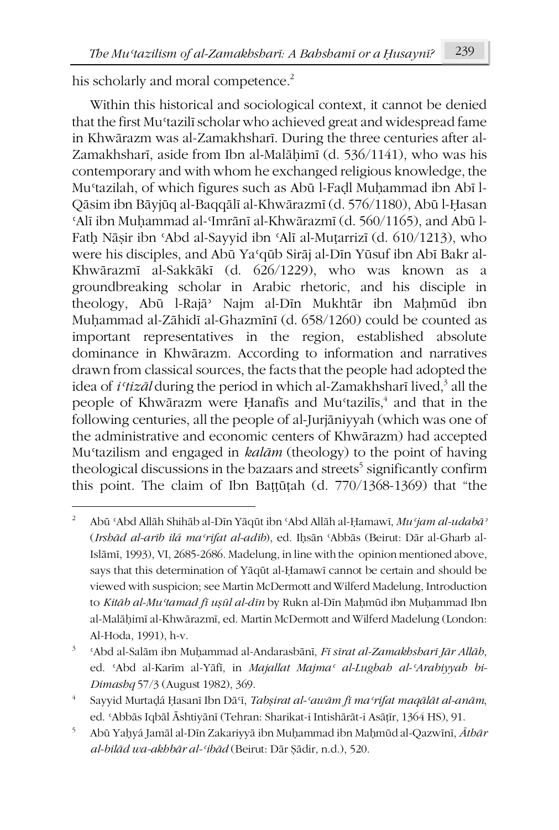his scholarly and moral competence.<sup>2</sup>

**.** 

Within this historical and sociological context, it cannot be denied that the first Muʿtazilī scholar who achieved great and widespread fame in Khwārazm was al-Zamakhsharī. During the three centuries after al-Zamakhsharī, aside from Ibn al-Malāḥimī (d. 536/1141), who was his contemporary and with whom he exchanged religious knowledge, the Muʿtazilah, of which figures such as Abū l-Faḍl Muḥammad ibn Abī l-Qāsim ibn Bāyjūq al-Baqqālī al-Khwārazmī (d. 576/1180), Abū l-Ḥasan ʿAlī ibn Muḥammad al-ʿImrānī al-Khwārazmī (d. 560/1165), and Abū l-Fatḥ Nāṣir ibn ʿAbd al-Sayyid ibn ʿAlī al-Muṭarrizī (d. 610/1213), who were his disciples, and Abū Yaʿqūb Sirāj al-Dīn Yūsuf ibn Abī Bakr al-Khwārazmī al-Sakkākī (d. 626/1229), who was known as a groundbreaking scholar in Arabic rhetoric, and his disciple in theology, Abū l-Rajāʾ Najm al-Dīn Mukhtār ibn Maḥmūd ibn Muḥammad al-Zāhidī al-Ghazmīnī (d. 658/1260) could be counted as important representatives in the region, established absolute dominance in Khwārazm. According to information and narratives drawn from classical sources, the facts that the people had adopted the idea of *i*<sup>*t*</sup>*tizāl* during the period in which al-Zamakhsharī lived.<sup>3</sup> all the people of Khwārazm were Hanafīs and Mu $\alpha$ tazilīs,<sup>4</sup> and that in the following centuries, all the people of al-Jurjāniyyah (which was one of the administrative and economic centers of Khwārazm) had accepted Muʿtazilism and engaged in *kalām* (theology) to the point of having theological discussions in the bazaars and streets<sup>5</sup> significantly confirm this point. The claim of Ibn Baṭṭūṭah (d. 770/1368-1369) that "the

<sup>2</sup> Abū ʿAbd Allāh Shihāb al-Dīn Yāqūt ibn ʿAbd Allāh al-Ḥamawī, *Muʿjam al-udabāʾ* (*Irshād al-arīb ilá maʿrifat al-adīb*), ed. Iḥsān ʿAbbās (Beirut: Dār al-Gharb al-Islāmī, 1993), VI, 2685-2686. Madelung, in line with the opinion mentioned above, says that this determination of Yāqūt al-Ḥamawī cannot be certain and should be viewed with suspicion; see Martin McDermott and Wilferd Madelung, Introduction to *Kitāb al-Muʿtamad fī uṣūl al-dīn* by Rukn al-Dīn Maḥmūd ibn Muḥammad Ibn al-Malāḥimī al-Khwārazmī, ed. Martin McDermott and Wilferd Madelung (London: Al-Hoda, 1991), h-v.

<sup>3</sup> ʿAbd al-Salām ibn Muḥammad al-Andarasbānī, *Fī sīrat al-Zamakhsharī Jār Allāh*, ed. ʿAbd al-Karīm al-Yāfī, in *Majallat Majmaʿ al-Lughah al-ʿArabiyyah bi-Dimashq* 57/3 (August 1982), 369.

<sup>4</sup> Sayyid Murtaḍá Ḥasanī Ibn Dāʿī, *Tabṣirat al-ʿawām fī maʿrifat maqālāt al-anām*, ed. ʿAbbās Iqbāl Āshtiyānī (Tehran: Sharikat-i Intishārāt-i Asāṭīr, 1364 HS), 91.

<sup>5</sup> Abū Yaḥyá Jamāl al-Dīn Zakariyyā ibn Muḥammad ibn Maḥmūd al-Qazwīnī, *Āthār al-bilād wa-akhbār al-ʿibād* (Beirut: Dār Ṣādir, n.d.), 520.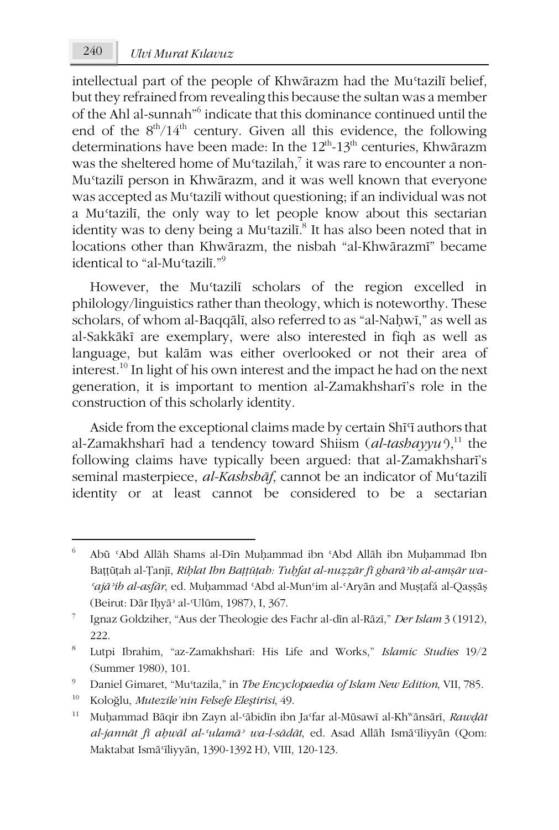intellectual part of the people of Khwārazm had the Mu'tazilī belief, but they refrained from revealing this because the sultan was a member of the Ahl al-sunnah"6 indicate that this dominance continued until the end of the  $8<sup>th</sup>/14<sup>th</sup>$  century. Given all this evidence, the following determinations have been made: In the  $12<sup>th</sup>$ -13<sup>th</sup> centuries, Khwārazm was the sheltered home of Mu'tazilah,<sup>7</sup> it was rare to encounter a non-Muʿtazilī person in Khwārazm, and it was well known that everyone was accepted as Muʿtazilī without questioning; if an individual was not a Muʿtazilī, the only way to let people know about this sectarian identity was to deny being a Mu<sup>c</sup>tazilī.<sup>8</sup> It has also been noted that in locations other than Khwārazm, the nisbah "al-Khwārazmī" became identical to "al-Mustazilī<sup>"9</sup>

However, the Muʿtazilī scholars of the region excelled in philology/linguistics rather than theology, which is noteworthy. These scholars, of whom al-Baqqālī, also referred to as "al-Naḥwī," as well as al-Sakkākī are exemplary, were also interested in fiqh as well as language, but kalām was either overlooked or not their area of interest.10 In light of his own interest and the impact he had on the next generation, it is important to mention al-Zamakhsharī's role in the construction of this scholarly identity.

Aside from the exceptional claims made by certain Shī<sup>q</sup> authors that al-Zamakhsharī had a tendency toward Shiism (al-tashayyu<sup>2</sup>),<sup>11</sup> the following claims have typically been argued: that al-Zamakhsharī's seminal masterpiece, *al-Kashshāf*, cannot be an indicator of Mu'tazilī identity or at least cannot be considered to be a sectarian

<sup>6</sup> Abū ʿAbd Allāh Shams al-Dīn Muḥammad ibn ʿAbd Allāh ibn Muḥammad Ibn Baṭṭūṭah al-Ṭanjī, *Riḥlat Ibn Baṭṭūṭah: Tuḥfat al-nuẓẓār fī gharāʾib al-amṣār wa-ʿajāʾib al-asfār*, ed. Muḥammad ʿAbd al-Munʿim al-ʿAryān and Muṣṭafá al-Qaṣṣāṣ (Beirut: Dār Iḥyāʾ al-ʿUlūm, 1987), I, 367.

<sup>7</sup> Ignaz Goldziher, "Aus der Theologie des Fachr al-dīn al-Rāzī," *Der Islam* 3 (1912), 222.

<sup>8</sup> Lutpi Ibrahim, "az-Zamakhsharī: His Life and Works," *Islamic Studies* 19/2 (Summer 1980), 101.

<sup>9</sup> Daniel Gimaret, "Muʿtazila," in *The Encyclopaedia of Islam New Edition*, VII, 785.

<sup>10</sup> Koloğlu, *Mutezile'nin Felsefe Eleştirisi*, 49.

<sup>11</sup> Muḥammad Bāqir ibn Zayn al-ʿābidīn ibn Jaʿfar al-Mūsawī al-Khwānsārī, *Rawḍāt al-jannāt fī aḥwāl al-ʿulamāʾ wa-l-sādāt*, ed. Asad Allāh Ismāʿīliyyān (Qom: Maktabat Ismāʿīliyyān, 1390-1392 H), VIII, 120-123.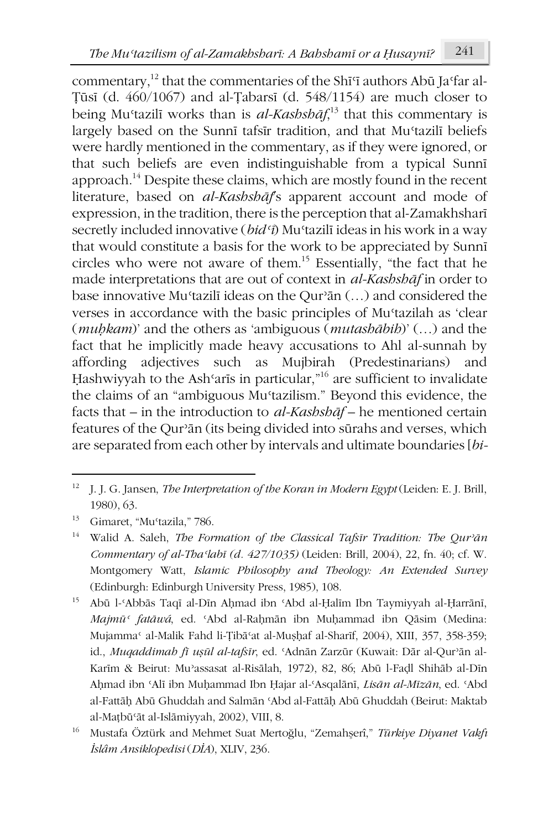commentary,<sup>12</sup> that the commentaries of the Shī<sup>q</sup> authors Abū Ja<sup>q</sup>far al-Ṭūsī (d. 460/1067) and al-Ṭabarsī (d. 548/1154) are much closer to being Muʿtazilī works than is *al-Kashshāf*, <sup>13</sup> that this commentary is largely based on the Sunnī tafsīr tradition, and that Mu'tazilī beliefs were hardly mentioned in the commentary, as if they were ignored, or that such beliefs are even indistinguishable from a typical Sunnī approach.14 Despite these claims, which are mostly found in the recent literature, based on *al-Kashshāf*'s apparent account and mode of expression, in the tradition, there is the perception that al-Zamakhsharī secretly included innovative (*bidʿī*) Muʿtazilī ideas in his work in a way that would constitute a basis for the work to be appreciated by Sunnī circles who were not aware of them.15 Essentially, "the fact that he made interpretations that are out of context in *al-Kashshāf* in order to base innovative Muʿtazilī ideas on the Qurʾān (…) and considered the verses in accordance with the basic principles of Muʿtazilah as 'clear (*muḥkam*)' and the others as 'ambiguous (*mutashābih*)' (…) and the fact that he implicitly made heavy accusations to Ahl al-sunnah by affording adjectives such as Mujbirah (Predestinarians) and Hashwiyyah to the Ash'arīs in particular,"<sup>16</sup> are sufficient to invalidate the claims of an "ambiguous Muʿtazilism." Beyond this evidence, the facts that – in the introduction to *al-Kashshāf* – he mentioned certain features of the Qurʾān (its being divided into sūrahs and verses, which are separated from each other by intervals and ultimate boundaries [*bi-*

**.** 

<sup>12</sup> J. J. G. Jansen, *The Interpretation of the Koran in Modern Egypt* (Leiden: E. J. Brill, 1980), 63.

<sup>13</sup> Gimaret, "Muʿtazila," 786.

<sup>14</sup> Walid A. Saleh, *The Formation of the Classical Tafsīr Tradition: The Qurʾān Commentary of al-Thaʿlabī (d. 427/1035)* (Leiden: Brill, 2004), 22, fn. 40; cf. W. Montgomery Watt, *Islamic Philosophy and Theology: An Extended Survey* (Edinburgh: Edinburgh University Press, 1985), 108.

<sup>15</sup> Abū l-ʿAbbās Taqī al-Dīn Aḥmad ibn ʿAbd al-Ḥalīm Ibn Taymiyyah al-Ḥarrānī, *Majmūʿ fatāwá*, ed. ʿAbd al-Raḥmān ibn Muḥammad ibn Qāsim (Medina: Mujammaʿ al-Malik Fahd li-Ṭibāʿat al-Muṣḥaf al-Sharīf, 2004), XIII, 357, 358-359; id., *Muqaddimah fī uṣūl al-tafsīr*, ed. ʿAdnān Zarzūr (Kuwait: Dār al-Qurʾān al-Karīm & Beirut: Muʾassasat al-Risālah, 1972), 82, 86; Abū l-Faḍl Shihāb al-Dīn Aḥmad ibn ʿAlī ibn Muḥammad Ibn Ḥajar al-ʿAsqalānī, *Lisān al-Mīzān*, ed. ʿAbd al-Fattāḥ Abū Ghuddah and Salmān ʿAbd al-Fattāḥ Abū Ghuddah (Beirut: Maktab al-Maṭbūʿāt al-Islāmiyyah, 2002), VIII, 8.

<sup>16</sup> Mustafa Öztürk and Mehmet Suat Mertoğlu, "Zemahşerî," *Türkiye Diyanet Vakfı İslâm Ansiklopedisi* (*DİA*), XLIV, 236.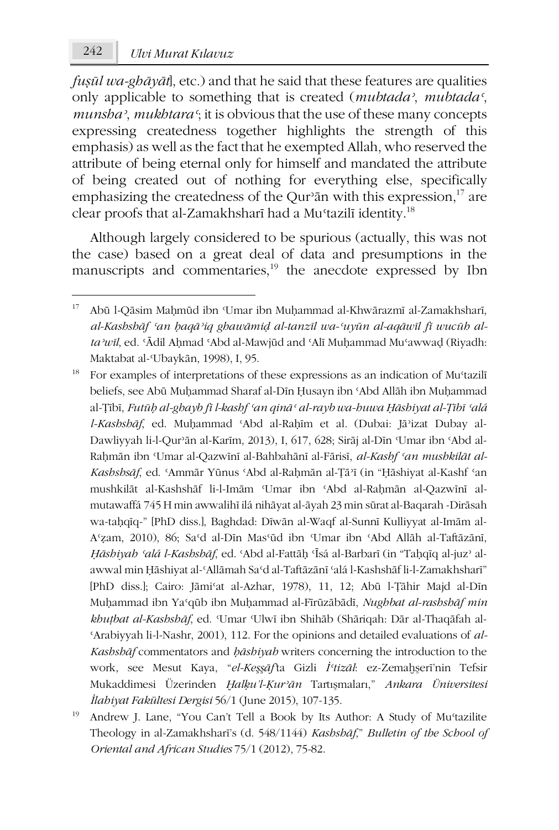242 *Ulvi Murat Kılavuz*

-

*fuṣūl wa-ghāyāt*], etc.) and that he said that these features are qualities only applicable to something that is created (*mubtadaʾ*, *mubtadaʿ*, *munshaʾ*, *mukhtaraʿ*; it is obvious that the use of these many concepts expressing createdness together highlights the strength of this emphasis) as well as the fact that he exempted Allah, who reserved the attribute of being eternal only for himself and mandated the attribute of being created out of nothing for everything else, specifically emphasizing the createdness of the Qur'an with this expression, $^{17}$  are clear proofs that al-Zamakhsharī had a Mu'tazilī identity.<sup>18</sup>

Although largely considered to be spurious (actually, this was not the case) based on a great deal of data and presumptions in the manuscripts and commentaries,<sup>19</sup> the anecdote expressed by Ibn

<sup>&</sup>lt;sup>17</sup> Abū l-Qāsim Maḥmūd ibn 'Umar ibn Muḥammad al-Khwārazmī al-Zamakhsharī, al-Kashshāf 'an baqā'iq ghawāmid al-tanzīl wa-'uyūn al-aqāwīl fī wucūh al*taʾwīl*, ed. ʿĀdil Aḥmad ʿAbd al-Mawjūd and ʿAlī Muḥammad Muʿawwaḍ (Riyadh: Maktabat al-ʿUbaykān, 1998), I, 95.

<sup>&</sup>lt;sup>18</sup> For examples of interpretations of these expressions as an indication of Mu<sup>c</sup>tazilī beliefs, see Abū Muḥammad Sharaf al-Dīn Ḥusayn ibn ʿAbd Allāh ibn Muḥammad al-Ṭībī, *Futūḥ al-ghayb fī l-kashf ʿan qināʿ al-rayb wa-huwa Ḥāshiyat al-Ṭībī ʿalá l-Kashshāf*, ed. Muḥammad ʿAbd al-Raḥīm et al. (Dubai: Jāʾizat Dubay al-Dawliyyah li-l-Qurʾān al-Karīm, 2013), I, 617, 628; Sirāj al-Dīn ʿUmar ibn ʿAbd al-Raḥmān ibn ʿUmar al-Qazwīnī al-Bahbahānī al-Fārisī, *al-Kashf ʿan mushkilāt al-Kashshsāf*, ed. ʿAmmār Yūnus ʿAbd al-Raḥmān al-Ṭāʾī (in "Ḥāshiyat al-Kashf ʿan mushkilāt al-Kashshāf li-l-Imām ʿUmar ibn ʿAbd al-Raḥmān al-Qazwīnī almutawaffá 745 H min awwalihī ilá nihāyat al-āyah 23 min sūrat al-Baqarah -Dirāsah wa-taḥqīq-" [PhD diss.], Baghdad: Dīwān al-Waqf al-Sunnī Kulliyyat al-Imām al-Aʿẓam, 2010), 86; Saʿd al-Dīn Masʿūd ibn ʿUmar ibn ʿAbd Allāh al-Taftāzānī, *Ḥāshiyah ʿalá l-Kashshāf*, ed. ʿAbd al-Fattāḥ ʿĪsá al-Barbarī (in "Taḥqīq al-juzʾ alawwal min Ḥāshiyat al-ʿAllāmah Saʿd al-Taftāzānī ʿalá l-Kashshāf li-l-Zamakhsharī" [PhD diss.]; Cairo: Jāmiʿat al-Azhar, 1978), 11, 12; Abū l-Ṭāhir Majd al-Dīn Muḥammad ibn Yaʿqūb ibn Muḥammad al-Fīrūzābādī, *Nughbat al-rashshāf min khuṭbat al-Kashshāf*, ed. ʿUmar ʿUlwī ibn Shihāb (Shāriqah: Dār al-Thaqāfah al-ʿArabiyyah li-l-Nashr, 2001), 112. For the opinions and detailed evaluations of *al-Kashshāf* commentators and *ḥāshiyah* writers concerning the introduction to the work, see Mesut Kaya, "*el-Keşşāf'*ta Gizli *İʿtizāl*: ez-Zemaḫşerī'nin Tefsir Mukaddimesi Üzerinden *Ḫalḳu'l-Ḳurʾān* Tartışmaları," *Ankara Üniversitesi İlahiyat Fakültesi Dergisi* 56/1 (June 2015), 107-135.

<sup>&</sup>lt;sup>19</sup> Andrew J. Lane, "You Can't Tell a Book by Its Author: A Study of Mu<sup>s</sup>tazilite Theology in al-Zamakhsharī's (d. 548/1144) *Kashshāf*," *Bulletin of the School of Oriental and African Studies* 75/1 (2012), 75-82.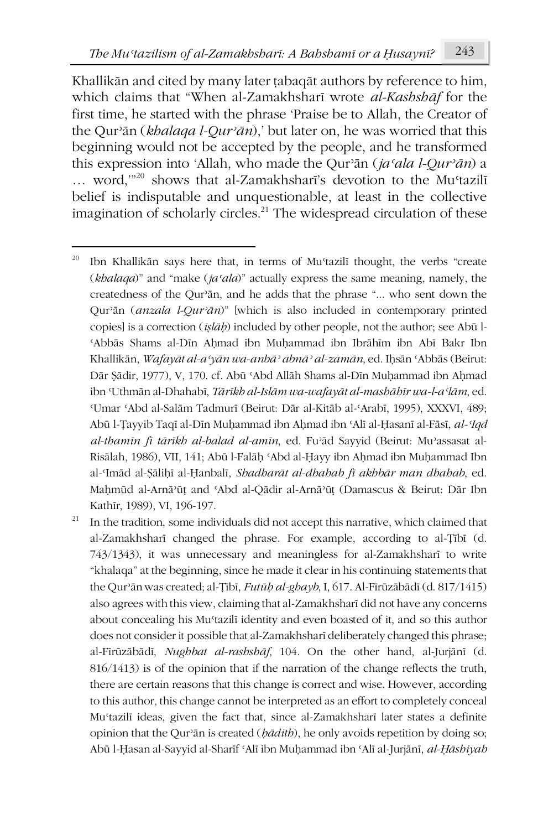Khallikān and cited by many later ṭabaqāt authors by reference to him, which claims that "When al-Zamakhsharī wrote *al-Kashshāf* for the first time, he started with the phrase 'Praise be to Allah, the Creator of the Qurʾān (*khalaqa l-Qurʾān*),' but later on, he was worried that this beginning would not be accepted by the people, and he transformed this expression into 'Allah, who made the Qurʾān (*jaʿala l-Qurʾān*) a ... word,"<sup>20</sup> shows that al-Zamakhsharī's devotion to the Mu'tazilī belief is indisputable and unquestionable, at least in the collective imagination of scholarly circles.<sup>21</sup> The widespread circulation of these

 $21$  In the tradition, some individuals did not accept this narrative, which claimed that al-Zamakhsharī changed the phrase. For example, according to al-Ṭībī (d. 743/1343), it was unnecessary and meaningless for al-Zamakhsharī to write "khalaqa" at the beginning, since he made it clear in his continuing statements that the Qurʾān was created; al-Ṭībī, *Futūḥ al-ghayb*, I, 617. Al-Fīrūzābādī (d. 817/1415) also agrees with this view, claiming that al-Zamakhsharī did not have any concerns about concealing his Muʿtazilī identity and even boasted of it, and so this author does not consider it possible that al-Zamakhsharī deliberately changed this phrase; al-Fīrūzābādī, *Nughbat al-rashshāf*, 104. On the other hand, al-Jurjānī (d. 816/1413) is of the opinion that if the narration of the change reflects the truth, there are certain reasons that this change is correct and wise. However, according to this author, this change cannot be interpreted as an effort to completely conceal Muʿtazilī ideas, given the fact that, since al-Zamakhsharī later states a definite opinion that the Qurʾān is created (*ḥādith*), he only avoids repetition by doing so; Abū l-Ḥasan al-Sayyid al-Sharīf ʿAlī ibn Muḥammad ibn ʿAlī al-Jurjānī, *al-Ḥāshiyah* 

<sup>-</sup> $20$  Ibn Khallikān says here that, in terms of Mu'tazilī thought, the verbs "create" (*khalaqa*)" and "make (*jaʿala*)" actually express the same meaning, namely, the createdness of the Qurʾān, and he adds that the phrase "... who sent down the Qurʾān (*anzala l-Qurʾān*)" [which is also included in contemporary printed copies] is a correction (*iṣlāḥ*) included by other people, not the author; see Abū l-ʿAbbās Shams al-Dīn Aḥmad ibn Muḥammad ibn Ibrāhīm ibn Abī Bakr Ibn Khallikān, *Wafayāt al-aʿyān wa-anbāʾ abnāʾ al-zamān*, ed. Iḥsān ʿAbbās (Beirut: Dār Ṣādir, 1977), V, 170. cf. Abū ʿAbd Allāh Shams al-Dīn Muḥammad ibn Aḥmad ibn ʿUthmān al-Dhahabī, *Tārīkh al-Islām wa-wafayāt al-mashāhīr wa-l-aʿlām*, ed. ʿUmar ʿAbd al-Salām Tadmurī (Beirut: Dār al-Kitāb al-ʿArabī, 1995), XXXVI, 489; Abū l-Ṭayyib Taqī al-Dīn Muḥammad ibn Aḥmad ibn ʿAlī al-Ḥasanī al-Fāsī, *al-ʿIqd al-thamīn fī tārīkh al-balad al-amīn*, ed. Fuʾād Sayyid (Beirut: Muʾassasat al-Risālah, 1986), VII, 141; Abū l-Falāḥ ʿAbd al-Ḥayy ibn Aḥmad ibn Muḥammad Ibn al-ʿImād al-Ṣāliḥī al-Ḥanbalī, *Shadharāt al-dhahab fī akhbār man dhahab*, ed. Maḥmūd al-Arnāʾūṭ and ʿAbd al-Qādir al-Arnāʾūṭ (Damascus & Beirut: Dār Ibn Kathīr, 1989), VI, 196-197.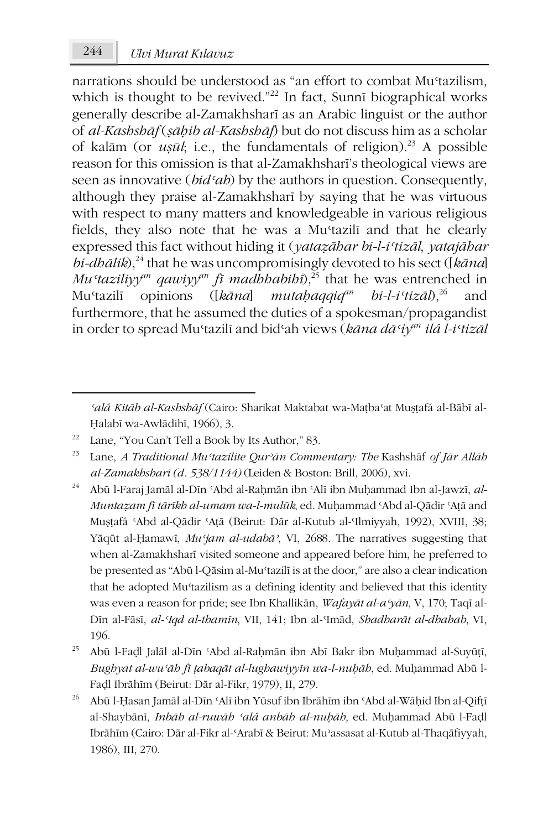narrations should be understood as "an effort to combat Mu'tazilism, which is thought to be revived."<sup>22</sup> In fact, Sunnī biographical works generally describe al-Zamakhsharī as an Arabic linguist or the author of *al-Kashshāf* (*ṣāḥib al-Kashshāf*) but do not discuss him as a scholar of kalām (or  $u\overline{su}$ *l*; i.e., the fundamentals of religion).<sup>23</sup> A possible reason for this omission is that al-Zamakhsharī's theological views are seen as innovative (*bidʿah*) by the authors in question. Consequently, although they praise al-Zamakhsharī by saying that he was virtuous with respect to many matters and knowledgeable in various religious fields, they also note that he was a Muʿtazilī and that he clearly expressed this fact without hiding it (*yataẓāhar bi-l-iʿtizāl*, *yatajāhar*   $bi$ -*dhālik*),<sup>24</sup> that he was uncompromisingly devoted to his sect ([ $kāna$ ] *Mu*<sup>*taziliyy*<sup>*m*</sup></sup> *qawiyy*<sup>*m*</sup> *fī*</sub> *madhhabih*<sup> $2^{5}$ </sup> that he was entrenched in Muʿtazilī opinions ([*kāna*] *mutaḥaqqiqan bi-l-iʿtizāl*),26 and furthermore, that he assumed the duties of a spokesman/propagandist in order to spread Muʿtazilī and bidʿah views (*kāna dāʿiyan ilá l-iʿtizāl* 

-

- <sup>24</sup> Abū l-Faraj Jamāl al-Dīn ʿAbd al-Raḥmān ibn ʿAlī ibn Muḥammad Ibn al-Jawzī, *al-Muntaẓam fī tārīkh al-umam wa-l-mulūk*, ed. Muḥammad ʿAbd al-Qādir ʿAṭā and Muṣṭafá ʿAbd al-Qādir ʿAṭā (Beirut: Dār al-Kutub al-ʿIlmiyyah, 1992), XVIII, 38; Yāqūt al-Ḥamawī, *Muʿjam al-udabāʾ*, VI, 2688. The narratives suggesting that when al-Zamakhsharī visited someone and appeared before him, he preferred to be presented as "Abū l-Qāsim al-Muʿtazilī is at the door," are also a clear indication that he adopted Mu'tazilism as a defining identity and believed that this identity was even a reason for pride; see Ibn Khallikān, *Wafayāt al-aʿyān*, V, 170; Taqī al-Dīn al-Fāsī, *al-ʿIqd al-thamīn*, VII, 141; Ibn al-ʿImād, *Shadharāt al-dhahab*, VI, 196.
- <sup>25</sup> Abū l-Faḍl Jalāl al-Dīn ʿAbd al-Raḥmān ibn Abī Bakr ibn Muḥammad al-Suyūṭī, *Bughyat al-wuʿāh fī ṭabaqāt al-lughawiyyīn wa-l-nuḥāh*, ed. Muḥammad Abū l-Faḍl Ibrāhīm (Beirut: Dār al-Fikr, 1979), II, 279.
- <sup>26</sup> Abū l-Ḥasan Jamāl al-Dīn ʿAlī ibn Yūsuf ibn Ibrāhīm ibn ʿAbd al-Wāḥid Ibn al-Qifṭī al-Shaybānī, *Inbāh al-ruwāh ʿalá anbāh al-nuḥāh*, ed. Muḥammad Abū l-Faḍl Ibrāhīm (Cairo: Dār al-Fikr al-ʿArabī & Beirut: Muʾassasat al-Kutub al-Thaqāfiyyah, 1986), III, 270.

*ʿalá Kitāb al-Kashshāf* (Cairo: Sharikat Maktabat wa-Maṭbaʿat Muṣṭafá al-Bābī al-Ḥalabī wa-Awlādihī, 1966), 3.

<sup>22</sup> Lane, "You Can't Tell a Book by Its Author," 83.

<sup>23</sup> Lane, *A Traditional Muʿtazilite Qurʾān Commentary: The* Kashshāf *of Jār Allāh al-Zamakhsharī (d. 538/1144)* (Leiden & Boston: Brill, 2006), xvi.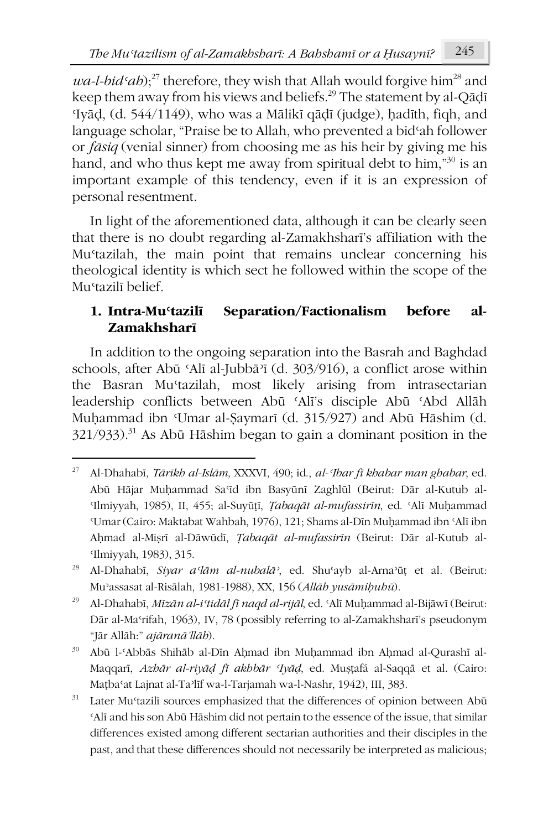$wa-l-bid<sup>27</sup>$  therefore, they wish that Allah would forgive him<sup>28</sup> and keep them away from his views and beliefs.<sup>29</sup> The statement by al-Qādī ʿIyāḍ, (d. 544/1149), who was a Mālikī qāḍī (judge), ḥadīth, fiqh, and language scholar, "Praise be to Allah, who prevented a bidʿah follower or *fāsiq* (venial sinner) from choosing me as his heir by giving me his hand, and who thus kept me away from spiritual debt to him,<sup>"30</sup> is an important example of this tendency, even if it is an expression of personal resentment.

In light of the aforementioned data, although it can be clearly seen that there is no doubt regarding al-Zamakhsharī's affiliation with the Muʿtazilah, the main point that remains unclear concerning his theological identity is which sect he followed within the scope of the Muʿtazilī belief.

## **1. Intra-Muʿtazilī Separation/Factionalism before al-Zamakhsharī**

In addition to the ongoing separation into the Basrah and Baghdad schools, after Abū ʿAlī al-Jubbāʾī (d. 303/916), a conflict arose within the Basran Muʿtazilah, most likely arising from intrasectarian leadership conflicts between Abū ʿAlī's disciple Abū ʿAbd Allāh Muḥammad ibn ʿUmar al-Ṣaymarī (d. 315/927) and Abū Hāshim (d. 321/933).<sup>31</sup> As Abū Hāshim began to gain a dominant position in the

<sup>27</sup> Al-Dhahabī, *Tārīkh al-Islām*, XXXVI, 490; id., *al-ʿIbar fī khabar man ghabar*, ed. Abū Hājar Muḥammad Saʿīd ibn Basyūnī Zaghlūl (Beirut: Dār al-Kutub al-ʿIlmiyyah, 1985), II, 455; al-Suyūṭī, *Ṭabaqāt al-mufassirīn*, ed. ʿAlī Muḥammad ʿUmar (Cairo: Maktabat Wahbah, 1976), 121; Shams al-Dīn Muḥammad ibn ʿAlī ibn Aḥmad al-Miṣrī al-Dāwūdī, *Ṭabaqāt al-mufassirīn* (Beirut: Dār al-Kutub al-ʿIlmiyyah, 1983), 315.

<sup>28</sup> Al-Dhahabī, *Siyar aʿlām al-nubalāʾ*, ed. Shuʿayb al-Arnaʾūṭ et al. (Beirut: Muʾassasat al-Risālah, 1981-1988), XX, 156 (*Allāh yusāmiḥuhū*).

<sup>29</sup> Al-Dhahabī, *Mīzān al-iʿtidāl fī naqd al-rijāl*, ed. ʿAlī Muḥammad al-Bijāwī (Beirut: Dār al-Maʿrifah, 1963), IV, 78 (possibly referring to al-Zamakhsharī's pseudonym "Jār Allāh:" *ajāranā'llāh*).

<sup>30</sup> Abū l-ʿAbbās Shihāb al-Dīn Aḥmad ibn Muḥammad ibn Aḥmad al-Qurashī al-Maqqarī, *Azhār al-riyāḍ fī akhbār ʿIyāḍ*, ed. Muṣṭafá al-Saqqā et al. (Cairo: Maṭbaʿat Lajnat al-Taʾlīf wa-l-Tarjamah wa-l-Nashr, 1942), III, 383.

 $31$  Later Mu<sup>t</sup>tazilī sources emphasized that the differences of opinion between Abū ʿAlī and his son Abū Hāshim did not pertain to the essence of the issue, that similar differences existed among different sectarian authorities and their disciples in the past, and that these differences should not necessarily be interpreted as malicious;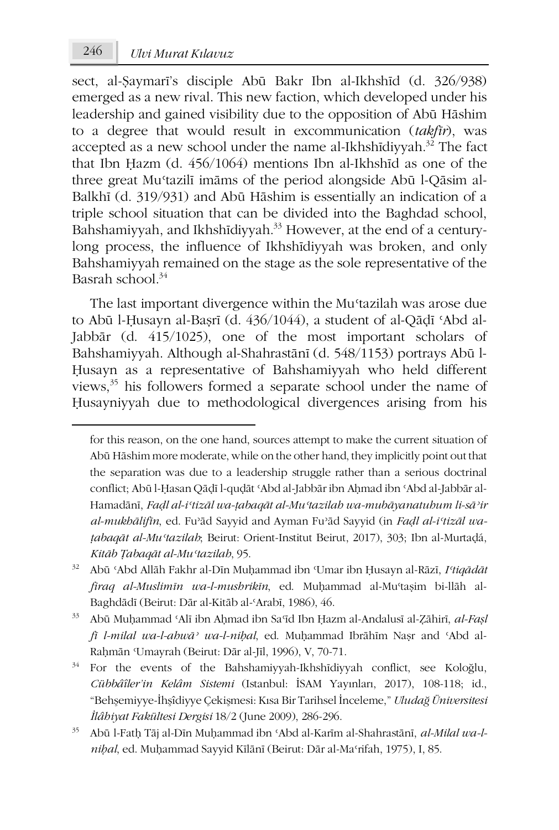1

sect, al-Ṣaymarī's disciple Abū Bakr Ibn al-Ikhshīd (d. 326/938) emerged as a new rival. This new faction, which developed under his leadership and gained visibility due to the opposition of Abū Hāshim to a degree that would result in excommunication (*takfīr*), was accepted as a new school under the name al-Ikhshīdiyyah.<sup>32</sup> The fact that Ibn Ḥazm (d. 456/1064) mentions Ibn al-Ikhshīd as one of the three great Muʿtazilī imāms of the period alongside Abū l-Qāsim al-Balkhī (d. 319/931) and Abū Hāshim is essentially an indication of a triple school situation that can be divided into the Baghdad school, Bahshamiyyah, and Ikhshīdiyyah.<sup>33</sup> However, at the end of a centurylong process, the influence of Ikhshīdiyyah was broken, and only Bahshamiyyah remained on the stage as the sole representative of the Basrah school. $34$ 

The last important divergence within the Mustazilah was arose due to Abū l-Ḥusayn al-Baṣrī (d. 436/1044), a student of al-Qāḍī ʿAbd al-Jabbār (d. 415/1025), one of the most important scholars of Bahshamiyyah. Although al-Shahrastānī (d. 548/1153) portrays Abū l-Ḥusayn as a representative of Bahshamiyyah who held different views,<sup>35</sup> his followers formed a separate school under the name of Ḥusayniyyah due to methodological divergences arising from his

for this reason, on the one hand, sources attempt to make the current situation of Abū Hāshim more moderate, while on the other hand, they implicitly point out that the separation was due to a leadership struggle rather than a serious doctrinal conflict; Abū l-Ḥasan Qāḍī l-quḍāt ʿAbd al-Jabbār ibn Aḥmad ibn ʿAbd al-Jabbār al-Hamadānī, *Faḍl al-iʿtizāl wa-ṭabaqāt al-Muʿtazilah wa-mubāyanatuhum li-sāʾir al-mukhālifīn*, ed. Fuʾād Sayyid and Ayman Fuʾād Sayyid (in *Faḍl al-iʿtizāl waṭabaqāt al-Muʿtazilah*; Beirut: Orient-Institut Beirut, 2017), 303; Ibn al-Murtaḍá, *Kitāb Ṭabaqāt al-Muʿtazilah*, 95.

<sup>32</sup> Abū ʿAbd Allāh Fakhr al-Dīn Muḥammad ibn ʿUmar ibn Ḥusayn al-Rāzī, *Iʿtiqādāt firaq al-Muslimīn wa-l-mushrikīn*, ed. Muḥammad al-Muʿtaṣim bi-llāh al-Baghdādī (Beirut: Dār al-Kitāb al-ʿArabī, 1986), 46.

<sup>33</sup> Abū Muḥammad ʿAlī ibn Aḥmad ibn Saʿīd Ibn Ḥazm al-Andalusī al-Ẓāhirī, *al-Faṣl fī l-milal wa-l-ahwāʾ wa-l-niḥal*, ed. Muḥammad Ibrāhīm Naṣr and ʿAbd al-Raḥmān ʿUmayrah (Beirut: Dār al-Jīl, 1996), V, 70-71.

<sup>&</sup>lt;sup>34</sup> For the events of the Bahshamiyyah-Ikhshīdiyyah conflict, see Koloğlu, *Cübbâîler'in Kelâm Sistemi* (Istanbul: İSAM Yayınları, 2017), 108-118; id., "Behşemiyye-İhşîdiyye Çekişmesi: Kısa Bir Tarihsel İnceleme," *Uludağ Üniversitesi İlâhiyat Fakültesi Dergisi* 18/2 (June 2009), 286-296.

<sup>35</sup> Abū l-Fatḥ Tāj al-Dīn Muḥammad ibn ʿAbd al-Karīm al-Shahrastānī, *al-Milal wa-lniḥal*, ed. Muḥammad Sayyid Kīlānī (Beirut: Dār al-Maʿrifah, 1975), I, 85.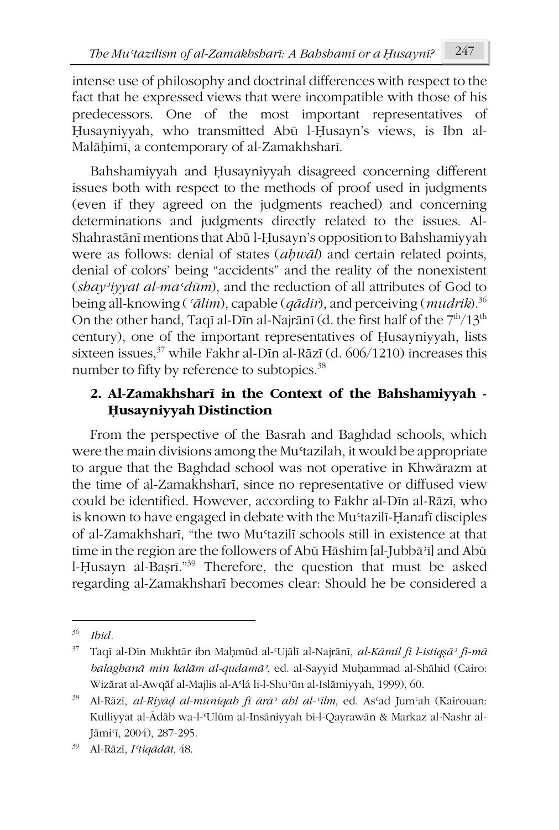intense use of philosophy and doctrinal differences with respect to the fact that he expressed views that were incompatible with those of his predecessors. One of the most important representatives of Ḥusayniyyah, who transmitted Abū l-Ḥusayn's views, is Ibn al-Malāḥimī, a contemporary of al-Zamakhsharī.

Bahshamiyyah and Ḥusayniyyah disagreed concerning different issues both with respect to the methods of proof used in judgments (even if they agreed on the judgments reached) and concerning determinations and judgments directly related to the issues. Al-Shahrastānī mentions that Abū l-Ḥusayn's opposition to Bahshamiyyah were as follows: denial of states (*aḥwāl*) and certain related points, denial of colors' being "accidents" and the reality of the nonexistent (*shayʾiyyat al-maʿdūm*), and the reduction of all attributes of God to being all-knowing (*ʿālim*), capable (*qādir*), and perceiving (*mudrik*).36 On the other hand, Taqī al-Dīn al-Najrānī (d. the first half of the  $7<sup>th</sup>/13<sup>th</sup>$ century), one of the important representatives of Ḥusayniyyah, lists sixteen issues,<sup>37</sup> while Fakhr al-Dīn al-Rāzī (d. 606/1210) increases this number to fifty by reference to subtopics.<sup>38</sup>

## **2. Al-Zamakhsharī in the Context of the Bahshamiyyah - Ḥusayniyyah Distinction**

From the perspective of the Basrah and Baghdad schools, which were the main divisions among the Mu'tazilah, it would be appropriate to argue that the Baghdad school was not operative in Khwārazm at the time of al-Zamakhsharī, since no representative or diffused view could be identified. However, according to Fakhr al-Dīn al-Rāzī, who is known to have engaged in debate with the Muʿtazilī-Ḥanafī disciples of al-Zamakhsharī, "the two Muʿtazilī schools still in existence at that time in the region are the followers of Abū Hāshim [al-Jubbāʾī] and Abū l-Ḥusayn al-Baṣrī."39 Therefore, the question that must be asked regarding al-Zamakhsharī becomes clear: Should he be considered a

<sup>36</sup> *Ibid.*

<sup>37</sup> Taqī al-Dīn Mukhtār ibn Maḥmūd al-ʿUjālī al-Najrānī, *al-Kāmil fī l-istiqṣāʾ fī-mā balaghanā min kalām al-qudamāʾ*, ed. al-Sayyid Muḥammad al-Shāhid (Cairo: Wizārat al-Awqāf al-Majlis al-Aʿlá li-l-Shuʾūn al-Islāmiyyah, 1999), 60.

<sup>38</sup> Al-Rāzī, *al-Riyāḍ al-mūniqah fī ārāʾ ahl al-ʿilm*, ed. Asʿad Jumʿah (Kairouan: Kulliyyat al-Ādāb wa-l-'Ulūm al-Insāniyyah bi-l-Qayrawān & Markaz al-Nashr al-Jāmi<sup>c</sup>ī, 2004), 287-295.

<sup>39</sup> Al-Rāzī, *Iʿtiqādāt*, 48.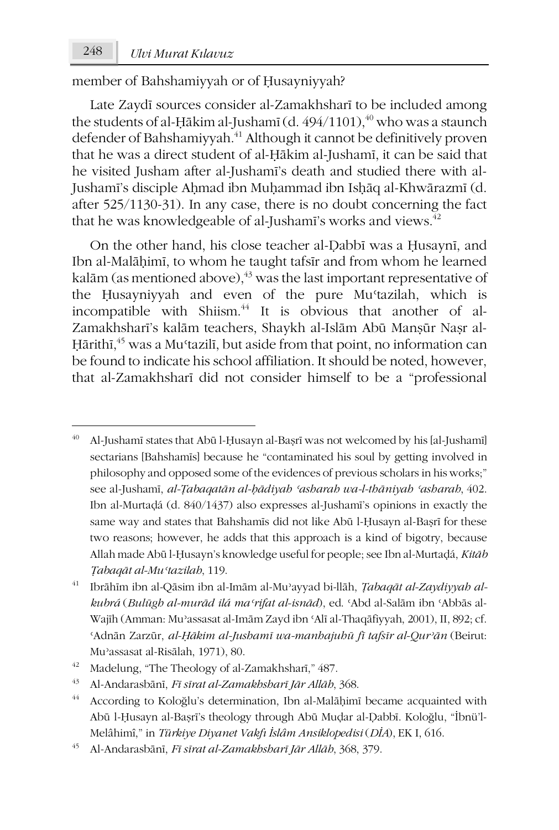1

member of Bahshamiyyah or of Ḥusayniyyah?

Late Zaydī sources consider al-Zamakhsharī to be included among the students of al-Ḥākim al-Jushamī (d.  $494/1101$ ),<sup>40</sup> who was a staunch defender of Bahshamiyyah.<sup>41</sup> Although it cannot be definitively proven that he was a direct student of al-Ḥākim al-Jushamī, it can be said that he visited Jusham after al-Jushamī's death and studied there with al-Jushamī's disciple Aḥmad ibn Muḥammad ibn Isḥāq al-Khwārazmī (d. after 525/1130-31). In any case, there is no doubt concerning the fact that he was knowledgeable of al-Jushamī's works and views.<sup>42</sup>

On the other hand, his close teacher al-Ḍabbī was a Ḥusaynī, and Ibn al-Malāḥimī, to whom he taught tafsīr and from whom he learned kalām (as mentioned above), $43$  was the last important representative of the Ḥusayniyyah and even of the pure Muʿtazilah, which is incompatible with Shiism.<sup>44</sup> It is obvious that another of al-Zamakhsharī's kalām teachers, Shaykh al-Islām Abū Manṣūr Naṣr al-Ḥārithī, <sup>45</sup> was a Muʿtazilī, but aside from that point, no information can be found to indicate his school affiliation. It should be noted, however, that al-Zamakhsharī did not consider himself to be a "professional

<sup>40</sup> Al-Jushamī states that Abū l-Ḥusayn al-Baṣrī was not welcomed by his [al-Jushamī] sectarians [Bahshamīs] because he "contaminated his soul by getting involved in philosophy and opposed some of the evidences of previous scholars in his works;" see al-Jushamī, *al-Ṭabaqatān al-ḥādiyah ʿasharah wa-l-thāniyah ʿasharah*, 402. Ibn al-Murtaḍá (d. 840/1437) also expresses al-Jushamī's opinions in exactly the same way and states that Bahshamīs did not like Abū l-Ḥusayn al-Baṣrī for these two reasons; however, he adds that this approach is a kind of bigotry, because Allah made Abū l-Ḥusayn's knowledge useful for people; see Ibn al-Murtaḍá, *Kitāb Ṭabaqāt al-Muʿtazilah*, 119.

<sup>41</sup> Ibrāhīm ibn al-Qāsim ibn al-Imām al-Muʾayyad bi-llāh, *Ṭabaqāt al-Zaydiyyah alkubrá* (*Bulūgh al-murād ilá maʿrifat al-isnād*), ed. ʿAbd al-Salām ibn ʿAbbās al-Wajīh (Amman: Muʾassasat al-Imām Zayd ibn ʿAlī al-Thaqāfiyyah, 2001), II, 892; cf. ʿAdnān Zarzūr, *al-Ḥākim al-Jushamī wa-manhajuhū fī tafsīr al-Qurʾān* (Beirut: Muʾassasat al-Risālah, 1971), 80.

<sup>42</sup> Madelung, "The Theology of al-Zamakhsharī," 487.

<sup>43</sup> Al-Andarasbānī, *Fī sīrat al-Zamakhsharī Jār Allāh*, 368.

<sup>&</sup>lt;sup>44</sup> According to Koloğlu's determination, Ibn al-Malāḥimī became acquainted with Abū l-Ḥusayn al-Baṣrī's theology through Abū Muḍar al-Ḍabbī. Koloğlu, "İbnü'l-Melâhimî," in *Türkiye Diyanet Vakfı İslâm Ansiklopedisi* (*DİA*), EK I, 616.

<sup>45</sup> Al-Andarasbānī, *Fī sīrat al-Zamakhsharī Jār Allāh*, 368, 379.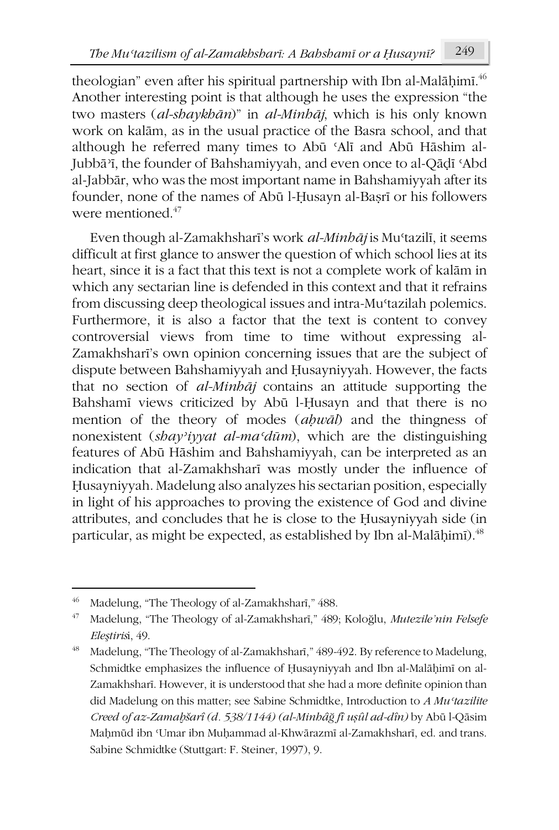theologian" even after his spiritual partnership with Ibn al-Malāḥimī.<sup>46</sup> Another interesting point is that although he uses the expression "the two masters (*al-shaykhān*)" in *al-Minhāj*, which is his only known work on kalām, as in the usual practice of the Basra school, and that although he referred many times to Abū ʿAlī and Abū Hāshim al-Jubbāʾī, the founder of Bahshamiyyah, and even once to al-Qāḍī ʿAbd al-Jabbār, who was the most important name in Bahshamiyyah after its founder, none of the names of Abū l-Ḥusayn al-Baṣrī or his followers were mentioned  $47$ 

Even though al-Zamakhsharī's work *al-Minhāj* is Muʿtazilī, it seems difficult at first glance to answer the question of which school lies at its heart, since it is a fact that this text is not a complete work of kalām in which any sectarian line is defended in this context and that it refrains from discussing deep theological issues and intra-Muʿtazilah polemics. Furthermore, it is also a factor that the text is content to convey controversial views from time to time without expressing al-Zamakhsharī's own opinion concerning issues that are the subject of dispute between Bahshamiyyah and Ḥusayniyyah. However, the facts that no section of *al-Minhāj* contains an attitude supporting the Bahshamī views criticized by Abū l-Ḥusayn and that there is no mention of the theory of modes (*aḥwāl*) and the thingness of nonexistent (*shayʾiyyat al-maʿdūm*), which are the distinguishing features of Abū Hāshim and Bahshamiyyah, can be interpreted as an indication that al-Zamakhsharī was mostly under the influence of Ḥusayniyyah. Madelung also analyzes his sectarian position, especially in light of his approaches to proving the existence of God and divine attributes, and concludes that he is close to the Ḥusayniyyah side (in particular, as might be expected, as established by Ibn al-Malāḥimī).<sup>48</sup>

<sup>46</sup> Madelung, "The Theology of al-Zamakhsharī," 488.

<sup>47</sup> Madelung, "The Theology of al-Zamakhsharī," 489; Koloğlu, *Mutezile'nin Felsefe Eleştiris*i, 49.

<sup>48</sup> Madelung, "The Theology of al-Zamakhsharī," 489-492. By reference to Madelung, Schmidtke emphasizes the influence of Ḥusayniyyah and Ibn al-Malāḥimī on al-Zamakhsharī. However, it is understood that she had a more definite opinion than did Madelung on this matter; see Sabine Schmidtke, Introduction to *A Muʿtazilite Creed of az-Zamaḫšarî (d. 538/1144) (al-Minhâğ fî uṣûl ad-dîn)* by Abū l-Qāsim Maḥmūd ibn ʿUmar ibn Muḥammad al-Khwārazmī al-Zamakhsharī, ed. and trans. Sabine Schmidtke (Stuttgart: F. Steiner, 1997), 9.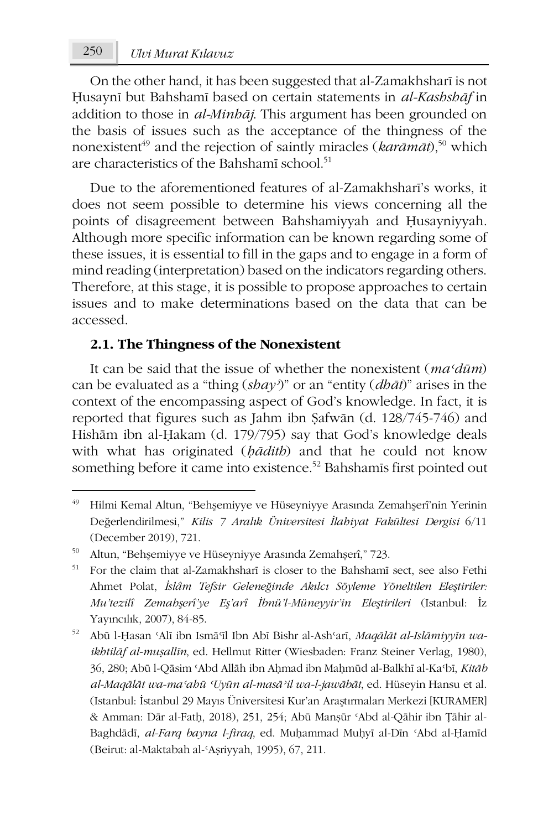On the other hand, it has been suggested that al-Zamakhsharī is not Ḥusaynī but Bahshamī based on certain statements in *al-Kashshāf* in addition to those in *al-Minhāj*. This argument has been grounded on the basis of issues such as the acceptance of the thingness of the nonexistent<sup>49</sup> and the rejection of saintly miracles ( $kar\bar{a}m\bar{a}t$ ),<sup>50</sup> which are characteristics of the Bahshamī school.<sup>51</sup>

Due to the aforementioned features of al-Zamakhsharī's works, it does not seem possible to determine his views concerning all the points of disagreement between Bahshamiyyah and Ḥusayniyyah. Although more specific information can be known regarding some of these issues, it is essential to fill in the gaps and to engage in a form of mind reading (interpretation) based on the indicators regarding others. Therefore, at this stage, it is possible to propose approaches to certain issues and to make determinations based on the data that can be accessed.

#### **2.1. The Thingness of the Nonexistent**

It can be said that the issue of whether the nonexistent (*maʿdūm*) can be evaluated as a "thing (*shayʾ*)" or an "entity (*dhāt*)" arises in the context of the encompassing aspect of God's knowledge. In fact, it is reported that figures such as Jahm ibn Ṣafwān (d. 128/745-746) and Hishām ibn al-Ḥakam (d. 179/795) say that God's knowledge deals with what has originated (*ḥādith*) and that he could not know something before it came into existence.<sup>52</sup> Bahshamīs first pointed out

**.** 

<sup>49</sup> Hilmi Kemal Altun, "Behşemiyye ve Hüseyniyye Arasında Zemahşerî'nin Yerinin Değerlendirilmesi," *Kilis 7 Aralık Üniversitesi İlahiyat Fakültesi Dergisi* 6/11 (December 2019), 721.

<sup>50</sup> Altun, "Behşemiyye ve Hüseyniyye Arasında Zemahşerî," 723.

<sup>51</sup> For the claim that al-Zamakhsharī is closer to the Bahshamī sect, see also Fethi Ahmet Polat, *İslâm Tefsir Geleneğinde Akılcı Söyleme Yöneltilen Eleştiriler: Mu'tezilî Zemahşerî'ye Eş'arî İbnü'l-Müneyyir'in Eleştirileri* (Istanbul: İz Yayıncılık, 2007), 84-85.

<sup>52</sup> Abū l-Ḥasan ʿAlī ibn Ismāʿīl Ibn Abī Bishr al-Ashʿarī, *Maqālāt al-Islāmiyyīn waikhtilāf al-muṣallīn*, ed. Hellmut Ritter (Wiesbaden: Franz Steiner Verlag, 1980), 36, 280; Abū l-Qāsim ʿAbd Allāh ibn Aḥmad ibn Maḥmūd al-Balkhī al-Kaʿbī, *Kitāb al-Maqālāt wa-maʿahū ʿUyūn al-masāʾil wa-l-jawābāt*, ed. Hüseyin Hansu et al. (Istanbul: İstanbul 29 Mayıs Üniversitesi Kur'an Araştırmaları Merkezi [KURAMER] & Amman: Dār al-Fatḥ, 2018), 251, 254; Abū Manṣūr ʿAbd al-Qāhir ibn Ṭāhir al-Baghdādī, *al-Farq bayna l-firaq*, ed. Muḥammad Muḥyī al-Dīn ʿAbd al-Ḥamīd (Beirut: al-Maktabah al-ʿAṣriyyah, 1995), 67, 211.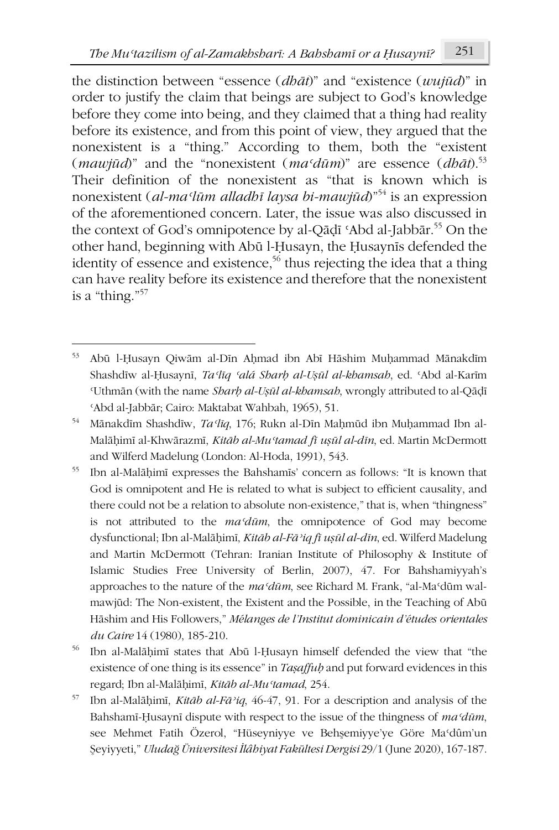the distinction between "essence (*dhāt*)" and "existence (*wujūd*)" in order to justify the claim that beings are subject to God's knowledge before they come into being, and they claimed that a thing had reality before its existence, and from this point of view, they argued that the nonexistent is a "thing." According to them, both the "existent (*mawjūd*)" and the "nonexistent ( $ma^c\overline{d}$ *ūm*)" are essence ( $db\overline{a}$ *t*).<sup>53</sup> Their definition of the nonexistent as "that is known which is nonexistent (*al-maʿlūm alladhī laysa bi-mawjūd*)"54 is an expression of the aforementioned concern. Later, the issue was also discussed in the context of God's omnipotence by al-Qāḍī 'Abd al-Jabbār.<sup>55</sup> On the other hand, beginning with Abū l-Ḥusayn, the Ḥusaynīs defended the identity of essence and existence,<sup>56</sup> thus rejecting the idea that a thing can have reality before its existence and therefore that the nonexistent is a "thing."57

-

<sup>53</sup> Abū l-Ḥusayn Qiwām al-Dīn Aḥmad ibn Abī Hāshim Muḥammad Mānakdīm Shashdīw al-Ḥusaynī, *Taʿlīq ʿalá Sharḥ al-Uṣūl al-khamsah*, ed. ʿAbd al-Karīm ʿUthmān (with the name *Sharḥ al-Uṣūl al-khamsah*, wrongly attributed to al-Qāḍī ʿAbd al-Jabbār; Cairo: Maktabat Wahbah, 1965), 51.

<sup>54</sup> Mānakdīm Shashdīw, *Taʿlīq*, 176; Rukn al-Dīn Maḥmūd ibn Muḥammad Ibn al-Malāḥimī al-Khwārazmī, *Kitāb al-Muʿtamad fī uṣūl al-dīn*, ed. Martin McDermott and Wilferd Madelung (London: Al-Hoda, 1991), 543.

<sup>55</sup> Ibn al-Malāḥimī expresses the Bahshamīs' concern as follows: "It is known that God is omnipotent and He is related to what is subject to efficient causality, and there could not be a relation to absolute non-existence," that is, when "thingness" is not attributed to the *maʿdūm*, the omnipotence of God may become dysfunctional; Ibn al-Malāḥimī, *Kitāb al-Fāʾiq fī uṣūl al-dīn*, ed. Wilferd Madelung and Martin McDermott (Tehran: Iranian Institute of Philosophy & Institute of Islamic Studies Free University of Berlin, 2007), 47. For Bahshamiyyah's approaches to the nature of the *maʿdūm*, see Richard M. Frank, "al-Maʿdūm walmawjūd: The Non-existent, the Existent and the Possible, in the Teaching of Abū Hāshim and His Followers," *Mélanges de l'Institut dominicain d'études orientales du Caire* 14 (1980), 185-210.

<sup>56</sup> Ibn al-Malāḥimī states that Abū l-Ḥusayn himself defended the view that "the existence of one thing is its essence" in *Taṣaffuḥ* and put forward evidences in this regard; Ibn al-Malāḥimī, *Kitāb al-Muʿtamad*, 254.

<sup>57</sup> Ibn al-Malāḥimī, *Kitāb al-Fāʾiq*, 46-47, 91. For a description and analysis of the Bahshamī-Ḥusaynī dispute with respect to the issue of the thingness of *maʿdūm*, see Mehmet Fatih Özerol, "Hüseyniyye ve Behşemiyye'ye Göre Maʿdûm'un Şeyiyyeti," *Uludağ Üniversitesi İlâhiyat Fakültesi Dergisi* 29/1 (June 2020), 167-187.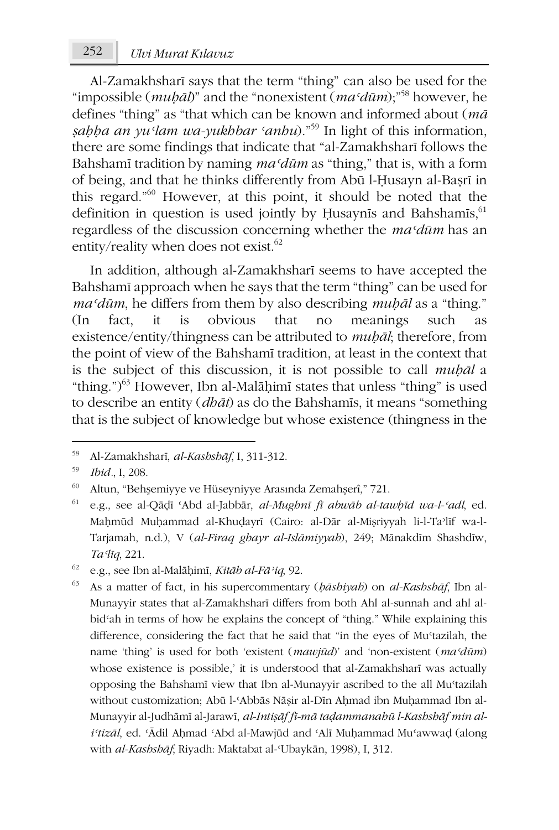Al-Zamakhsharī says that the term "thing" can also be used for the "impossible (*muḥāl*)" and the "nonexistent (*maʿdūm*);"58 however, he defines "thing" as "that which can be known and informed about (*mā sabha an yu*<sup>*'lam wa-yukhbar 'anhu*)."<sup>59</sup> In light of this information,</sup> there are some findings that indicate that "al-Zamakhsharī follows the Bahshamī tradition by naming *maʿdūm* as "thing," that is, with a form of being, and that he thinks differently from Abū l-Ḥusayn al-Baṣrī in this regard."60 However, at this point, it should be noted that the definition in question is used jointly by Husaynis and Bahshamis,  $61$ regardless of the discussion concerning whether the *maʿdūm* has an entity/reality when does not exist.<sup>62</sup>

In addition, although al-Zamakhsharī seems to have accepted the Bahshamī approach when he says that the term "thing" can be used for *maʿdūm*, he differs from them by also describing *muḥāl* as a "thing."  $(In$  fact, it is obvious that no meanings such existence/entity/thingness can be attributed to *muḥāl*; therefore, from the point of view of the Bahshamī tradition, at least in the context that is the subject of this discussion, it is not possible to call *muḥāl* a "thing.") $^{63}$  However, Ibn al-Malāḥimī states that unless "thing" is used to describe an entity (*dhāt*) as do the Bahshamīs, it means "something that is the subject of knowledge but whose existence (thingness in the

-

<sup>58</sup> Al-Zamakhsharī, *al-Kashshāf*, I, 311-312.

<sup>59</sup> *Ibid.*, I, 208.

<sup>60</sup> Altun, "Behşemiyye ve Hüseyniyye Arasında Zemahşerî," 721.

<sup>61</sup> e.g., see al-Qāḍī ʿAbd al-Jabbār, *al-Mughnī fī abwāb al-tawḥīd wa-l-ʿadl*, ed. Maḥmūd Muḥammad al-Khuḍayrī (Cairo: al-Dār al-Miṣriyyah li-l-Taʾlīf wa-l-Tarjamah, n.d.), V (*al-Firaq ghayr al-Islāmiyyah*), 249; Mānakdīm Shashdīw, *Taʿlīq*, 221.

<sup>62</sup> e.g., see Ibn al-Malāḥimī, *Kitāb al-Fāʾiq*, 92.

<sup>63</sup> As a matter of fact, in his supercommentary (*ḥāshiyah*) on *al-Kashshāf*, Ibn al-Munayyir states that al-Zamakhsharī differs from both Ahl al-sunnah and ahl albidʿah in terms of how he explains the concept of "thing." While explaining this difference, considering the fact that he said that "in the eyes of Muʿtazilah, the name 'thing' is used for both 'existent (*mawjūd*)' and 'non-existent (*maʿdūm*) whose existence is possible,' it is understood that al-Zamakhsharī was actually opposing the Bahshamī view that Ibn al-Munayyir ascribed to the all Muʿtazilah without customization; Abū l-ʿAbbās Nāṣir al-Dīn Aḥmad ibn Muḥammad Ibn al-Munayyir al-Judhāmī al-Jarawī, *al-Intiṣāf fī-mā taḍammanahū l-Kashshāf min aliʿtizāl*, ed. ʿĀdil Aḥmad ʿAbd al-Mawjūd and ʿAlī Muḥammad Muʿawwaḍ (along with *al-Kashshāf*; Riyadh: Maktabat al-ʿUbaykān, 1998), I, 312.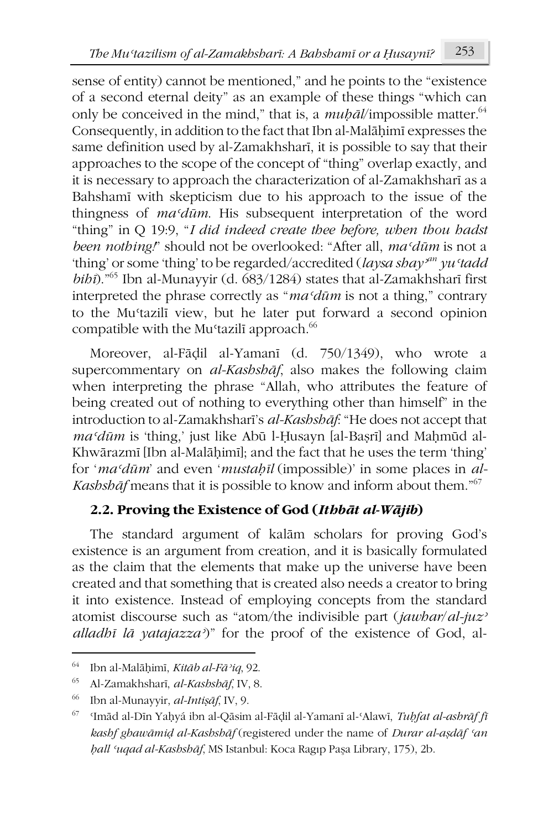sense of entity) cannot be mentioned," and he points to the "existence of a second eternal deity" as an example of these things "which can only be conceived in the mind," that is, a  $mu\bar{p}\bar{a}/\text{impossible matter}^{64}$ . Consequently, in addition to the fact that Ibn al-Malāḥimī expresses the same definition used by al-Zamakhsharī, it is possible to say that their approaches to the scope of the concept of "thing" overlap exactly, and it is necessary to approach the characterization of al-Zamakhsharī as a Bahshamī with skepticism due to his approach to the issue of the thingness of *maʿdūm*. His subsequent interpretation of the word "thing" in Q 19:9, "*I did indeed create thee before, when thou hadst been nothing!*" should not be overlooked: "After all, *maʿdūm* is not a 'thing' or some 'thing' to be regarded/accredited (*laysa shay<sup><i>x*m</sup> yu 'tadd *bihī*)."65 Ibn al-Munayyir (d. 683/1284) states that al-Zamakhsharī first interpreted the phrase correctly as "*maʿdūm* is not a thing," contrary to the Muʿtazilī view, but he later put forward a second opinion compatible with the Mu'tazilī approach.<sup>66</sup>

Moreover, al-Fāḍil al-Yamanī (d. 750/1349), who wrote a supercommentary on *al-Kashshāf*, also makes the following claim when interpreting the phrase "Allah, who attributes the feature of being created out of nothing to everything other than himself" in the introduction to al-Zamakhsharī's *al-Kashshāf*: "He does not accept that *maʿdūm* is 'thing,' just like Abū l-Ḥusayn [al-Baṣrī] and Maḥmūd al-Khwārazmī [Ibn al-Malāḥimī]; and the fact that he uses the term 'thing' for '*maʿdūm*' and even '*mustaḥīl* (impossible)' in some places in *al-Kashshāf* means that it is possible to know and inform about them."67

# **2.2. Proving the Existence of God (***Ithbāt al-Wājib***)**

The standard argument of kalām scholars for proving God's existence is an argument from creation, and it is basically formulated as the claim that the elements that make up the universe have been created and that something that is created also needs a creator to bring it into existence. Instead of employing concepts from the standard atomist discourse such as "atom/the indivisible part (*jawhar*/*al-juzʾ alladhī lā yatajazzaʾ*)" for the proof of the existence of God, al-

**.** 

<sup>64</sup> Ibn al-Malāḥimī, *Kitāb al-Fāʾiq*, 92.

<sup>65</sup> Al-Zamakhsharī, *al-Kashshāf*, IV, 8.

<sup>66</sup> Ibn al-Munayyir, *al-Intiṣāf*, IV, 9.

<sup>67</sup> ʿImād al-Dīn Yaḥyá ibn al-Qāsim al-Fāḍil al-Yamanī al-ʿAlawī, *Tuḥfat al-ashrāf fī kashf ghawāmiḍ al-Kashshāf* (registered under the name of *Durar al-aṣdāf ʿan ḥall ʿuqad al-Kashshāf*, MS Istanbul: Koca Ragıp Paşa Library, 175), 2b.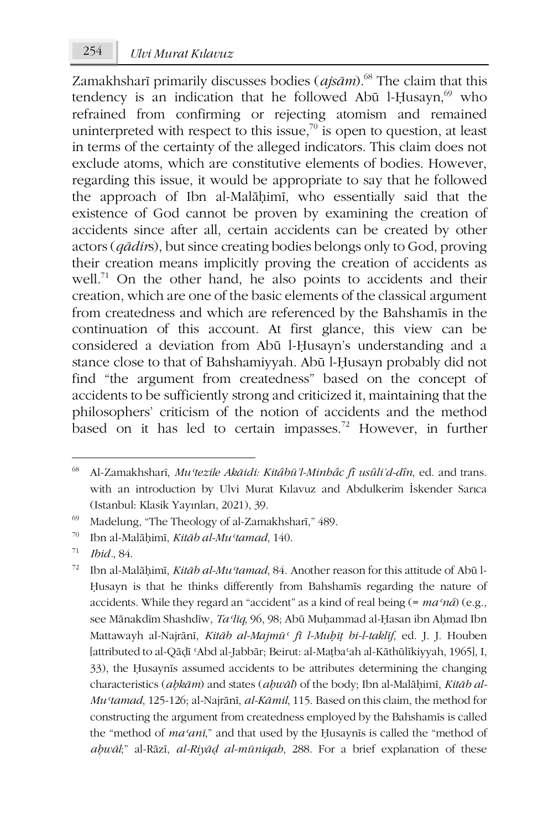Zamakhsharī primarily discusses bodies (*ajsām*).68 The claim that this tendency is an indication that he followed Abū l-Husayn, $69$  who refrained from confirming or rejecting atomism and remained uninterpreted with respect to this issue,<sup>70</sup> is open to question, at least in terms of the certainty of the alleged indicators. This claim does not exclude atoms, which are constitutive elements of bodies. However, regarding this issue, it would be appropriate to say that he followed the approach of Ibn al-Malāḥimī, who essentially said that the existence of God cannot be proven by examining the creation of accidents since after all, certain accidents can be created by other actors (*qādir*s), but since creating bodies belongs only to God, proving their creation means implicitly proving the creation of accidents as well.<sup>71</sup> On the other hand, he also points to accidents and their creation, which are one of the basic elements of the classical argument from createdness and which are referenced by the Bahshamīs in the continuation of this account. At first glance, this view can be considered a deviation from Abū l-Ḥusayn's understanding and a stance close to that of Bahshamiyyah. Abū l-Ḥusayn probably did not find "the argument from createdness" based on the concept of accidents to be sufficiently strong and criticized it, maintaining that the philosophers' criticism of the notion of accidents and the method based on it has led to certain impasses.<sup>72</sup> However, in further

-

<sup>68</sup> Al-Zamakhsharī, *Muʿtezile Akāidi: Kitâbü'l-Minhâc fî usûli'd-dîn*, ed. and trans. with an introduction by Ulvi Murat Kılavuz and Abdulkerim İskender Sarıca (Istanbul: Klasik Yayınları, 2021), 39.

<sup>69</sup> Madelung, "The Theology of al-Zamakhsharī," 489.

<sup>70</sup> Ibn al-Malāḥimī, *Kitāb al-Muʿtamad*, 140.

<sup>71</sup> *Ibid.*, 84.

<sup>72</sup> Ibn al-Malāḥimī, *Kitāb al-Muʿtamad*, 84. Another reason for this attitude of Abū l-Ḥusayn is that he thinks differently from Bahshamīs regarding the nature of accidents. While they regard an "accident" as a kind of real being (= *maʿná*) (e.g., see Mānakdīm Shashdīw, *Taʿlīq*, 96, 98; Abū Muḥammad al-Ḥasan ibn Aḥmad Ibn Mattawayh al-Najrānī, *Kitāb al-Majmūʿ fī l-Muḥīṭ bi-l-taklīf*, ed. J. J. Houben [attributed to al-Qāḍī ʿAbd al-Jabbār; Beirut: al-Maṭbaʿah al-Kāthūlīkiyyah, 1965], I, 33), the Ḥusaynīs assumed accidents to be attributes determining the changing characteristics (*aḥkām*) and states (*aḥwāl*) of the body; Ibn al-Malāḥimī, *Kitāb al-Muʿtamad*, 125-126; al-Najrānī, *al-Kāmil*, 115. Based on this claim, the method for constructing the argument from createdness employed by the Bahshamīs is called the "method of *maʿanī*," and that used by the Ḥusaynīs is called the "method of *aḥwāl*;" al-Rāzī, *al-Riyāḍ al-mūniqah*, 288. For a brief explanation of these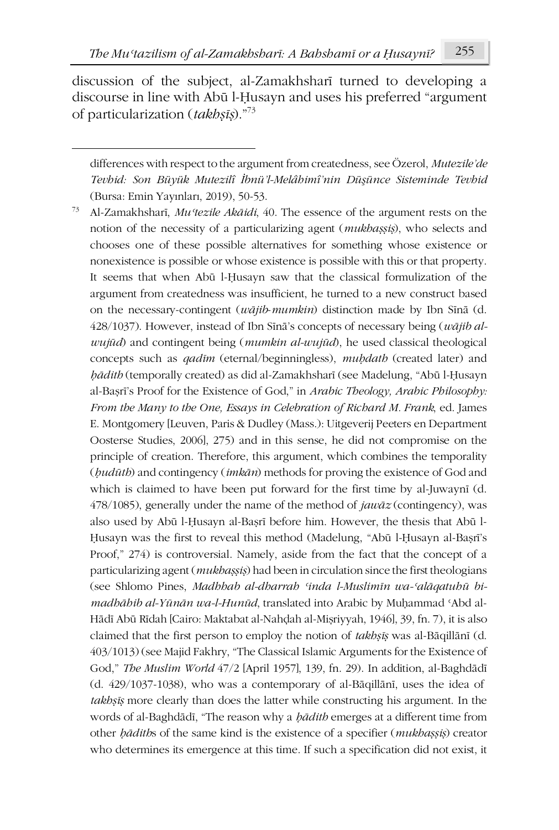-

discussion of the subject, al-Zamakhsharī turned to developing a discourse in line with Abū l-Ḥusayn and uses his preferred "argument of particularization (*takhṣīṣ*)."73

<sup>73</sup> Al-Zamakhsharī, *Muʿtezile Akāidi*, 40. The essence of the argument rests on the notion of the necessity of a particularizing agent (*mukhaṣṣiṣ*), who selects and chooses one of these possible alternatives for something whose existence or nonexistence is possible or whose existence is possible with this or that property. It seems that when Abū l-Ḥusayn saw that the classical formulization of the argument from createdness was insufficient, he turned to a new construct based on the necessary-contingent (*wājib*-*mumkin*) distinction made by Ibn Sīnā (d. 428/1037). However, instead of Ibn Sīnā's concepts of necessary being (*wājib alwujūd*) and contingent being (*mumkin al-wujūd*), he used classical theological concepts such as *qadīm* (eternal/beginningless), *muḥdath* (created later) and *ḥādith* (temporally created) as did al-Zamakhsharī (see Madelung, "Abū l-Ḥusayn al-Baṣrī's Proof for the Existence of God," in *Arabic Theology, Arabic Philosophy: From the Many to the One, Essays in Celebration of Richard M. Frank*, ed. James E. Montgomery [Leuven, Paris & Dudley (Mass.): Uitgeverij Peeters en Department Oosterse Studies, 2006], 275) and in this sense, he did not compromise on the principle of creation. Therefore, this argument, which combines the temporality (*ḥudūth*) and contingency (*imkān*) methods for proving the existence of God and which is claimed to have been put forward for the first time by al-Juwaynī (d. 478/1085), generally under the name of the method of *jawāz* (contingency), was also used by Abū l-Ḥusayn al-Baṣrī before him. However, the thesis that Abū l-Ḥusayn was the first to reveal this method (Madelung, "Abū l-Ḥusayn al-Baṣrī's Proof," 274) is controversial. Namely, aside from the fact that the concept of a particularizing agent (*mukhaṣṣiṣ*) had been in circulation since the first theologians (see Shlomo Pines, *Madhhab al-dharrah ʿinda l-Muslimīn wa-ʿalāqatuhū bimadhāhib al-Yūnān wa-l-Hunūd*, translated into Arabic by Muḥammad ʿAbd al-Hādī Abū Rīdah [Cairo: Maktabat al-Nahḍah al-Miṣriyyah, 1946], 39, fn. 7), it is also claimed that the first person to employ the notion of *takhṣīṣ* was al-Bāqillānī (d. 403/1013) (see Majid Fakhry, "The Classical Islamic Arguments for the Existence of God," *The Muslim World* 47/2 [April 1957], 139, fn. 29). In addition, al-Baghdādī (d. 429/1037-1038), who was a contemporary of al-Bāqillānī, uses the idea of *takhṣīṣ* more clearly than does the latter while constructing his argument. In the words of al-Baghdādī, "The reason why a *ḥādith* emerges at a different time from other *ḥādith*s of the same kind is the existence of a specifier (*mukhaṣṣiṣ*) creator who determines its emergence at this time. If such a specification did not exist, it

differences with respect to the argument from createdness, see Özerol, *Mutezile'de Tevhid: Son Büyük Mutezilî İbnü'l-Melâhimî'nin Düşünce Sisteminde Tevhid* (Bursa: Emin Yayınları, 2019), 50-53.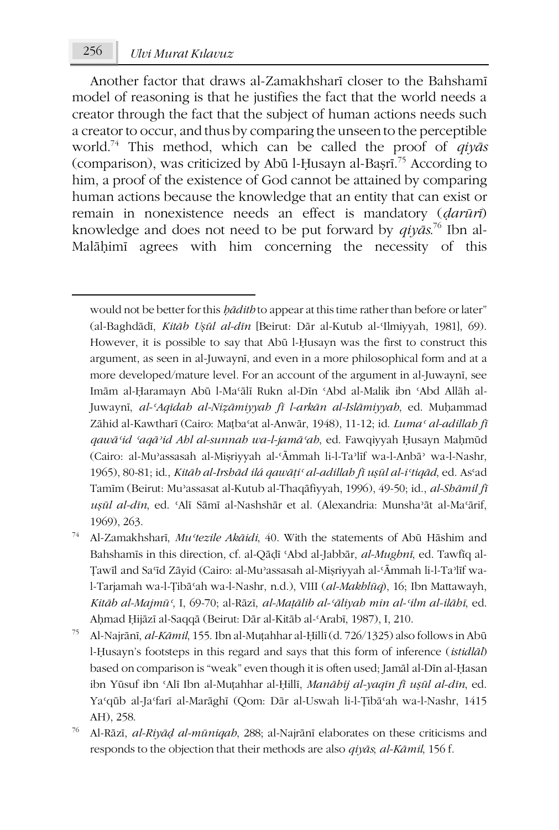-

Another factor that draws al-Zamakhsharī closer to the Bahshamī model of reasoning is that he justifies the fact that the world needs a creator through the fact that the subject of human actions needs such a creator to occur, and thus by comparing the unseen to the perceptible world.74 This method, which can be called the proof of *qiyās* (comparison), was criticized by Abū l-Ḥusayn al-Baṣrī. <sup>75</sup> According to him, a proof of the existence of God cannot be attained by comparing human actions because the knowledge that an entity that can exist or remain in nonexistence needs an effect is mandatory (*ḍarūrī*) knowledge and does not need to be put forward by *qiyās*. <sup>76</sup> Ibn al-Malāḥimī agrees with him concerning the necessity of this

would not be better for this *ḥādith* to appear at this time rather than before or later" (al-Baghdādī, *Kitāb Uṣūl al-dīn* [Beirut: Dār al-Kutub al-ʿIlmiyyah, 1981], 69). However, it is possible to say that Abū l-Ḥusayn was the first to construct this argument, as seen in al-Juwaynī, and even in a more philosophical form and at a more developed/mature level. For an account of the argument in al-Juwaynī, see Imām al-Ḥaramayn Abū l-Maʿālī Rukn al-Dīn ʿAbd al-Malik ibn ʿAbd Allāh al-Juwaynī, *al-ʿAqīdah al-Niẓāmiyyah fī l-arkān al-Islāmiyyah*, ed. Muḥammad Zāhid al-Kawtharī (Cairo: Maṭbaʿat al-Anwār, 1948), 11-12; id. *Lumaʿ al-adillah fī qawāʿid ʿaqāʾid Ahl al-sunnah wa-l-jamāʿah*, ed. Fawqiyyah Ḥusayn Maḥmūd (Cairo: al-Muʾassasah al-Miṣriyyah al-ʿĀmmah li-l-Taʾlīf wa-l-Anbāʾ wa-l-Nashr, 1965), 80-81; id., *Kitāb al-Irshād ilá qawāṭiʿ al-adillah fī uṣūl al-iʿtiqād*, ed. Asʿad Tamīm (Beirut: Muʾassasat al-Kutub al-Thaqāfiyyah, 1996), 49-50; id., *al-Shāmil fī uṣūl al-dīn*, ed. ʿAlī Sāmī al-Nashshār et al. (Alexandria: Munshaʾāt al-Maʿārif, 1969), 263.

- <sup>74</sup> Al-Zamakhsharī, *Muʿtezile Akāidi*, 40. With the statements of Abū Hāshim and Bahshamīs in this direction, cf. al-Qāḍī ʿAbd al-Jabbār, *al-Mughnī*, ed. Tawfīq al-Ṭawīl and Saʿīd Zāyid (Cairo: al-Muʾassasah al-Miṣriyyah al-ʿĀmmah li-l-Taʾlīf wal-Tarjamah wa-l-Ṭibāʿah wa-l-Nashr, n.d.), VIII (*al-Makhlūq*), 16; Ibn Mattawayh, *Kitāb al-Majmūʿ*, I, 69-70; al-Rāzī, *al-Maṭālib al-ʿāliyah min al-ʿilm al-ilāhī*, ed. Aḥmad Ḥijāzī al-Saqqā (Beirut: Dār al-Kitāb al-ʿArabī, 1987), I, 210.
- <sup>75</sup> Al-Najrānī, *al-Kāmil*, 155. Ibn al-Muṭahhar al-Ḥillī (d. 726/1325) also follows in Abū l-Ḥusayn's footsteps in this regard and says that this form of inference (*istidlāl*) based on comparison is "weak" even though it is often used; Jamāl al-Dīn al-Ḥasan ibn Yūsuf ibn ʿAlī Ibn al-Muṭahhar al-Ḥillī, *Manāhij al-yaqīn fī uṣūl al-dīn*, ed. Yaʿqūb al-Jaʿfarī al-Marāghī (Qom: Dār al-Uswah li-l-Ṭibāʿah wa-l-Nashr, 1415 AH), 258.
- <sup>76</sup> Al-Rāzī, *al-Riyāḍ al-mūniqah*, 288; al-Najrānī elaborates on these criticisms and responds to the objection that their methods are also *qiyās*; *al-Kāmil*, 156 f.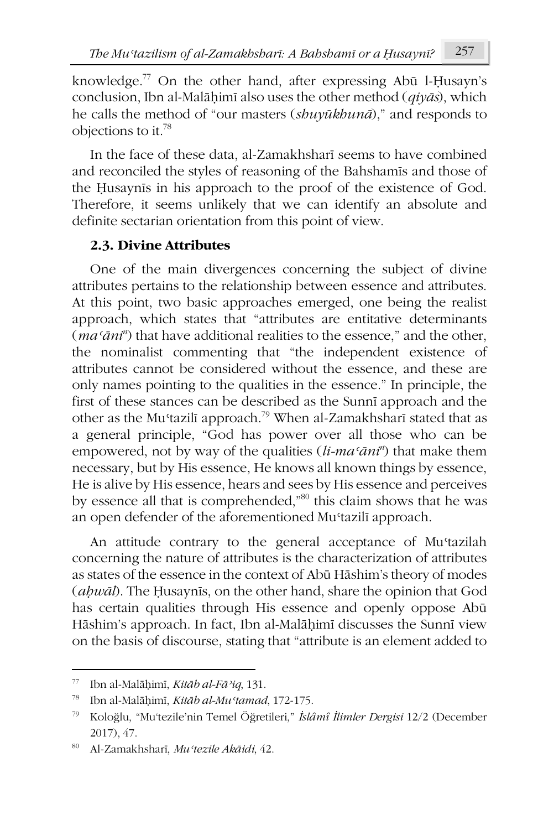knowledge.77 On the other hand, after expressing Abū l-Ḥusayn's conclusion, Ibn al-Malāḥimī also uses the other method (*qiyās*), which he calls the method of "our masters (*shuyūkhunā*)," and responds to objections to it.78

In the face of these data, al-Zamakhsharī seems to have combined and reconciled the styles of reasoning of the Bahshamīs and those of the Ḥusaynīs in his approach to the proof of the existence of God. Therefore, it seems unlikely that we can identify an absolute and definite sectarian orientation from this point of view.

### **2.3. Divine Attributes**

One of the main divergences concerning the subject of divine attributes pertains to the relationship between essence and attributes. At this point, two basic approaches emerged, one being the realist approach, which states that "attributes are entitative determinants (*maʿāni<sup>n</sup>* ) that have additional realities to the essence," and the other, the nominalist commenting that "the independent existence of attributes cannot be considered without the essence, and these are only names pointing to the qualities in the essence." In principle, the first of these stances can be described as the Sunnī approach and the other as the Muʿtazilī approach.79 When al-Zamakhsharī stated that as a general principle, "God has power over all those who can be empowered, not by way of the qualities (*li-maʿāni<sup>n</sup>* ) that make them necessary, but by His essence, He knows all known things by essence, He is alive by His essence, hears and sees by His essence and perceives by essence all that is comprehended,"<sup>80</sup> this claim shows that he was an open defender of the aforementioned Muʿtazilī approach.

An attitude contrary to the general acceptance of Mu'tazilah concerning the nature of attributes is the characterization of attributes as states of the essence in the context of Abū Hāshim's theory of modes (*aḥwāl*). The Ḥusaynīs, on the other hand, share the opinion that God has certain qualities through His essence and openly oppose Abū Hāshim's approach. In fact, Ibn al-Malāḥimī discusses the Sunnī view on the basis of discourse, stating that "attribute is an element added to

 $\overline{\phantom{a}}$ 

<sup>77</sup> Ibn al-Malāḥimī, *Kitāb al-Fāʾiq*, 131.

<sup>78</sup> Ibn al-Malāḥimī, *Kitāb al-Muʿtamad*, 172-175.

<sup>79</sup> Koloğlu, "Mu'tezile'nin Temel Öğretileri," *İslâmî İlimler Dergisi* 12/2 (December 2017), 47.

<sup>80</sup> Al-Zamakhsharī, *Muʿtezile Akāidi*, 42.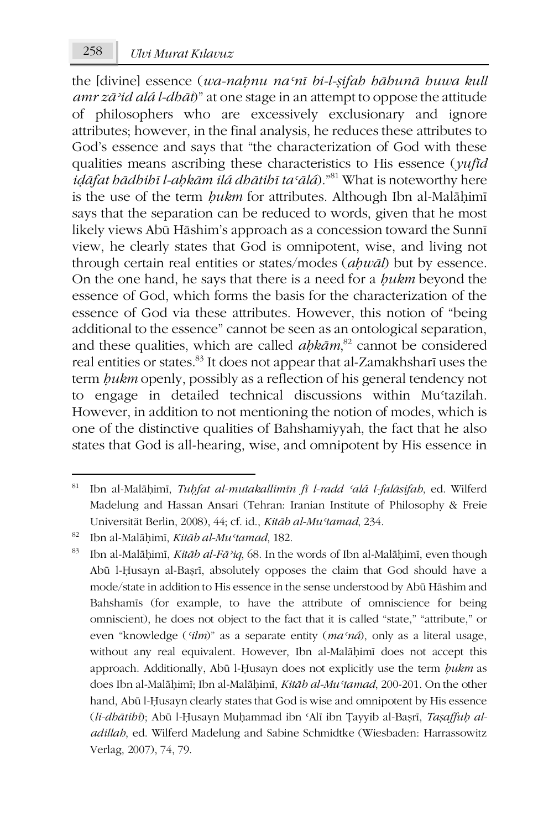the [divine] essence (*wa-naḥnu naʿnī bi-l-ṣifah hāhunā huwa kull amr zāʾid alá l-dhāt*)" at one stage in an attempt to oppose the attitude of philosophers who are excessively exclusionary and ignore attributes; however, in the final analysis, he reduces these attributes to God's essence and says that "the characterization of God with these qualities means ascribing these characteristics to His essence (*yufīd iḍāfat hādhihī l-aḥkām ilá dhātihī taʿālá*)."81 What is noteworthy here is the use of the term *ḥukm* for attributes. Although Ibn al-Malāḥimī says that the separation can be reduced to words, given that he most likely views Abū Hāshim's approach as a concession toward the Sunnī view, he clearly states that God is omnipotent, wise, and living not through certain real entities or states/modes (*aḥwāl*) but by essence. On the one hand, he says that there is a need for a *ḥukm* beyond the essence of God, which forms the basis for the characterization of the essence of God via these attributes. However, this notion of "being additional to the essence" cannot be seen as an ontological separation, and these qualities, which are called *aḥkām*, <sup>82</sup> cannot be considered real entities or states.83 It does not appear that al-Zamakhsharī uses the term *ḥukm* openly, possibly as a reflection of his general tendency not to engage in detailed technical discussions within Muʿtazilah. However, in addition to not mentioning the notion of modes, which is one of the distinctive qualities of Bahshamiyyah, the fact that he also states that God is all-hearing, wise, and omnipotent by His essence in

**.** 

<sup>81</sup> Ibn al-Malāḥimī, *Tuḥfat al-mutakallimīn fī l-radd ʿalá l-falāsifah*, ed. Wilferd Madelung and Hassan Ansari (Tehran: Iranian Institute of Philosophy & Freie Universität Berlin, 2008), 44; cf. id., *Kitāb al-Muʿtamad*, 234.

<sup>82</sup> Ibn al-Malāḥimī, *Kitāb al-Muʿtamad*, 182.

<sup>83</sup> Ibn al-Malāḥimī, *Kitāb al-Fāʾiq*, 68. In the words of Ibn al-Malāḥimī, even though Abū l-Ḥusayn al-Baṣrī, absolutely opposes the claim that God should have a mode/state in addition to His essence in the sense understood by Abū Hāshim and Bahshamīs (for example, to have the attribute of omniscience for being omniscient), he does not object to the fact that it is called "state," "attribute," or even "knowledge (*ʿilm*)" as a separate entity (*maʿná*), only as a literal usage, without any real equivalent. However, Ibn al-Malāḥimī does not accept this approach. Additionally, Abū l-Ḥusayn does not explicitly use the term *ḥukm* as does Ibn al-Malāḥimī; Ibn al-Malāḥimī, *Kitāb al-Muʿtamad*, 200-201. On the other hand, Abū l-Ḥusayn clearly states that God is wise and omnipotent by His essence (*li-dhātihī*); Abū l-Ḥusayn Muḥammad ibn ʿAlī ibn Ṭayyib al-Baṣrī, *Taṣaffuḥ aladillah*, ed. Wilferd Madelung and Sabine Schmidtke (Wiesbaden: Harrassowitz Verlag, 2007), 74, 79.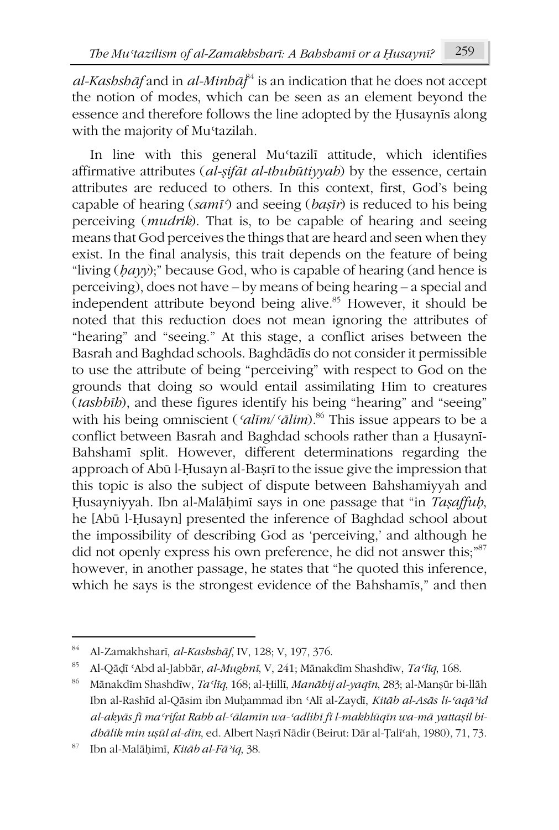*al-Kashshāf* and in *al-Minhāj* <sup>84</sup> is an indication that he does not accept the notion of modes, which can be seen as an element beyond the essence and therefore follows the line adopted by the Ḥusaynīs along with the majority of Mustazilah.

In line with this general Mustazili attitude, which identifies affirmative attributes (*al-ṣifāt al-thubūtiyyah*) by the essence, certain attributes are reduced to others. In this context, first, God's being capable of hearing (*samīʿ*) and seeing (*baṣīr*) is reduced to his being perceiving (*mudrik*). That is, to be capable of hearing and seeing means that God perceives the things that are heard and seen when they exist. In the final analysis, this trait depends on the feature of being "living (*ḥayy*);" because God, who is capable of hearing (and hence is perceiving), does not have – by means of being hearing – a special and independent attribute beyond being alive.<sup>85</sup> However, it should be noted that this reduction does not mean ignoring the attributes of "hearing" and "seeing." At this stage, a conflict arises between the Basrah and Baghdad schools. Baghdādīs do not consider it permissible to use the attribute of being "perceiving" with respect to God on the grounds that doing so would entail assimilating Him to creatures (*tashbīh*), and these figures identify his being "hearing" and "seeing" with his being omniscient (*ʿalīm*/*ʿālim*).86 This issue appears to be a conflict between Basrah and Baghdad schools rather than a Ḥusaynī-Bahshamī split. However, different determinations regarding the approach of Abū l-Ḥusayn al-Baṣrī to the issue give the impression that this topic is also the subject of dispute between Bahshamiyyah and Ḥusayniyyah. Ibn al-Malāḥimī says in one passage that "in *Taṣaffuḥ*, he [Abū l-Ḥusayn] presented the inference of Baghdad school about the impossibility of describing God as 'perceiving,' and although he did not openly express his own preference, he did not answer this;<sup>"87</sup> however, in another passage, he states that "he quoted this inference, which he says is the strongest evidence of the Bahshamīs," and then

<sup>84</sup> Al-Zamakhsharī, *al-Kashshāf*, IV, 128; V, 197, 376.

<sup>85</sup> Al-Qāḍī ʿAbd al-Jabbār, *al-Mughnī*, V, 241; Mānakdīm Shashdīw, *Taʿlīq*, 168.

<sup>86</sup> Mānakdīm Shashdīw, *Taʿlīq*, 168; al-Ḥillī, *Manāhij al-yaqīn*, 283; al-Manṣūr bi-llāh Ibn al-Rashīd al-Qāsim ibn Muḥammad ibn ʿAlī al-Zaydī, *Kitāb al-Asās li-ʿaqāʾid*  al-akyās fī ma 'rifat Rabb al-'ālamīn wa-'adlibī fī l-makblūqīn wa-mā yattaşil bi*dhālik min uṣūl al-dīn*, ed. Albert Naṣrī Nādir (Beirut: Dār al-Ṭalīʿah, 1980), 71, 73.

<sup>87</sup> Ibn al-Malāḥimī, *Kitāb al-Fāʾiq*, 38.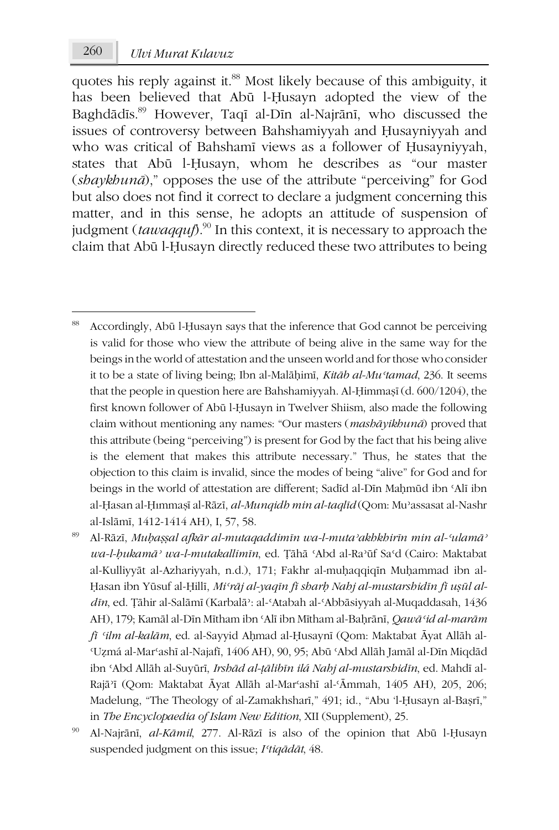quotes his reply against it.<sup>88</sup> Most likely because of this ambiguity, it has been believed that Abū l-Ḥusayn adopted the view of the Baghdādīs.89 However, Taqī al-Dīn al-Najrānī, who discussed the issues of controversy between Bahshamiyyah and Ḥusayniyyah and who was critical of Bahshamī views as a follower of Ḥusayniyyah, states that Abū l-Ḥusayn, whom he describes as "our master (*shaykhunā*)," opposes the use of the attribute "perceiving" for God but also does not find it correct to declare a judgment concerning this matter, and in this sense, he adopts an attitude of suspension of judgment (*tawaqquf*).<sup>90</sup> In this context, it is necessary to approach the claim that Abū l-Ḥusayn directly reduced these two attributes to being

<sup>-</sup>88 Accordingly, Abū l-Ḥusayn says that the inference that God cannot be perceiving is valid for those who view the attribute of being alive in the same way for the beings in the world of attestation and the unseen world and for those who consider it to be a state of living being; Ibn al-Malāḥimī, *Kitāb al-Muʿtamad*, 236. It seems that the people in question here are Bahshamiyyah. Al-Ḥimmaṣī (d. 600/1204), the first known follower of Abū l-Ḥusayn in Twelver Shiism, also made the following claim without mentioning any names: "Our masters (*mashāyikhunā*) proved that this attribute (being "perceiving") is present for God by the fact that his being alive is the element that makes this attribute necessary." Thus, he states that the objection to this claim is invalid, since the modes of being "alive" for God and for beings in the world of attestation are different; Sadīd al-Dīn Mahmūd ibn 'Alī ibn al-Ḥasan al-Ḥımmaṣī al-Rāzī, *al-Munqidh min al-taqlīd* (Qom: Muʾassasat al-Nashr al-Islāmī, 1412-1414 AH), I, 57, 58.

<sup>89</sup> Al-Rāzī, *Muḥaṣṣal afkār al-mutaqaddimīn wa-l-mutaʾakhkhirīn min al-ʿulamāʾ wa-l-ḥukamāʾ wa-l-mutakallimīn*, ed. Ṭāhā ʿAbd al-Raʾūf Saʿd (Cairo: Maktabat al-Kulliyyāt al-Azhariyyah, n.d.), 171; Fakhr al-muḥaqqiqīn Muḥammad ibn al-Ḥasan ibn Yūsuf al-Ḥillī, *Miʿrāj al-yaqīn fī sharḥ Nahj al-mustarshidīn fī uṣūl aldīn*, ed. Ṭāhir al-Salāmī (Karbalāʾ: al-ʿAtabah al-ʿAbbāsiyyah al-Muqaddasah, 1436 AH), 179; Kamāl al-Dīn Mītham ibn ʿAlī ibn Mītham al-Baḥrānī, *Qawāʿid al-marām fī ʿilm al-kalām*, ed. al-Sayyid Aḥmad al-Ḥusaynī (Qom: Maktabat Āyat Allāh al-ʿUẓmá al-Marʿashī al-Najafī, 1406 AH), 90, 95; Abū ʿAbd Allāh Jamāl al-Dīn Miqdād ibn ʿAbd Allāh al-Suyūrī, *Irshād al-ṭālibīn ilá Nahj al-mustarshidīn*, ed. Mahdī al-Rajāʾī (Qom: Maktabat Āyat Allāh al-Marʿashī al-ʿĀmmah, 1405 AH), 205, 206; Madelung, "The Theology of al-Zamakhsharī," 491; id., "Abu 'l-Ḥusayn al-Baṣrī," in *The Encyclopaedia of Islam New Edition*, XII (Supplement), 25.

<sup>90</sup> Al-Najrānī, *al-Kāmil*, 277. Al-Rāzī is also of the opinion that Abū l-Ḥusayn suspended judgment on this issue; *Iʿtiqādāt*, 48.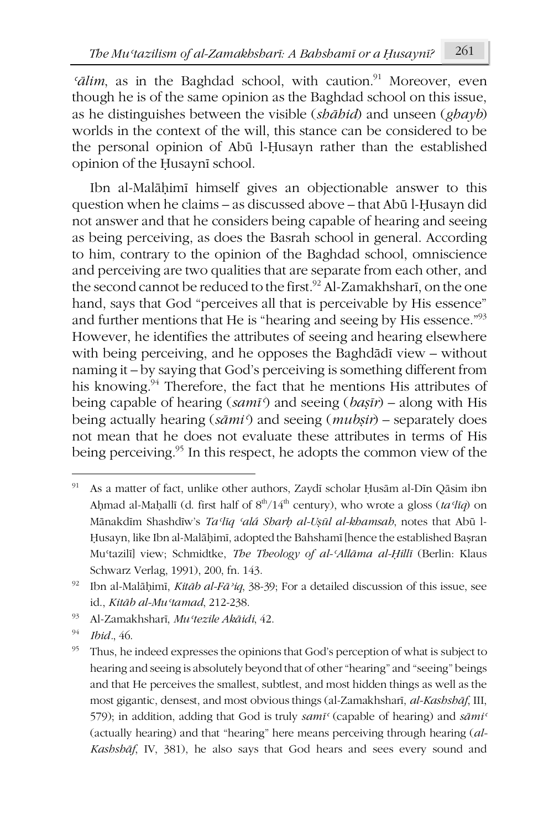$\delta$ *ialim*, as in the Baghdad school, with caution.<sup>91</sup> Moreover, even though he is of the same opinion as the Baghdad school on this issue, as he distinguishes between the visible (*shāhid*) and unseen (*ghayb*) worlds in the context of the will, this stance can be considered to be the personal opinion of Abū l-Ḥusayn rather than the established opinion of the Ḥusaynī school.

Ibn al-Malāḥimī himself gives an objectionable answer to this question when he claims – as discussed above – that Abū l-Ḥusayn did not answer and that he considers being capable of hearing and seeing as being perceiving, as does the Basrah school in general. According to him, contrary to the opinion of the Baghdad school, omniscience and perceiving are two qualities that are separate from each other, and the second cannot be reduced to the first.<sup>92</sup> Al-Zamakhsharī, on the one hand, says that God "perceives all that is perceivable by His essence" and further mentions that He is "hearing and seeing by His essence."93 However, he identifies the attributes of seeing and hearing elsewhere with being perceiving, and he opposes the Baghdādī view – without naming it – by saying that God's perceiving is something different from his knowing.<sup>94</sup> Therefore, the fact that he mentions His attributes of being capable of hearing (*samīʿ*) and seeing (*baṣīr*) – along with His being actually hearing (*sāmiʿ*) and seeing (*mubṣir*) – separately does not mean that he does not evaluate these attributes in terms of His being perceiving.<sup>95</sup> In this respect, he adopts the common view of the

<sup>91</sup> As a matter of fact, unlike other authors, Zaydī scholar Ḥusām al-Dīn Qāsim ibn Ahmad al-Maḥallī (d. first half of  $8<sup>th</sup>/14<sup>th</sup>$  century), who wrote a gloss (*ta*<sup>*{Iq}*</sup>) on Mānakdīm Shashdīw's *Taʿlīq ʿalá Sharḥ al-Uṣūl al-khamsah*, notes that Abū l-Ḥusayn, like Ibn al-Malāḥimī, adopted the Bahshamī [hence the established Baṣran Muʿtazilī] view; Schmidtke, *The Theology of al-ʿAllāma al-Ḥillī* (Berlin: Klaus Schwarz Verlag, 1991), 200, fn. 143.

<sup>92</sup> Ibn al-Malāḥimī, *Kitāb al-Fāʾiq*, 38-39; For a detailed discussion of this issue, see id., *Kitāb al-Muʿtamad*, 212-238.

<sup>93</sup> Al-Zamakhsharī, *Muʿtezile Akāidi*, 42.

<sup>94</sup> *Ibid.*, 46.

<sup>&</sup>lt;sup>95</sup> Thus, he indeed expresses the opinions that God's perception of what is subject to hearing and seeing is absolutely beyond that of other "hearing" and "seeing" beings and that He perceives the smallest, subtlest, and most hidden things as well as the most gigantic, densest, and most obvious things (al-Zamakhsharī, *al-Kashshāf*, III, 579); in addition, adding that God is truly *samīʿ* (capable of hearing) and *sāmiʿ* (actually hearing) and that "hearing" here means perceiving through hearing (*al-Kashshāf*, IV, 381), he also says that God hears and sees every sound and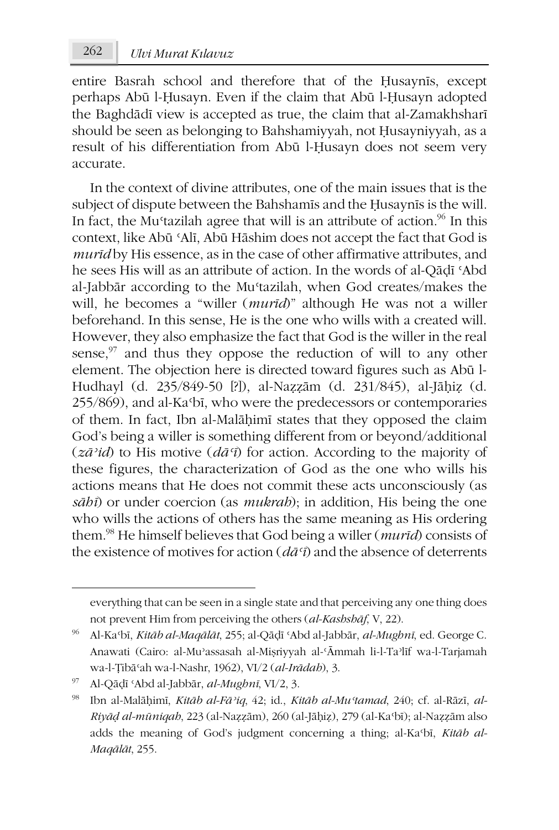entire Basrah school and therefore that of the Ḥusaynīs, except perhaps Abū l-Ḥusayn. Even if the claim that Abū l-Ḥusayn adopted the Baghdādī view is accepted as true, the claim that al-Zamakhsharī should be seen as belonging to Bahshamiyyah, not Ḥusayniyyah, as a result of his differentiation from Abū l-Ḥusayn does not seem very accurate.

In the context of divine attributes, one of the main issues that is the subject of dispute between the Bahshamīs and the Ḥusaynīs is the will. In fact, the Mu<sup>st</sup>azilah agree that will is an attribute of action.<sup>96</sup> In this context, like Abū ʿAlī, Abū Hāshim does not accept the fact that God is *murīd* by His essence, as in the case of other affirmative attributes, and he sees His will as an attribute of action. In the words of al-Qāḍī ʿAbd al-Jabbār according to the Muʿtazilah, when God creates/makes the will, he becomes a "willer (*murīd*)" although He was not a willer beforehand. In this sense, He is the one who wills with a created will. However, they also emphasize the fact that God is the willer in the real sense, $97$  and thus they oppose the reduction of will to any other element. The objection here is directed toward figures such as Abū l-Hudhayl (d. 235/849-50 [?]), al-Naẓẓām (d. 231/845), al-Jāḥiẓ (d. 255/869), and al-Kaʿbī, who were the predecessors or contemporaries of them. In fact, Ibn al-Malāḥimī states that they opposed the claim God's being a willer is something different from or beyond/additional (*zāʾid*) to His motive (*dāʿī*) for action. According to the majority of these figures, the characterization of God as the one who wills his actions means that He does not commit these acts unconsciously (as *sāhī*) or under coercion (as *mukrah*); in addition, His being the one who wills the actions of others has the same meaning as His ordering them.98 He himself believes that God being a willer (*murīd*) consists of the existence of motives for action (*dāʿī*) and the absence of deterrents

**.** 

everything that can be seen in a single state and that perceiving any one thing does not prevent Him from perceiving the others (*al-Kashshāf*, V, 22).

<sup>96</sup> Al-Kaʿbī, *Kitāb al-Maqālāt*, 255; al-Qāḍī ʿAbd al-Jabbār, *al-Mughnī*, ed. George C. Anawati (Cairo: al-Muʾassasah al-Miṣriyyah al-ʿĀmmah li-l-Taʾlīf wa-l-Tarjamah wa-l-Ṭibāʿah wa-l-Nashr, 1962), VI/2 (*al-Irādah*), 3.

<sup>97</sup> Al-Qāḍī ʿAbd al-Jabbār, *al-Mughnī*, VI/2, 3.

<sup>98</sup> Ibn al-Malāḥimī, *Kitāb al-Fāʾiq*, 42; id., *Kitāb al-Muʿtamad*, 240; cf. al-Rāzī, *al-Riyāḍ al-mūniqah*, 223 (al-Naẓẓām), 260 (al-Jāḥiẓ), 279 (al-Kaʿbī); al-Naẓẓām also adds the meaning of God's judgment concerning a thing; al-Kaʿbī, *Kitāb al-Maqālāt*, 255.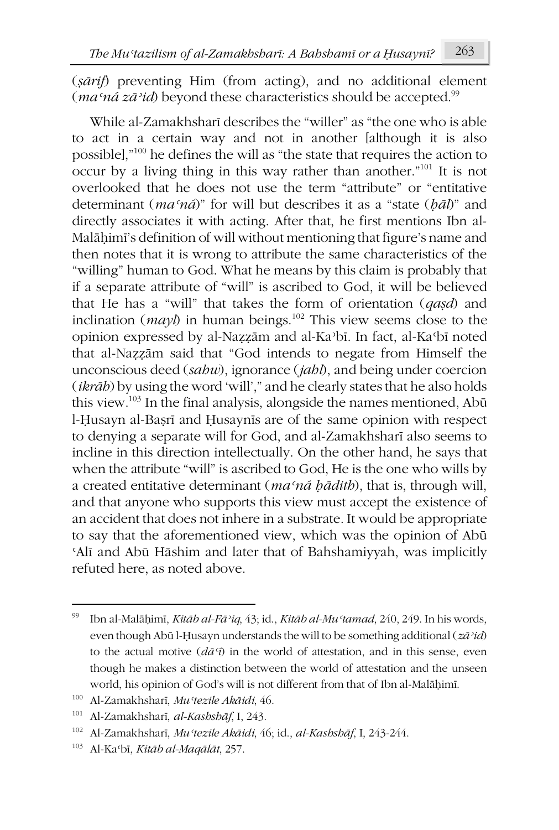(*ṣārif*) preventing Him (from acting), and no additional element (*maʿná zāʾid*) beyond these characteristics should be accepted.99

While al-Zamakhsharī describes the "willer" as "the one who is able to act in a certain way and not in another [although it is also possible],"100 he defines the will as "the state that requires the action to occur by a living thing in this way rather than another."101 It is not overlooked that he does not use the term "attribute" or "entitative determinant (*maʿná*)" for will but describes it as a "state (*ḥāl*)" and directly associates it with acting. After that, he first mentions Ibn al-Malāḥimī's definition of will without mentioning that figure's name and then notes that it is wrong to attribute the same characteristics of the "willing" human to God. What he means by this claim is probably that if a separate attribute of "will" is ascribed to God, it will be believed that He has a "will" that takes the form of orientation (*qaṣd*) and inclination ( $may$ ) in human beings.<sup>102</sup> This view seems close to the opinion expressed by al-Naẓẓām and al-Kaʾbī. In fact, al-Kaʿbī noted that al-Naẓẓām said that "God intends to negate from Himself the unconscious deed (*sahw*), ignorance (*jahl*), and being under coercion (*ikrāh*) by using the word 'will'," and he clearly states that he also holds this view.103 In the final analysis, alongside the names mentioned, Abū l-Ḥusayn al-Baṣrī and Ḥusaynīs are of the same opinion with respect to denying a separate will for God, and al-Zamakhsharī also seems to incline in this direction intellectually. On the other hand, he says that when the attribute "will" is ascribed to God, He is the one who wills by a created entitative determinant (*maʿná ḥādith*), that is, through will, and that anyone who supports this view must accept the existence of an accident that does not inhere in a substrate. It would be appropriate to say that the aforementioned view, which was the opinion of Abū ʿAlī and Abū Hāshim and later that of Bahshamiyyah, was implicitly refuted here, as noted above.

**.** 

<sup>99</sup> Ibn al-Malāḥimī, *Kitāb al-Fāʾiq*, 43; id., *Kitāb al-Muʿtamad*, 240, 249. In his words, even though Abū l-Ḥusayn understands the will to be something additional (*zāʾid*) to the actual motive (*dāʿī*) in the world of attestation, and in this sense, even though he makes a distinction between the world of attestation and the unseen world, his opinion of God's will is not different from that of Ibn al-Malāḥimī.

<sup>100</sup> Al-Zamakhsharī, *Muʿtezile Akāidi*, 46.

<sup>101</sup> Al-Zamakhsharī, *al-Kashshāf*, I, 243.

<sup>102</sup> Al-Zamakhsharī, *Muʿtezile Akāidi*, 46; id., *al-Kashshāf*, I, 243-244.

<sup>103</sup> Al-Kaʿbī, *Kitāb al-Maqālāt*, 257.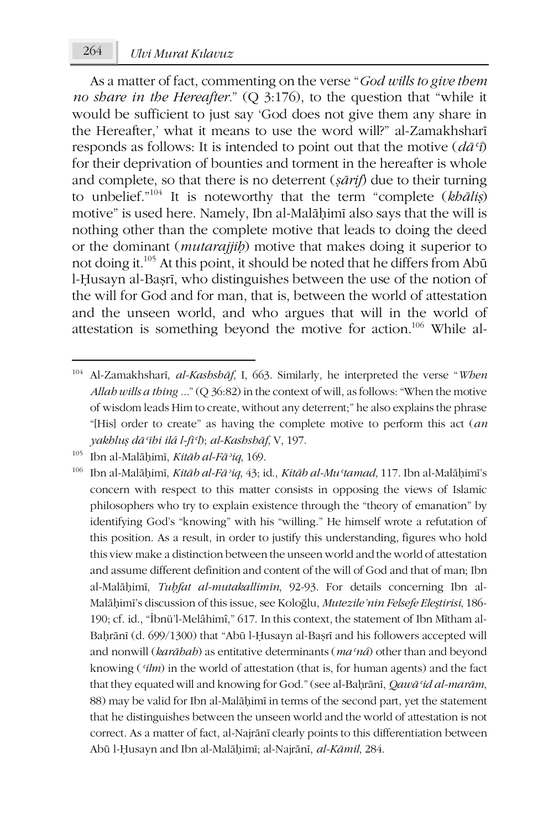As a matter of fact, commenting on the verse "*God wills to give them no share in the Hereafter.*" (Q 3:176), to the question that "while it would be sufficient to just say 'God does not give them any share in the Hereafter,' what it means to use the word will?" al-Zamakhsharī responds as follows: It is intended to point out that the motive (*dāʿī*) for their deprivation of bounties and torment in the hereafter is whole and complete, so that there is no deterrent (*ṣārif*) due to their turning to unbelief."104 It is noteworthy that the term "complete (*khāliṣ*) motive" is used here. Namely, Ibn al-Malāḥimī also says that the will is nothing other than the complete motive that leads to doing the deed or the dominant (*mutarajjiḥ*) motive that makes doing it superior to not doing it.105 At this point, it should be noted that he differs from Abū l-Ḥusayn al-Baṣrī, who distinguishes between the use of the notion of the will for God and for man, that is, between the world of attestation and the unseen world, and who argues that will in the world of attestation is something beyond the motive for action.106 While al-

-

<sup>104</sup> Al-Zamakhsharī, *al-Kashshāf*, I, 663. Similarly, he interpreted the verse "*When Allah wills a thing ...*" (Q 36:82) in the context of will, as follows: "When the motive of wisdom leads Him to create, without any deterrent;" he also explains the phrase "[His] order to create" as having the complete motive to perform this act (*an yakhluṣ dāʿīhi ilá l-fiʿl*); *al-Kashshāf*, V, 197.

<sup>105</sup> Ibn al-Malāḥimī, *Kitāb al-Fāʾiq*, 169.

<sup>106</sup> Ibn al-Malāḥimī, *Kitāb al-Fāʾiq*, 43; id., *Kitāb al-Muʿtamad*, 117. Ibn al-Malāḥimī's concern with respect to this matter consists in opposing the views of Islamic philosophers who try to explain existence through the "theory of emanation" by identifying God's "knowing" with his "willing." He himself wrote a refutation of this position. As a result, in order to justify this understanding, figures who hold this view make a distinction between the unseen world and the world of attestation and assume different definition and content of the will of God and that of man; Ibn al-Malāḥimī, *Tuḥfat al-mutakallimīn*, 92-93. For details concerning Ibn al-Malāḥimī's discussion of this issue, see Koloğlu, *Mutezile'nin Felsefe Eleştirisi*, 186- 190; cf. id., "İbnü'l-Melâhimî," 617. In this context, the statement of Ibn Mītham al-Baḥrānī (d. 699/1300) that "Abū l-Ḥusayn al-Baṣrī and his followers accepted will and nonwill (*karāhah*) as entitative determinants (*maʿná*) other than and beyond knowing (*ʿilm*) in the world of attestation (that is, for human agents) and the fact that they equated will and knowing for God." (see al-Baḥrānī, *Qawāʿid al-marām*, 88) may be valid for Ibn al-Malāḥimī in terms of the second part, yet the statement that he distinguishes between the unseen world and the world of attestation is not correct. As a matter of fact, al-Najrānī clearly points to this differentiation between Abū l-Ḥusayn and Ibn al-Malāḥimī; al-Najrānī, *al-Kāmil*, 284.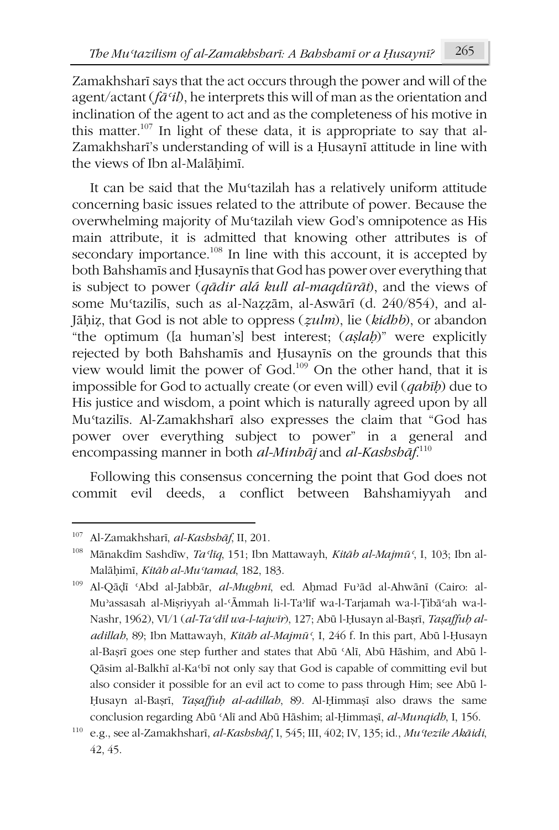Zamakhsharī says that the act occurs through the power and will of the agent/actant (*fāʿil*), he interprets this will of man as the orientation and inclination of the agent to act and as the completeness of his motive in this matter.<sup>107</sup> In light of these data, it is appropriate to say that al-Zamakhsharī's understanding of will is a Ḥusaynī attitude in line with the views of Ibn al-Malāhimī.

It can be said that the Mustazilah has a relatively uniform attitude concerning basic issues related to the attribute of power. Because the overwhelming majority of Muʿtazilah view God's omnipotence as His main attribute, it is admitted that knowing other attributes is of secondary importance.<sup>108</sup> In line with this account, it is accepted by both Bahshamīs and Ḥusaynīs that God has power over everything that is subject to power (*qādir alá kull al-maqdūrāt*), and the views of some Muʿtazilīs, such as al-Naẓẓām, al-Aswārī (d. 240/854), and al-Jāḥiẓ, that God is not able to oppress (*ẓulm*), lie (*kidhb*), or abandon "the optimum ([a human's] best interest; (*aṣlaḥ*)" were explicitly rejected by both Bahshamīs and Ḥusaynīs on the grounds that this view would limit the power of God.109 On the other hand, that it is impossible for God to actually create (or even will) evil (*qabīḥ*) due to His justice and wisdom, a point which is naturally agreed upon by all Muʿtazilīs. Al-Zamakhsharī also expresses the claim that "God has power over everything subject to power" in a general and encompassing manner in both *al-Minhāj* and *al-Kashshāf*. 110

Following this consensus concerning the point that God does not commit evil deeds, a conflict between Bahshamiyyah and

-

<sup>109</sup> Al-Qāḍī ʿAbd al-Jabbār, *al-Mughnī*, ed. Aḥmad Fuʾād al-Ahwānī (Cairo: al-Muʾassasah al-Miṣriyyah al-ʿĀmmah li-l-Taʾlīf wa-l-Tarjamah wa-l-Ṭibāʿah wa-l-Nashr, 1962), VI/1 (*al-Taʿdīl wa-l-tajwīr*), 127; Abū l-Ḥusayn al-Baṣrī, *Taṣaffuḥ aladillah*, 89; Ibn Mattawayh, *Kitāb al-Majmūʿ*, I, 246 f. In this part, Abū l-Ḥusayn al-Baṣrī goes one step further and states that Abū ʿAlī, Abū Hāshim, and Abū l-Qāsim al-Balkhī al-Kaʿbī not only say that God is capable of committing evil but also consider it possible for an evil act to come to pass through Him; see Abū l-Ḥusayn al-Baṣrī, *Taṣaffuḥ al-adillah*, 89. Al-Ḥimmaṣī also draws the same conclusion regarding Abū ʿAlī and Abū Hāshim; al-Ḥimmaṣī, *al-Munqidh*, I, 156.

<sup>107</sup> Al-Zamakhsharī, *al-Kashshāf*, II, 201.

<sup>108</sup> Mānakdīm Sashdīw, *Taʿlīq*, 151; Ibn Mattawayh, *Kitāb al-Majmūʿ*, I, 103; Ibn al-Malāḥimī, *Kitāb al-Muʿtamad*, 182, 183.

<sup>110</sup> e.g., see al-Zamakhsharī, *al-Kashshāf*, I, 545; III, 402; IV, 135; id., *Muʿtezile Akāidi*, 42, 45.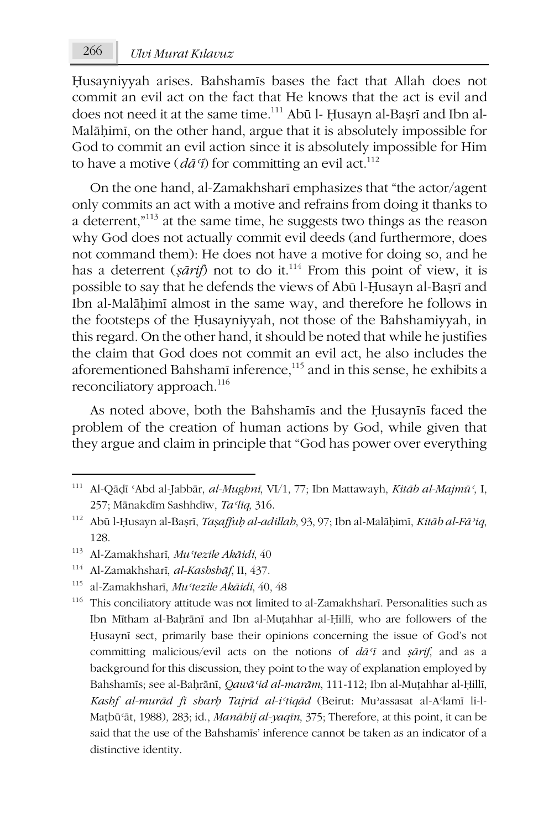Ḥusayniyyah arises. Bahshamīs bases the fact that Allah does not commit an evil act on the fact that He knows that the act is evil and does not need it at the same time.<sup>111</sup> Abū l- Ḥusayn al-Baṣrī and Ibn al-Malāḥimī, on the other hand, argue that it is absolutely impossible for God to commit an evil action since it is absolutely impossible for Him to have a motive  $(d\bar{a}^{\tau}\hat{j})$  for committing an evil act.<sup>112</sup>

On the one hand, al-Zamakhsharī emphasizes that "the actor/agent only commits an act with a motive and refrains from doing it thanks to a deterrent,"113 at the same time, he suggests two things as the reason why God does not actually commit evil deeds (and furthermore, does not command them): He does not have a motive for doing so, and he has a deterrent (*sārif*) not to do it.<sup>114</sup> From this point of view, it is possible to say that he defends the views of Abū l-Ḥusayn al-Baṣrī and Ibn al-Malāḥimī almost in the same way, and therefore he follows in the footsteps of the Ḥusayniyyah, not those of the Bahshamiyyah, in this regard. On the other hand, it should be noted that while he justifies the claim that God does not commit an evil act, he also includes the aforementioned Bahshamī inference,<sup>115</sup> and in this sense, he exhibits a reconciliatory approach.<sup>116</sup>

As noted above, both the Bahshamīs and the Ḥusaynīs faced the problem of the creation of human actions by God, while given that they argue and claim in principle that "God has power over everything

**.** 

<sup>114</sup> Al-Zamakhsharī, *al-Kashshāf*, II, 437.

<sup>111</sup> Al-Qāḍī ʿAbd al-Jabbār, *al-Mughnī*, VI/1, 77; Ibn Mattawayh, *Kitāb al-Majmūʿ*, I, 257; Mānakdīm Sashhdīw, *Taʿlīq*, 316.

<sup>112</sup> Abū l-Ḥusayn al-Baṣrī, *Taṣaffuḥ al-adillah*, 93, 97; Ibn al-Malāḥimī, *Kitāb al-Fāʾiq*, 128.

<sup>113</sup> Al-Zamakhsharī, *Muʿtezile Akāidi*, 40

<sup>115</sup> al-Zamakhsharī, *Muʿtezile Akāidi*, 40, 48

<sup>116</sup> This conciliatory attitude was not limited to al-Zamakhsharī. Personalities such as Ibn Mītham al-Baḥrānī and Ibn al-Muṭahhar al-Ḥillī, who are followers of the Ḥusaynī sect, primarily base their opinions concerning the issue of God's not committing malicious/evil acts on the notions of *dāʿī* and *ṣārif*, and as a background for this discussion, they point to the way of explanation employed by Bahshamīs; see al-Baḥrānī, *Qawāʿid al-marām*, 111-112; Ibn al-Muṭahhar al-Ḥillī, *Kashf al-murād fī sharḥ Tajrīd al-iʿtiqād* (Beirut: Muʾassasat al-Aʿlamī li-l-Maṭbūʿāt, 1988), 283; id., *Manāhij al-yaqīn*, 375; Therefore, at this point, it can be said that the use of the Bahshamīs' inference cannot be taken as an indicator of a distinctive identity.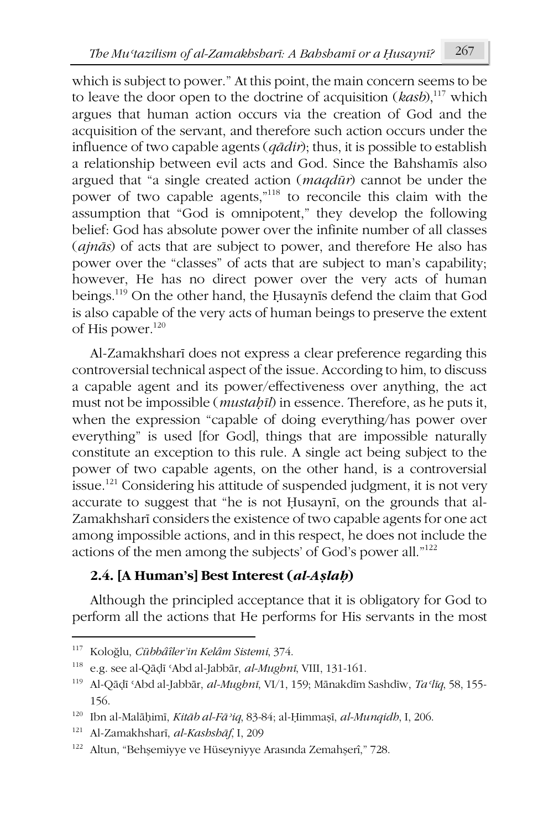which is subject to power." At this point, the main concern seems to be to leave the door open to the doctrine of acquisition (*kasb*),<sup>117</sup> which argues that human action occurs via the creation of God and the acquisition of the servant, and therefore such action occurs under the influence of two capable agents (*qādir*); thus, it is possible to establish a relationship between evil acts and God. Since the Bahshamīs also argued that "a single created action (*maqdūr*) cannot be under the power of two capable agents,"118 to reconcile this claim with the assumption that "God is omnipotent," they develop the following belief: God has absolute power over the infinite number of all classes (*ajnās*) of acts that are subject to power, and therefore He also has power over the "classes" of acts that are subject to man's capability; however, He has no direct power over the very acts of human beings.119 On the other hand, the Ḥusaynīs defend the claim that God is also capable of the very acts of human beings to preserve the extent of His power.<sup>120</sup>

Al-Zamakhsharī does not express a clear preference regarding this controversial technical aspect of the issue. According to him, to discuss a capable agent and its power/effectiveness over anything, the act must not be impossible (*mustaḥīl*) in essence. Therefore, as he puts it, when the expression "capable of doing everything/has power over everything" is used [for God], things that are impossible naturally constitute an exception to this rule. A single act being subject to the power of two capable agents, on the other hand, is a controversial issue.<sup>121</sup> Considering his attitude of suspended judgment, it is not very accurate to suggest that "he is not Ḥusaynī, on the grounds that al-Zamakhsharī considers the existence of two capable agents for one act among impossible actions, and in this respect, he does not include the actions of the men among the subjects' of God's power all."122

# **2.4. [A Human's] Best Interest (***al-Aṣlaḥ***)**

Although the principled acceptance that it is obligatory for God to perform all the actions that He performs for His servants in the most

<sup>117</sup> Koloğlu, *Cübbâîler'in Kelâm Sistemi*, 374.

<sup>118</sup> e.g. see al-Qāḍī ʿAbd al-Jabbār, *al-Mughnī*, VIII, 131-161.

<sup>119</sup> Al-Qāḍī ʿAbd al-Jabbār, *al-Mughnī*, VI/1, 159; Mānakdīm Sashdīw, *Taʿlīq*, 58, 155- 156.

<sup>120</sup> Ibn al-Malāḥimī, *Kitāb al-Fāʾiq*, 83-84; al-Ḥimmaṣī, *al-Munqidh*, I, 206.

<sup>121</sup> Al-Zamakhsharī, *al-Kashshāf*, I, 209

<sup>122</sup> Altun, "Behşemiyye ve Hüseyniyye Arasında Zemahşerî," 728.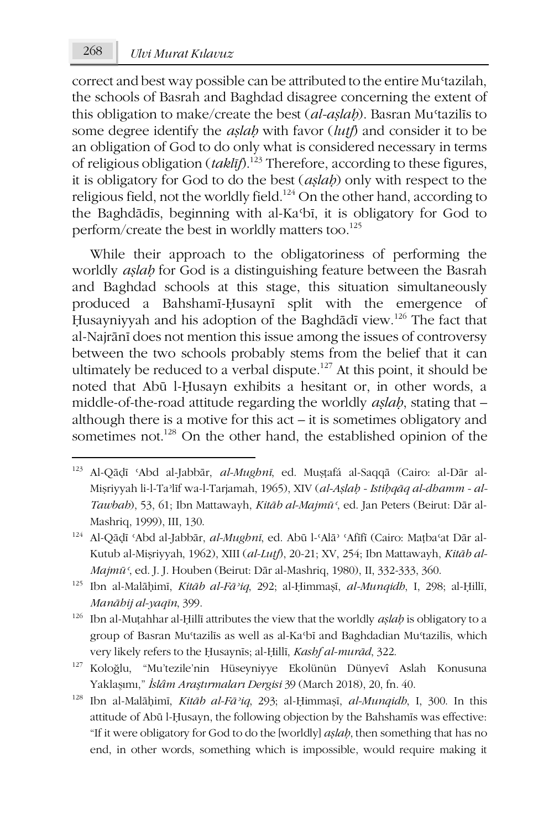## 268 *Ulvi Murat Kılavuz*

correct and best way possible can be attributed to the entire Muʿtazilah, the schools of Basrah and Baghdad disagree concerning the extent of this obligation to make/create the best (*al-aṣlaḥ*). Basran Muʿtazilīs to some degree identify the *aṣlaḥ* with favor (*luṭf*) and consider it to be an obligation of God to do only what is considered necessary in terms of religious obligation (*taklīf*).123 Therefore, according to these figures, it is obligatory for God to do the best (*aṣlaḥ*) only with respect to the religious field, not the worldly field.124 On the other hand, according to the Baghdādīs, beginning with al-Kaʿbī, it is obligatory for God to perform/create the best in worldly matters too.<sup>125</sup>

While their approach to the obligatoriness of performing the worldly *aṣlaḥ* for God is a distinguishing feature between the Basrah and Baghdad schools at this stage, this situation simultaneously produced a Bahshamī-Ḥusaynī split with the emergence of Husayniyyah and his adoption of the Baghdādī view.<sup>126</sup> The fact that al-Najrānī does not mention this issue among the issues of controversy between the two schools probably stems from the belief that it can ultimately be reduced to a verbal dispute.<sup>127</sup> At this point, it should be noted that Abū l-Ḥusayn exhibits a hesitant or, in other words, a middle-of-the-road attitude regarding the worldly *aṣlaḥ*, stating that – although there is a motive for this act – it is sometimes obligatory and sometimes not.<sup>128</sup> On the other hand, the established opinion of the

**.** 

<sup>123</sup> Al-Qāḍī ʿAbd al-Jabbār, *al-Mughnī*, ed. Muṣṭafá al-Saqqā (Cairo: al-Dār al-Miṣriyyah li-l-Taʾlīf wa-l-Tarjamah, 1965), XIV (*al-Aṣlaḥ - Istiḥqāq al-dhamm - al-Tawbah*), 53, 61; Ibn Mattawayh, *Kitāb al-Majmūʿ*, ed. Jan Peters (Beirut: Dār al-Mashriq, 1999), III, 130.

<sup>124</sup> Al-Qāḍī ʿAbd al-Jabbār, *al-Mughnī*, ed. Abū l-ʿAlāʾ ʿAfīfī (Cairo: Maṭbaʿat Dār al-Kutub al-Miṣriyyah, 1962), XIII (*al-Luṭf*), 20-21; XV, 254; Ibn Mattawayh, *Kitāb al-Majmūʿ*, ed. J. J. Houben (Beirut: Dār al-Mashriq, 1980), II, 332-333, 360.

<sup>125</sup> Ibn al-Malāḥimī, *Kitāb al-Fāʾiq*, 292; al-Ḥimmaṣī, *al-Munqidh*, I, 298; al-Ḥillī, *Manāhij al-yaqīn*, 399.

<sup>126</sup> Ibn al-Muṭahhar al-Ḥillī attributes the view that the worldly *aṣlaḥ* is obligatory to a group of Basran Muʿtazilīs as well as al-Kaʿbī and Baghdadian Muʿtazilīs, which very likely refers to the Ḥusaynīs; al-Ḥillī, *Kashf al-murād*, 322.

<sup>127</sup> Koloğlu, "Mu'tezile'nin Hüseyniyye Ekolünün Dünyevî Aslah Konusuna Yaklaşımı," *İslâm Araştırmaları Dergisi* 39 (March 2018), 20, fn. 40.

<sup>128</sup> Ibn al-Malāḥimī, *Kitāb al-Fāʾiq*, 293; al-Ḥimmaṣī, *al-Munqidh*, I, 300. In this attitude of Abū l-Ḥusayn, the following objection by the Bahshamīs was effective: "If it were obligatory for God to do the [worldly] *aṣlaḥ*, then something that has no end, in other words, something which is impossible, would require making it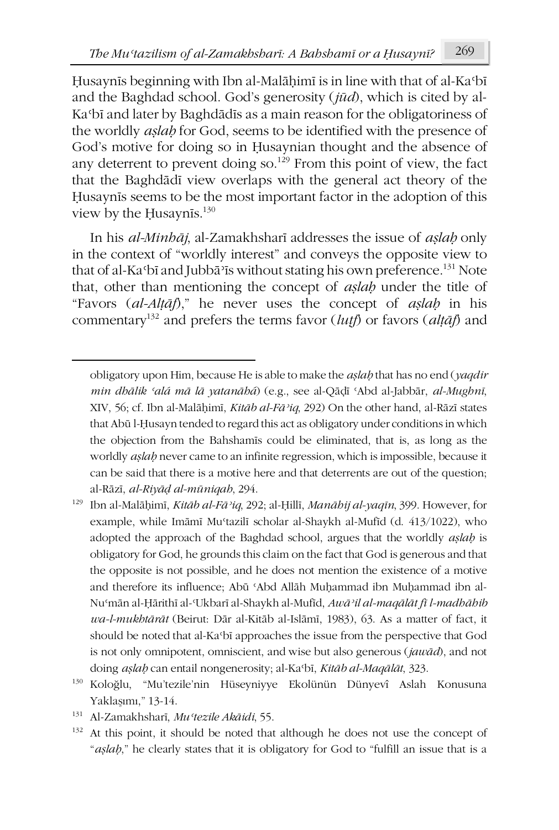Ḥusaynīs beginning with Ibn al-Malāḥimī is in line with that of al-Kaʿbī and the Baghdad school. God's generosity (*jūd*), which is cited by al-Kaʿbī and later by Baghdādīs as a main reason for the obligatoriness of the worldly *aṣlaḥ* for God, seems to be identified with the presence of God's motive for doing so in Ḥusaynian thought and the absence of any deterrent to prevent doing so.<sup>129</sup> From this point of view, the fact that the Baghdādī view overlaps with the general act theory of the Ḥusaynīs seems to be the most important factor in the adoption of this view by the Ḥusaynīs.<sup>130</sup>

In his *al-Minhāj*, al-Zamakhsharī addresses the issue of *aṣlaḥ* only in the context of "worldly interest" and conveys the opposite view to that of al-Ka $\Omega$ <sub>1</sub> and Jubba<sup>3</sup> is without stating his own preference.<sup>131</sup> Note that, other than mentioning the concept of *aṣlaḥ* under the title of "Favors (*al-Alṭāf*)," he never uses the concept of *aṣlaḥ* in his commentary<sup>132</sup> and prefers the terms favor (*lutf*) or favors ( $\alpha$ *l* $\tau$ *āf*) and

<sup>131</sup> Al-Zamakhsharī, *Muʿtezile Akāidi*, 55.

-

<sup>132</sup> At this point, it should be noted that although he does not use the concept of "*aṣlaḥ*," he clearly states that it is obligatory for God to "fulfill an issue that is a

obligatory upon Him, because He is able to make the *aṣlaḥ* that has no end (*yaqdir min dhālik ʿalá mā lā yatanāhá*) (e.g., see al-Qāḍī ʿAbd al-Jabbār, *al-Mughnī*, XIV, 56; cf. Ibn al-Malāḥimī, *Kitāb al-Fāʾiq*, 292) On the other hand, al-Rāzī states that Abū l-Ḥusayn tended to regard this act as obligatory under conditions in which the objection from the Bahshamīs could be eliminated, that is, as long as the worldly *aṣlaḥ* never came to an infinite regression, which is impossible, because it can be said that there is a motive here and that deterrents are out of the question; al-Rāzī, *al-Riyāḍ al-mūniqah*, 294.

<sup>129</sup> Ibn al-Malāḥimī, *Kitāb al-Fāʾiq*, 292; al-Ḥillī, *Manāhij al-yaqīn*, 399. However, for example, while Imāmī Mu'tazilī scholar al-Shaykh al-Mufīd (d. 413/1022), who adopted the approach of the Baghdad school, argues that the worldly *aṣlaḥ* is obligatory for God, he grounds this claim on the fact that God is generous and that the opposite is not possible, and he does not mention the existence of a motive and therefore its influence; Abū ʿAbd Allāh Muḥammad ibn Muḥammad ibn al-Nuʿmān al-Ḥārithī al-ʿUkbarī al-Shaykh al-Mufīd, *Awāʾil al-maqālāt fī l-madhāhib wa-l-mukhtārāt* (Beirut: Dār al-Kitāb al-Islāmī, 1983), 63. As a matter of fact, it should be noted that al-Kaʿbī approaches the issue from the perspective that God is not only omnipotent, omniscient, and wise but also generous (*jawād*), and not doing *aṣlaḥ* can entail nongenerosity; al-Kaʿbī, *Kitāb al-Maqālāt*, 323.

<sup>130</sup> Koloğlu, "Mu'tezile'nin Hüseyniyye Ekolünün Dünyevî Aslah Konusuna Yaklaşımı," 13-14.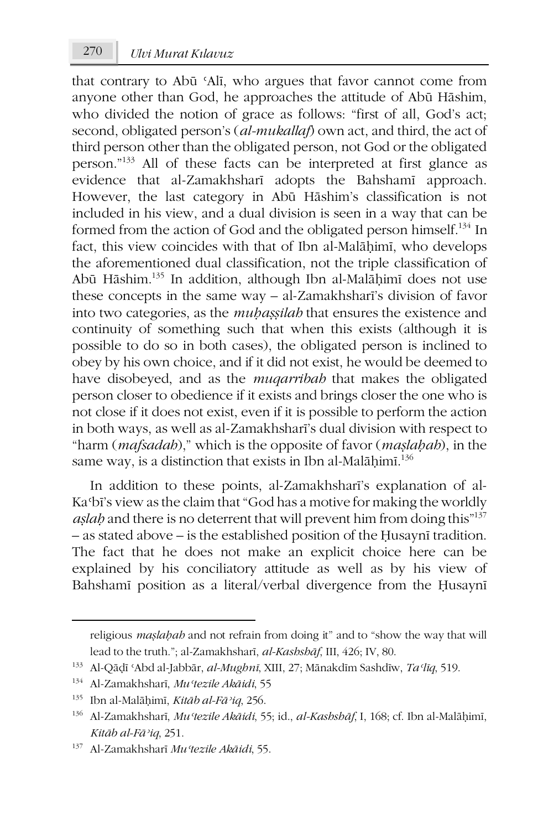that contrary to Abū ʿAlī, who argues that favor cannot come from anyone other than God, he approaches the attitude of Abū Hāshim, who divided the notion of grace as follows: "first of all, God's act; second, obligated person's (*al-mukallaf*) own act, and third, the act of third person other than the obligated person, not God or the obligated person."133 All of these facts can be interpreted at first glance as evidence that al-Zamakhsharī adopts the Bahshamī approach. However, the last category in Abū Hāshim's classification is not included in his view, and a dual division is seen in a way that can be formed from the action of God and the obligated person himself.<sup>134</sup> In fact, this view coincides with that of Ibn al-Malāḥimī, who develops the aforementioned dual classification, not the triple classification of Abū Hāshim.135 In addition, although Ibn al-Malāḥimī does not use these concepts in the same way – al-Zamakhsharī's division of favor into two categories, as the *muḥaṣṣilah* that ensures the existence and continuity of something such that when this exists (although it is possible to do so in both cases), the obligated person is inclined to obey by his own choice, and if it did not exist, he would be deemed to have disobeyed, and as the *muqarribah* that makes the obligated person closer to obedience if it exists and brings closer the one who is not close if it does not exist, even if it is possible to perform the action in both ways, as well as al-Zamakhsharī's dual division with respect to "harm (*mafsadah*)," which is the opposite of favor (*maṣlaḥah*), in the same way, is a distinction that exists in Ibn al-Malāḥimī. $^{136}$ 

In addition to these points, al-Zamakhsharī's explanation of al-Kaʿbī's view as the claim that "God has a motive for making the worldly *aṣlaḥ* and there is no deterrent that will prevent him from doing this"137 – as stated above – is the established position of the Ḥusaynī tradition. The fact that he does not make an explicit choice here can be explained by his conciliatory attitude as well as by his view of Bahshamī position as a literal/verbal divergence from the Ḥusaynī

**.** 

religious *maṣlaḥah* and not refrain from doing it" and to "show the way that will lead to the truth."; al-Zamakhsharī, *al-Kashshāf*, III, 426; IV, 80.

<sup>133</sup> Al-Qāḍī ʿAbd al-Jabbār, *al-Mughnī*, XIII, 27; Mānakdīm Sashdīw, *Taʿlīq*, 519.

<sup>134</sup> Al-Zamakhsharī, *Muʿtezile Akāidi*, 55

<sup>135</sup> Ibn al-Malāḥimī, *Kitāb al-Fāʾiq*, 256.

<sup>136</sup> Al-Zamakhsharī, *Muʿtezile Akāidi*, 55; id., *al-Kashshāf*, I, 168; cf. Ibn al-Malāḥimī, *Kitāb al-Fāʾiq*, 251.

<sup>137</sup> Al-Zamakhsharī *Muʿtezile Akāidi*, 55.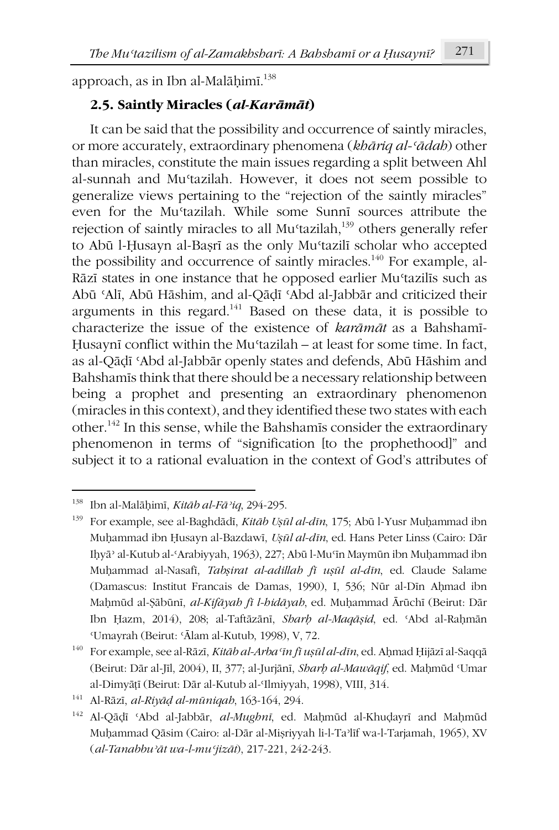approach, as in Ibn al-Malāḥimī.<sup>138</sup>

# **2.5. Saintly Miracles (***al-Karāmāt***)**

It can be said that the possibility and occurrence of saintly miracles, or more accurately, extraordinary phenomena (*khāriq al-ʿādah*) other than miracles, constitute the main issues regarding a split between Ahl al-sunnah and Muʿtazilah. However, it does not seem possible to generalize views pertaining to the "rejection of the saintly miracles" even for the Muʿtazilah. While some Sunnī sources attribute the rejection of saintly miracles to all Mu'tazilah,<sup>139</sup> others generally refer to Abū l-Ḥusayn al-Baṣrī as the only Muʿtazilī scholar who accepted the possibility and occurrence of saintly miracles.<sup>140</sup> For example, al-Rāzī states in one instance that he opposed earlier Muʿtazilīs such as Abū ʿAlī, Abū Hāshim, and al-Qāḍī ʿAbd al-Jabbār and criticized their arguments in this regard.141 Based on these data, it is possible to characterize the issue of the existence of *karāmāt* as a Bahshamī-Ḥusaynī conflict within the Muʿtazilah – at least for some time. In fact, as al-Qāḍī ʿAbd al-Jabbār openly states and defends, Abū Hāshim and Bahshamīs think that there should be a necessary relationship between being a prophet and presenting an extraordinary phenomenon (miracles in this context), and they identified these two states with each other.142 In this sense, while the Bahshamīs consider the extraordinary phenomenon in terms of "signification [to the prophethood]" and subject it to a rational evaluation in the context of God's attributes of

<sup>1</sup> <sup>138</sup> Ibn al-Malāḥimī, *Kitāb al-Fāʾiq*, 294-295.

<sup>139</sup> For example, see al-Baghdādī, *Kitāb Uṣūl al-dīn*, 175; Abū l-Yusr Muḥammad ibn Muḥammad ibn Ḥusayn al-Bazdawī, *Uṣūl al-dīn*, ed. Hans Peter Linss (Cairo: Dār Iḥyāʾ al-Kutub al-ʿArabiyyah, 1963), 227; Abū l-Muʿīn Maymūn ibn Muḥammad ibn Muḥammad al-Nasafī, *Tabṣirat al-adillah fī uṣūl al-dīn*, ed. Claude Salame (Damascus: Institut Francais de Damas, 1990), I, 536; Nūr al-Dīn Aḥmad ibn Maḥmūd al-Ṣābūnī, *al-Kifāyah fī l-hidāyah*, ed. Muḥammad Ārūchī (Beirut: Dār Ibn Ḥazm, 2014), 208; al-Taftāzānī, *Sharḥ al-Maqāṣid*, ed. ʿAbd al-Raḥmān ʿUmayrah (Beirut: ʿĀlam al-Kutub, 1998), V, 72.

<sup>140</sup> For example, see al-Rāzī, *Kitāb al-Arbaʿīn fī uṣūl al-dīn*, ed. Aḥmad Ḥijāzī al-Saqqā (Beirut: Dār al-Jīl, 2004), II, 377; al-Jurjānī, *Sharḥ al-Mawāqif*, ed. Maḥmūd ʿUmar al-Dimyāṭī (Beirut: Dār al-Kutub al-ʿIlmiyyah, 1998), VIII, 314.

<sup>141</sup> Al-Rāzī, *al-Riyāḍ al-mūniqah*, 163-164, 294.

<sup>142</sup> Al-Qāḍī ʿAbd al-Jabbār, *al-Mughnī*, ed. Maḥmūd al-Khuḍayrī and Maḥmūd Muḥammad Qāsim (Cairo: al-Dār al-Miṣriyyah li-l-Taʾlīf wa-l-Tarjamah, 1965), XV (*al-Tanabbuʾāt wa-l-muʿjizāt*), 217-221, 242-243.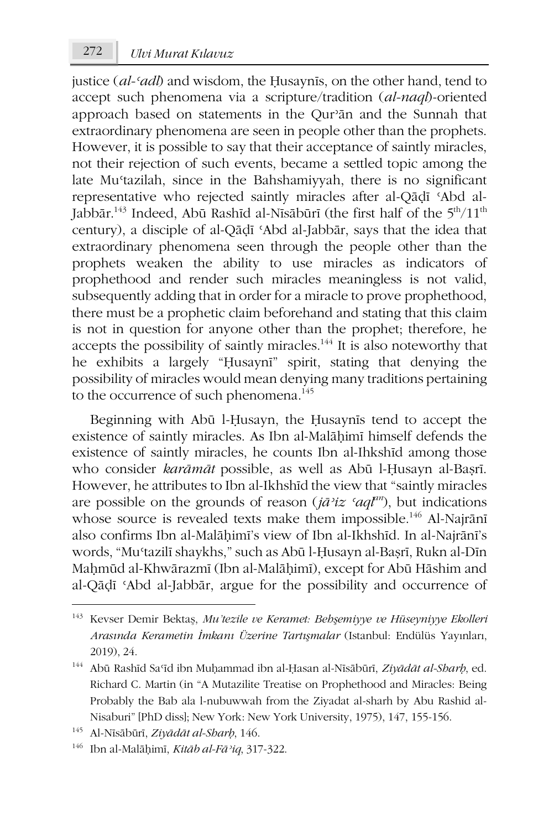justice (*al-ʿadl*) and wisdom, the Ḥusaynīs, on the other hand, tend to accept such phenomena via a scripture/tradition (*al-naql*)-oriented approach based on statements in the Qurʾān and the Sunnah that extraordinary phenomena are seen in people other than the prophets. However, it is possible to say that their acceptance of saintly miracles, not their rejection of such events, became a settled topic among the late Muʿtazilah, since in the Bahshamiyyah, there is no significant representative who rejected saintly miracles after al-Qāḍī ʿAbd al-Jabbār.<sup>143</sup> Indeed, Abū Rashīd al-Nīsābūrī (the first half of the  $5<sup>th</sup>/11<sup>th</sup>$ century), a disciple of al-Qāḍī ʿAbd al-Jabbār, says that the idea that extraordinary phenomena seen through the people other than the prophets weaken the ability to use miracles as indicators of prophethood and render such miracles meaningless is not valid, subsequently adding that in order for a miracle to prove prophethood, there must be a prophetic claim beforehand and stating that this claim is not in question for anyone other than the prophet; therefore, he accepts the possibility of saintly miracles.144 It is also noteworthy that he exhibits a largely "Ḥusaynī" spirit, stating that denying the possibility of miracles would mean denying many traditions pertaining to the occurrence of such phenomena.<sup>145</sup>

Beginning with Abū l-Ḥusayn, the Ḥusaynīs tend to accept the existence of saintly miracles. As Ibn al-Malāḥimī himself defends the existence of saintly miracles, he counts Ibn al-Ihkshīd among those who consider *karāmāt* possible, as well as Abū l-Ḥusayn al-Baṣrī. However, he attributes to Ibn al-Ikhshīd the view that "saintly miracles are possible on the grounds of reason (*jāʾiz ʿaqlan*), but indications whose source is revealed texts make them impossible.<sup>146</sup> Al-Najrānī also confirms Ibn al-Malāḥimī's view of Ibn al-Ikhshīd. In al-Najrānī's words, "Muʿtazilī shaykhs," such as Abū l-Ḥusayn al-Baṣrī, Rukn al-Dīn Maḥmūd al-Khwārazmī (Ibn al-Malāḥimī), except for Abū Hāshim and al-Qāḍī ʿAbd al-Jabbār, argue for the possibility and occurrence of

<sup>143</sup> Kevser Demir Bektaş, *Mu'tezile ve Keramet: Behşemiyye ve Hüseyniyye Ekolleri Arasında Kerametin İmkanı Üzerine Tartışmalar* (Istanbul: Endülüs Yayınları, 2019), 24.

<sup>144</sup> Abū Rashīd Saʿīd ibn Muḥammad ibn al-Ḥasan al-Nīsābūrī, *Ziyādāt al-Sharḥ*, ed. Richard C. Martin (in "A Mutazilite Treatise on Prophethood and Miracles: Being Probably the Bab ala l-nubuwwah from the Ziyadat al-sharh by Abu Rashid al-Nisaburi" [PhD diss]; New York: New York University, 1975), 147, 155-156.

<sup>145</sup> Al-Nīsābūrī, *Ziyādāt al-Sharḥ*, 146.

<sup>146</sup> Ibn al-Malāḥimī, *Kitāb al-Fāʾiq*, 317-322.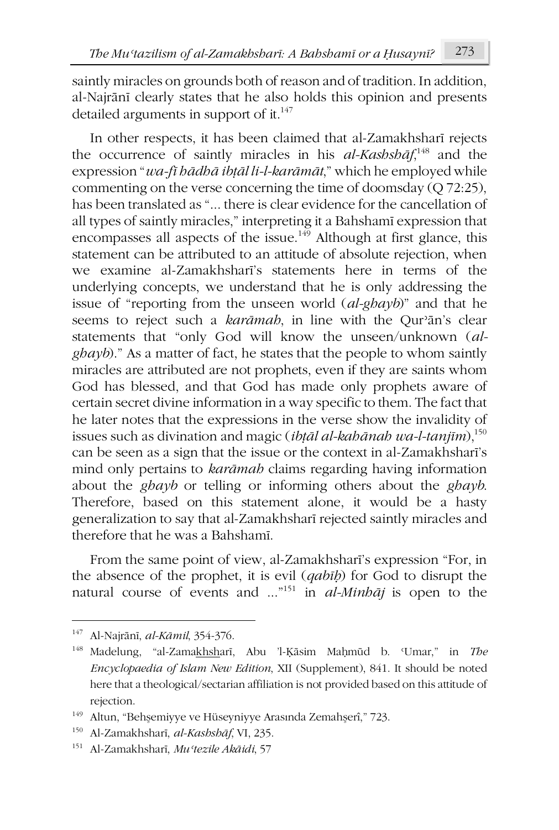saintly miracles on grounds both of reason and of tradition. In addition, al-Najrānī clearly states that he also holds this opinion and presents detailed arguments in support of it. $147$ 

In other respects, it has been claimed that al-Zamakhsharī rejects the occurrence of saintly miracles in his *al-Kashshāf*, <sup>148</sup> and the expression "*wa-fī hādhā ibṭāl li-l-karāmāt*," which he employed while commenting on the verse concerning the time of doomsday (Q 72:25), has been translated as "... there is clear evidence for the cancellation of all types of saintly miracles," interpreting it a Bahshamī expression that encompasses all aspects of the issue.<sup>149</sup> Although at first glance, this statement can be attributed to an attitude of absolute rejection, when we examine al-Zamakhsharī's statements here in terms of the underlying concepts, we understand that he is only addressing the issue of "reporting from the unseen world (*al-ghayb*)" and that he seems to reject such a *karāmah*, in line with the Qurʾān's clear statements that "only God will know the unseen/unknown (*alghayb*)." As a matter of fact, he states that the people to whom saintly miracles are attributed are not prophets, even if they are saints whom God has blessed, and that God has made only prophets aware of certain secret divine information in a way specific to them. The fact that he later notes that the expressions in the verse show the invalidity of issues such as divination and magic (*ibṭāl al-kahānah wa-l-tanjīm*),150 can be seen as a sign that the issue or the context in al-Zamakhsharī's mind only pertains to *karāmah* claims regarding having information about the *ghayb* or telling or informing others about the *ghayb*. Therefore, based on this statement alone, it would be a hasty generalization to say that al-Zamakhsharī rejected saintly miracles and therefore that he was a Bahshamī.

From the same point of view, al-Zamakhsharī's expression "For, in the absence of the prophet, it is evil (*qabīḥ*) for God to disrupt the natural course of events and ..."151 in *al-Minhāj* is open to the

<sup>147</sup> Al-Najrānī, *al-Kāmil*, 354-376.

<sup>148</sup> Madelung, "al-Zamakhsharī, Abu 'l-Ḳāsim Maḥmūd b. ʿUmar," in *The Encyclopaedia of Islam New Edition*, XII (Supplement), 841. It should be noted here that a theological/sectarian affiliation is not provided based on this attitude of rejection.

<sup>149</sup> Altun, "Behşemiyye ve Hüseyniyye Arasında Zemahşerî," 723.

<sup>150</sup> Al-Zamakhsharī, *al-Kashshāf*, VI, 235.

<sup>151</sup> Al-Zamakhsharī, *Muʿtezile Akāidi*, 57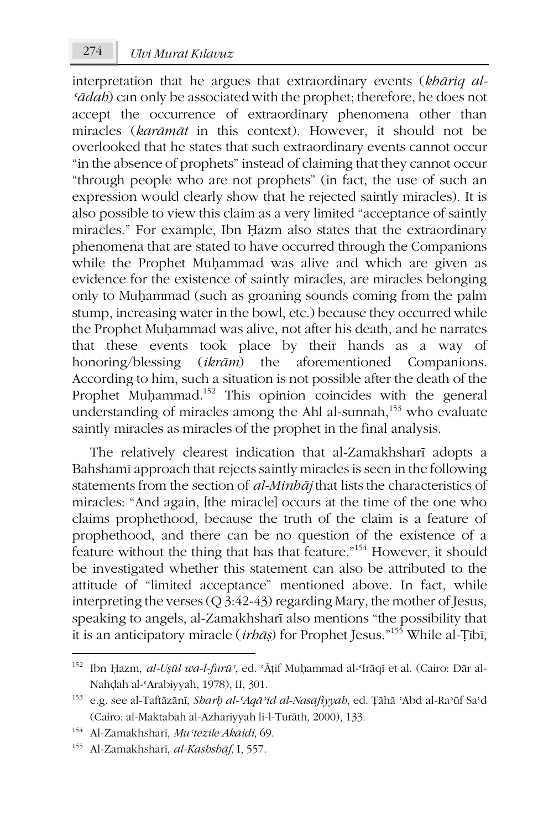interpretation that he argues that extraordinary events (*khāriq al-ʿādah*) can only be associated with the prophet; therefore, he does not accept the occurrence of extraordinary phenomena other than miracles (*karāmāt* in this context). However, it should not be overlooked that he states that such extraordinary events cannot occur "in the absence of prophets" instead of claiming that they cannot occur "through people who are not prophets" (in fact, the use of such an expression would clearly show that he rejected saintly miracles). It is also possible to view this claim as a very limited "acceptance of saintly miracles." For example, Ibn Ḥazm also states that the extraordinary phenomena that are stated to have occurred through the Companions while the Prophet Muḥammad was alive and which are given as evidence for the existence of saintly miracles, are miracles belonging only to Muḥammad (such as groaning sounds coming from the palm stump, increasing water in the bowl, etc.) because they occurred while the Prophet Muḥammad was alive, not after his death, and he narrates that these events took place by their hands as a way of honoring/blessing (*ikrām*) the aforementioned Companions. According to him, such a situation is not possible after the death of the Prophet Muḥammad.<sup>152</sup> This opinion coincides with the general understanding of miracles among the Ahl al-sunnah,<sup>153</sup> who evaluate saintly miracles as miracles of the prophet in the final analysis.

The relatively clearest indication that al-Zamakhsharī adopts a Bahshamī approach that rejects saintly miracles is seen in the following statements from the section of *al-Minhāj* that lists the characteristics of miracles: "And again, [the miracle] occurs at the time of the one who claims prophethood, because the truth of the claim is a feature of prophethood, and there can be no question of the existence of a feature without the thing that has that feature."154 However, it should be investigated whether this statement can also be attributed to the attitude of "limited acceptance" mentioned above. In fact, while interpreting the verses (Q 3:42-43) regarding Mary, the mother of Jesus, speaking to angels, al-Zamakhsharī also mentions "the possibility that it is an anticipatory miracle (*irhāṣ*) for Prophet Jesus."155 While al-Ṭībī,

**.** 

<sup>152</sup> Ibn Ḥazm, *al-Uṣūl wa-l-furūʿ*, ed. ʿĀṭif Muḥammad al-ʿIrāqī et al. (Cairo: Dār al-Nahḍah al-ʿArabiyyah, 1978), II, 301.

<sup>153</sup> e.g. see al-Taftāzānī, *Sharḥ al-ʿAqāʾid al-Nasafiyyah*, ed. Ṭāhā ʿAbd al-Raʾūf Saʿd (Cairo: al-Maktabah al-Azhariyyah li-l-Turāth, 2000), 133.

<sup>154</sup> Al-Zamakhsharī, *Muʿtezile Akāidi*, 69.

<sup>155</sup> Al-Zamakhsharī, *al-Kashshāf*, I, 557.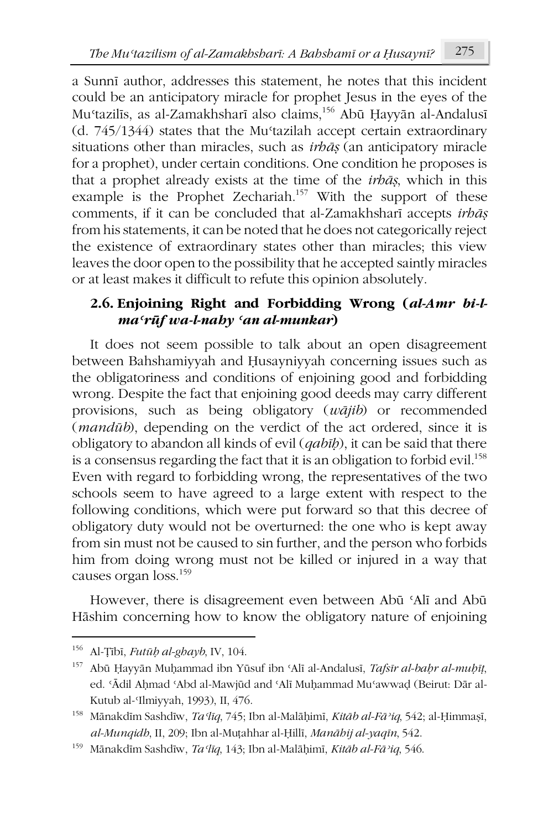a Sunnī author, addresses this statement, he notes that this incident could be an anticipatory miracle for prophet Jesus in the eyes of the Muʿtazilīs, as al-Zamakhsharī also claims,156 Abū Ḥayyān al-Andalusī (d. 745/1344) states that the Muʿtazilah accept certain extraordinary situations other than miracles, such as *irhāṣ* (an anticipatory miracle for a prophet), under certain conditions. One condition he proposes is that a prophet already exists at the time of the *irhāṣ*, which in this example is the Prophet Zechariah.<sup>157</sup> With the support of these comments, if it can be concluded that al-Zamakhsharī accepts *irhāṣ* from his statements, it can be noted that he does not categorically reject the existence of extraordinary states other than miracles; this view leaves the door open to the possibility that he accepted saintly miracles or at least makes it difficult to refute this opinion absolutely.

### **2.6. Enjoining Right and Forbidding Wrong (***al-Amr bi-lmaʿrūf wa-l-nahy ʿan al-munkar***)**

It does not seem possible to talk about an open disagreement between Bahshamiyyah and Ḥusayniyyah concerning issues such as the obligatoriness and conditions of enjoining good and forbidding wrong. Despite the fact that enjoining good deeds may carry different provisions, such as being obligatory (*wājib*) or recommended (*mandūb*), depending on the verdict of the act ordered, since it is obligatory to abandon all kinds of evil (*qabīḥ*), it can be said that there is a consensus regarding the fact that it is an obligation to forbid evil.<sup>158</sup> Even with regard to forbidding wrong, the representatives of the two schools seem to have agreed to a large extent with respect to the following conditions, which were put forward so that this decree of obligatory duty would not be overturned: the one who is kept away from sin must not be caused to sin further, and the person who forbids him from doing wrong must not be killed or injured in a way that causes organ loss.159

However, there is disagreement even between Abū ʿAlī and Abū Hāshim concerning how to know the obligatory nature of enjoining

<sup>156</sup> Al-Ṭībī, *Futūḥ al-ghayb*, IV, 104.

<sup>157</sup> Abū Ḥayyān Muḥammad ibn Yūsuf ibn ʿAlī al-Andalusī, *Tafsīr al-baḥr al-muḥīṭ*, ed. ʿĀdil Aḥmad ʿAbd al-Mawjūd and ʿAlī Muḥammad Muʿawwaḍ (Beirut: Dār al-Kutub al-ʿIlmiyyah, 1993), II, 476.

<sup>158</sup> Mānakdīm Sashdīw, *Taʿlīq*, 745; Ibn al-Malāḥimī, *Kitāb al-Fāʾiq*, 542; al-Ḥimmaṣī, *al-Munqidh*, II, 209; Ibn al-Muṭahhar al-Ḥillī, *Manāhij al-yaqīn*, 542.

<sup>159</sup> Mānakdīm Sashdīw, *Taʿlīq*, 143; Ibn al-Malāḥimī, *Kitāb al-Fāʾiq*, 546.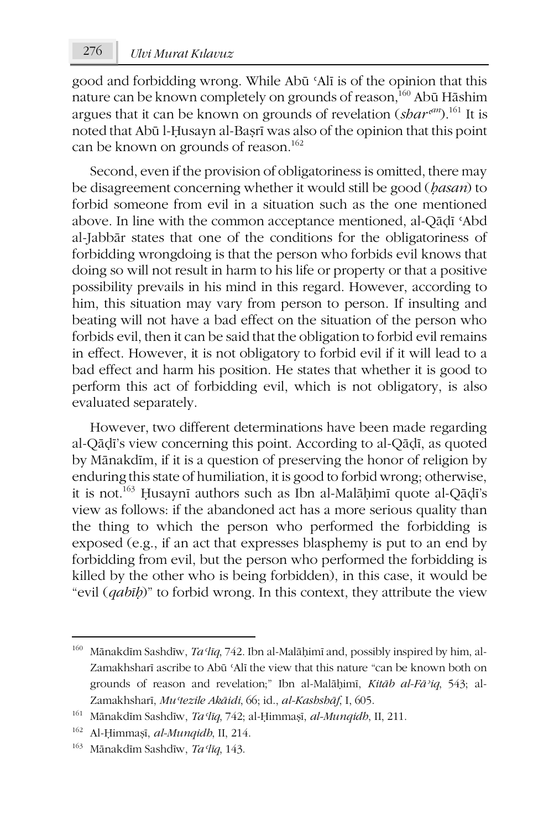## 276 *Ulvi Murat Kılavuz*

good and forbidding wrong. While Abū ʿAlī is of the opinion that this nature can be known completely on grounds of reason,<sup>160</sup> Abū Hāshim argues that it can be known on grounds of revelation (*sharʿ an*).161 It is noted that Abū l-Ḥusayn al-Baṣrī was also of the opinion that this point can be known on grounds of reason.<sup>162</sup>

Second, even if the provision of obligatoriness is omitted, there may be disagreement concerning whether it would still be good (*ḥasan*) to forbid someone from evil in a situation such as the one mentioned above. In line with the common acceptance mentioned, al-Qāḍī ʿAbd al-Jabbār states that one of the conditions for the obligatoriness of forbidding wrongdoing is that the person who forbids evil knows that doing so will not result in harm to his life or property or that a positive possibility prevails in his mind in this regard. However, according to him, this situation may vary from person to person. If insulting and beating will not have a bad effect on the situation of the person who forbids evil, then it can be said that the obligation to forbid evil remains in effect. However, it is not obligatory to forbid evil if it will lead to a bad effect and harm his position. He states that whether it is good to perform this act of forbidding evil, which is not obligatory, is also evaluated separately.

However, two different determinations have been made regarding al-Qāḍī's view concerning this point. According to al-Qāḍī, as quoted by Mānakdīm, if it is a question of preserving the honor of religion by enduring this state of humiliation, it is good to forbid wrong; otherwise, it is not.163 Ḥusaynī authors such as Ibn al-Malāḥimī quote al-Qāḍī's view as follows: if the abandoned act has a more serious quality than the thing to which the person who performed the forbidding is exposed (e.g., if an act that expresses blasphemy is put to an end by forbidding from evil, but the person who performed the forbidding is killed by the other who is being forbidden), in this case, it would be "evil (*qabīḥ*)" to forbid wrong. In this context, they attribute the view

<sup>&</sup>lt;sup>160</sup> Mānakdīm Sashdīw, *Ta*<sup>*lIq*, 742. Ibn al-Malāḥimī and, possibly inspired by him, al-</sup> Zamakhsharī ascribe to Abū ʿAlī the view that this nature "can be known both on grounds of reason and revelation;" Ibn al-Malāḥimī, *Kitāb al-Fāʾiq*, 543; al-Zamakhsharī, *Muʿtezile Akāidi*, 66; id., *al-Kashshāf*, I, 605.

<sup>161</sup> Mānakdīm Sashdīw, *Taʿlīq*, 742; al-Ḥimmaṣī, *al-Munqidh*, II, 211.

<sup>162</sup> Al-Ḥimmaṣī, *al-Munqidh*, II, 214.

<sup>163</sup> Mānakdīm Sashdīw, *Taʿlīq*, 143.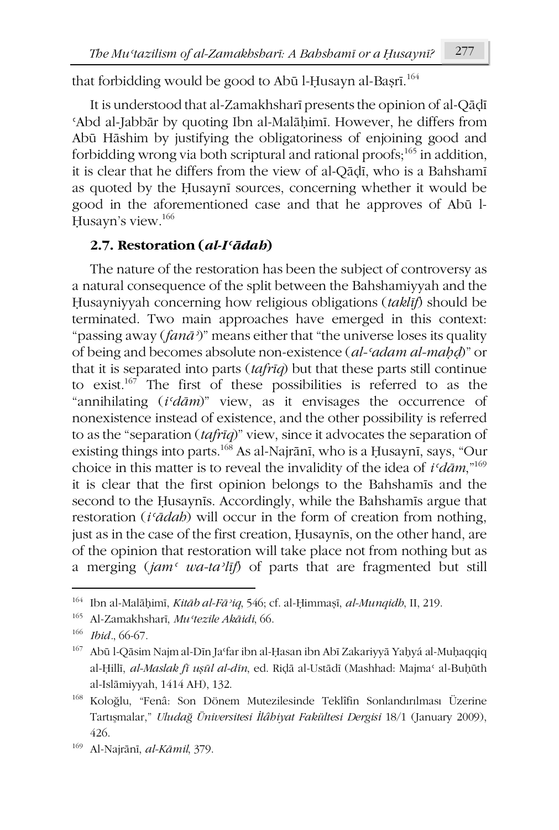that forbidding would be good to Abū l-Ḥusayn al-Baṣrī. 164

It is understood that al-Zamakhsharī presents the opinion of al-Qāḍī ʿAbd al-Jabbār by quoting Ibn al-Malāḥimī. However, he differs from Abū Hāshim by justifying the obligatoriness of enjoining good and forbidding wrong via both scriptural and rational proofs;<sup>165</sup> in addition, it is clear that he differs from the view of al-Qāḍī, who is a Bahshamī as quoted by the Ḥusaynī sources, concerning whether it would be good in the aforementioned case and that he approves of Abū l-Ḥusayn's view.166

### **2.7. Restoration (***al-Iʿādah***)**

The nature of the restoration has been the subject of controversy as a natural consequence of the split between the Bahshamiyyah and the Ḥusayniyyah concerning how religious obligations (*taklīf*) should be terminated. Two main approaches have emerged in this context: "passing away (*fanāʾ*)" means either that "the universe loses its quality of being and becomes absolute non-existence (*al-ʿadam al-maḥḍ*)" or that it is separated into parts (*tafrīq*) but that these parts still continue to exist.<sup>167</sup> The first of these possibilities is referred to as the "annihilating (*iʿdām*)" view, as it envisages the occurrence of nonexistence instead of existence, and the other possibility is referred to as the "separation (*tafrīq*)" view, since it advocates the separation of existing things into parts.168 As al-Najrānī, who is a Ḥusaynī, says, "Our choice in this matter is to reveal the invalidity of the idea of  $i<sup>′</sup>d\bar{a}m$ ,"<sup>169</sup> it is clear that the first opinion belongs to the Bahshamīs and the second to the Ḥusaynīs. Accordingly, while the Bahshamīs argue that restoration (*iʿādah*) will occur in the form of creation from nothing, just as in the case of the first creation, Ḥusaynīs, on the other hand, are of the opinion that restoration will take place not from nothing but as a merging (*jamʿ wa-taʾlīf*) of parts that are fragmented but still

<sup>164</sup> Ibn al-Malāḥimī, *Kitāb al-Fāʾiq*, 546; cf. al-Ḥimmaṣī, *al-Munqidh*, II, 219.

<sup>165</sup> Al-Zamakhsharī, *Muʿtezile Akāidi*, 66.

<sup>166</sup> *Ibid.*, 66-67.

<sup>&</sup>lt;sup>167</sup> Abū l-Qāsim Najm al-Dīn Jaʿfar ibn al-Ḥasan ibn Abī Zakariyyā Yaḥyá al-Muḥaqqiq al-Ḥillī, *al-Maslak fī uṣūl al-dīn*, ed. Riḍā al-Ustādī (Mashhad: Majmaʿ al-Buḥūth al-Islāmiyyah, 1414 AH), 132.

<sup>168</sup> Koloğlu, "Fenâ: Son Dönem Mutezilesinde Teklîfin Sonlandırılması Üzerine Tartışmalar," *Uludağ Üniversitesi İlâhiyat Fakültesi Dergisi* 18/1 (January 2009), 426.

<sup>169</sup> Al-Najrānī, *al-Kāmil*, 379.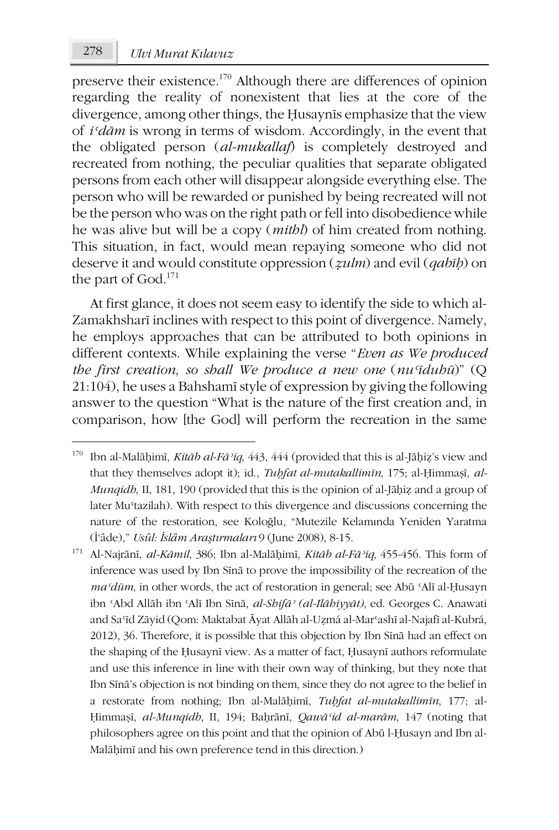1

preserve their existence.170 Although there are differences of opinion regarding the reality of nonexistent that lies at the core of the divergence, among other things, the Ḥusaynīs emphasize that the view of *iʿdām* is wrong in terms of wisdom. Accordingly, in the event that the obligated person (*al-mukallaf*) is completely destroyed and recreated from nothing, the peculiar qualities that separate obligated persons from each other will disappear alongside everything else. The person who will be rewarded or punished by being recreated will not be the person who was on the right path or fell into disobedience while he was alive but will be a copy (*mithl*) of him created from nothing. This situation, in fact, would mean repaying someone who did not deserve it and would constitute oppression (*ẓulm*) and evil (*qabīḥ*) on the part of God.<sup>171</sup>

At first glance, it does not seem easy to identify the side to which al-Zamakhsharī inclines with respect to this point of divergence. Namely, he employs approaches that can be attributed to both opinions in different contexts. While explaining the verse "*Even as We produced the first creation, so shall We produce a new one* (*nuʿīduhū*)" (Q 21:104), he uses a Bahshamī style of expression by giving the following answer to the question "What is the nature of the first creation and, in comparison, how [the God] will perform the recreation in the same

<sup>170</sup> Ibn al-Malāḥimī, *Kitāb al-Fāʾiq*, 443, 444 (provided that this is al-Jāḥiẓ's view and that they themselves adopt it); id., *Tuḥfat al-mutakallimīn*, 175; al-Ḥimmaṣī, *al-Munqidh*, II, 181, 190 (provided that this is the opinion of al-Jāḥiẓ and a group of later Muʿtazilah). With respect to this divergence and discussions concerning the nature of the restoration, see Koloğlu, "Mutezile Kelamında Yeniden Yaratma (İ'âde)," *Usûl: İslâm Araştırmaları* 9 (June 2008), 8-15.

<sup>171</sup> Al-Najrānī, *al-Kāmil*, 386; Ibn al-Malāḥimī, *Kitāb al-Fāʾiq*, 455-456. This form of inference was used by Ibn Sīnā to prove the impossibility of the recreation of the *maʿdūm*, in other words, the act of restoration in general; see Abū ʿAlī al-Ḥusayn ibn ʿAbd Allāh ibn ʿAlī Ibn Sīnā, *al-Shifāʾ (al-Ilāhiyyāt)*, ed. Georges C. Anawati and Saʿīd Zāyid (Qom: Maktabat Āyat Allāh al-Uẓmá al-Marʿashī al-Najafī al-Kubrá, 2012), 36. Therefore, it is possible that this objection by Ibn Sīnā had an effect on the shaping of the Ḥusaynī view. As a matter of fact, Ḥusaynī authors reformulate and use this inference in line with their own way of thinking, but they note that Ibn Sīnā's objection is not binding on them, since they do not agree to the belief in a restorate from nothing; Ibn al-Malāḥimī, *Tuḥfat al-mutakallimīn*, 177; al-Ḥimmaṣī, *al-Munqidh*, II, 194; Baḥrānī, *Qawāʿid al-marām*, 147 (noting that philosophers agree on this point and that the opinion of Abū l-Ḥusayn and Ibn al-Malāḥimī and his own preference tend in this direction.)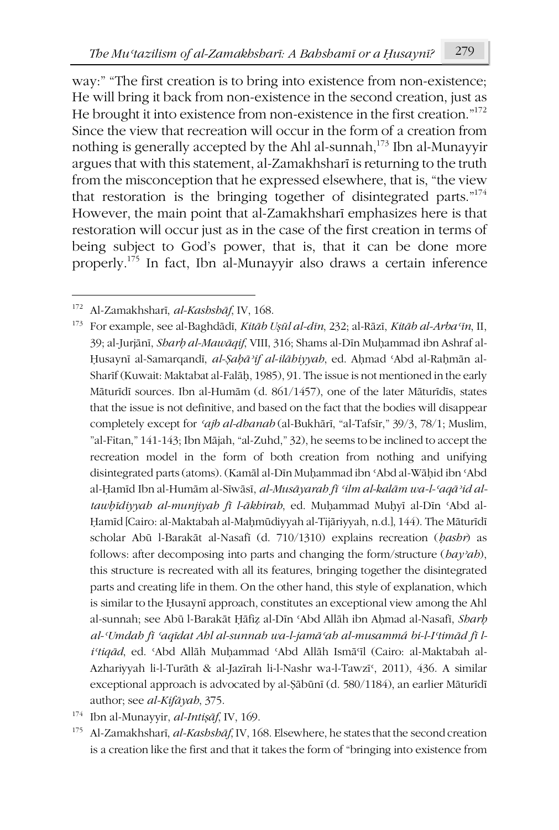way:" "The first creation is to bring into existence from non-existence: He will bring it back from non-existence in the second creation, just as He brought it into existence from non-existence in the first creation."<sup>172</sup> Since the view that recreation will occur in the form of a creation from nothing is generally accepted by the Ahl al-sunnah,<sup>173</sup> Ibn al-Munayyir argues that with this statement, al-Zamakhsharī is returning to the truth from the misconception that he expressed elsewhere, that is, "the view that restoration is the bringing together of disintegrated parts."174 However, the main point that al-Zamakhsharī emphasizes here is that restoration will occur just as in the case of the first creation in terms of being subject to God's power, that is, that it can be done more properly.175 In fact, Ibn al-Munayyir also draws a certain inference

-

<sup>172</sup> Al-Zamakhsharī, *al-Kashshāf*, IV, 168.

<sup>173</sup> For example, see al-Baghdādī, *Kitāb Uṣūl al-dīn*, 232; al-Rāzī, *Kitāb al-Arbaʿīn*, II, 39; al-Jurjānī, *Sharḥ al-Mawāqif*, VIII, 316; Shams al-Dīn Muḥammad ibn Ashraf al-Ḥusaynī al-Samarqandī, *al-Ṣaḥāʾif al-ilāhiyyah*, ed. Aḥmad ʿAbd al-Raḥmān al-Sharīf (Kuwait: Maktabat al-Falāḥ, 1985), 91. The issue is not mentioned in the early Māturīdī sources. Ibn al-Humām (d. 861/1457), one of the later Māturīdīs, states that the issue is not definitive, and based on the fact that the bodies will disappear completely except for *ʿajb al-dhanab* (al-Bukhārī, "al-Tafsīr," 39/3, 78/1; Muslim, "al-Fitan," 141-143; Ibn Mājah, "al-Zuhd," 32), he seems to be inclined to accept the recreation model in the form of both creation from nothing and unifying disintegrated parts (atoms). (Kamāl al-Dīn Muḥammad ibn ʿAbd al-Wāḥid ibn ʿAbd al-Ḥamīd Ibn al-Humām al-Sīwāsī, *al-Musāyarah fī ʿilm al-kalām wa-l-ʿaqāʾid altawḥīdiyyah al-munjiyah fī l-ākhirah*, ed. Muḥammad Muḥyī al-Dīn ʿAbd al-Ḥamīd [Cairo: al-Maktabah al-Maḥmūdiyyah al-Tijāriyyah, n.d.], 144). The Māturīdī scholar Abū l-Barakāt al-Nasafī (d. 710/1310) explains recreation (*ḥashr*) as follows: after decomposing into parts and changing the form/structure (*hayʾah*), this structure is recreated with all its features, bringing together the disintegrated parts and creating life in them. On the other hand, this style of explanation, which is similar to the Ḥusaynī approach, constitutes an exceptional view among the Ahl al-sunnah; see Abū l-Barakāt Ḥāfiẓ al-Dīn ʿAbd Allāh ibn Aḥmad al-Nasafī, *Sharḥ al-ʿUmdah fī ʿaqīdat Ahl al-sunnah wa-l-jamāʿah al-musammá bi-l-Iʿtimād fī liʿtiqād*, ed. ʿAbd Allāh Muḥammad ʿAbd Allāh Ismāʿīl (Cairo: al-Maktabah al-Azhariyyah li-l-Turāth & al-Jazīrah li-l-Nashr wa-l-Tawzīʿ, 2011), 436. A similar exceptional approach is advocated by al-Ṣābūnī (d. 580/1184), an earlier Māturīdī author; see *al-Kifāyah*, 375.

<sup>174</sup> Ibn al-Munayyir, *al-Intiṣāf*, IV, 169.

<sup>175</sup> Al-Zamakhsharī, *al-Kashshāf*, IV, 168. Elsewhere, he states that the second creation is a creation like the first and that it takes the form of "bringing into existence from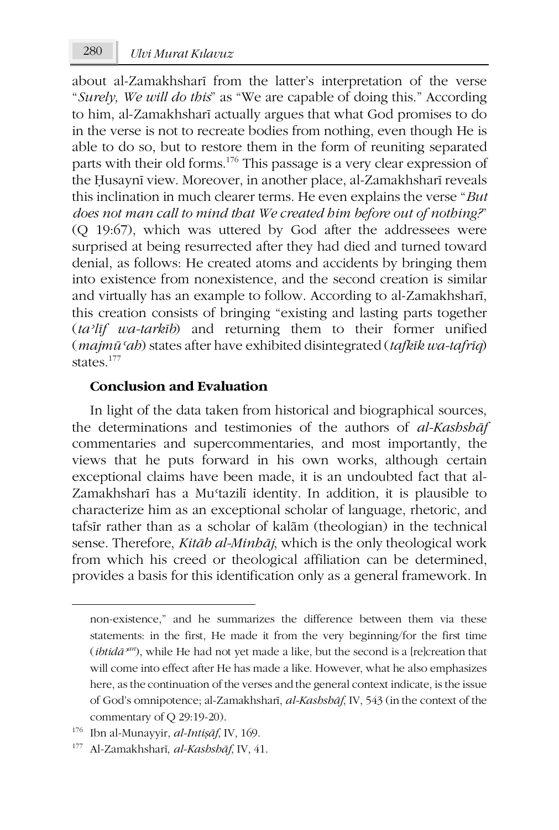about al-Zamakhsharī from the latter's interpretation of the verse "*Surely, We will do this*" as "We are capable of doing this." According to him, al-Zamakhsharī actually argues that what God promises to do in the verse is not to recreate bodies from nothing, even though He is able to do so, but to restore them in the form of reuniting separated parts with their old forms.176 This passage is a very clear expression of the Ḥusaynī view. Moreover, in another place, al-Zamakhsharī reveals this inclination in much clearer terms. He even explains the verse "*But does not man call to mind that We created him before out of nothing?*" (Q 19:67), which was uttered by God after the addressees were surprised at being resurrected after they had died and turned toward denial, as follows: He created atoms and accidents by bringing them into existence from nonexistence, and the second creation is similar and virtually has an example to follow. According to al-Zamakhsharī, this creation consists of bringing "existing and lasting parts together (*taʾlīf wa-tarkīb*) and returning them to their former unified (*majmūʿah*) states after have exhibited disintegrated (*tafkīk wa-tafrīq*) states.<sup>177</sup>

#### **Conclusion and Evaluation**

In light of the data taken from historical and biographical sources, the determinations and testimonies of the authors of *al-Kashshāf* commentaries and supercommentaries, and most importantly, the views that he puts forward in his own works, although certain exceptional claims have been made, it is an undoubted fact that al-Zamakhsharī has a Mu<sup>c</sup>tazilī identity. In addition, it is plausible to characterize him as an exceptional scholar of language, rhetoric, and tafsīr rather than as a scholar of kalām (theologian) in the technical sense. Therefore, *Kitāb al-Minhāj*, which is the only theological work from which his creed or theological affiliation can be determined, provides a basis for this identification only as a general framework. In

non-existence," and he summarizes the difference between them via these statements: in the first, He made it from the very beginning/for the first time (*ibtid* $\bar{a}^{2m}$ ), while He had not yet made a like, but the second is a [re]creation that will come into effect after He has made a like. However, what he also emphasizes here, as the continuation of the verses and the general context indicate, is the issue of God's omnipotence; al-Zamakhsharī, *al-Kashshāf*, IV, 543 (in the context of the commentary of Q 29:19-20).

<sup>176</sup> Ibn al-Munayyir, *al-Intiṣāf*, IV, 169.

<sup>177</sup> Al-Zamakhsharī, *al-Kashshāf*, IV, 41.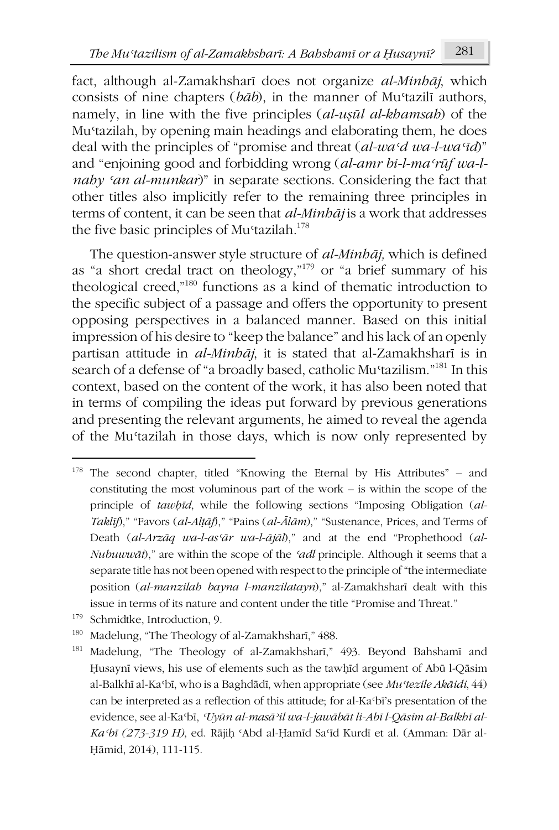fact, although al-Zamakhsharī does not organize *al-Minhāj*, which consists of nine chapters (*bāb*), in the manner of Muʿtazilī authors, namely, in line with the five principles (*al-uṣūl al-khamsah*) of the Muʿtazilah, by opening main headings and elaborating them, he does deal with the principles of "promise and threat (*al-waʿd wa-l-waʿīd*)" and "enjoining good and forbidding wrong (*al-amr bi-l-maʿrūf wa-lnahy ʿan al-munkar*)" in separate sections. Considering the fact that other titles also implicitly refer to the remaining three principles in terms of content, it can be seen that *al-Minhāj* is a work that addresses the five basic principles of Mu<sup>c</sup>tazilah.<sup>178</sup>

The question-answer style structure of *al-Minhāj,* which is defined as "a short credal tract on theology,"179 or "a brief summary of his theological creed,"180 functions as a kind of thematic introduction to the specific subject of a passage and offers the opportunity to present opposing perspectives in a balanced manner. Based on this initial impression of his desire to "keep the balance" and his lack of an openly partisan attitude in *al-Minhāj*, it is stated that al-Zamakhsharī is in search of a defense of "a broadly based, catholic Mu'tazilism."<sup>181</sup> In this context, based on the content of the work, it has also been noted that in terms of compiling the ideas put forward by previous generations and presenting the relevant arguments, he aimed to reveal the agenda of the Muʿtazilah in those days, which is now only represented by

<sup>179</sup> Schmidtke, Introduction, 9.

<sup>&</sup>lt;sup>178</sup> The second chapter, titled "Knowing the Eternal by His Attributes" – and constituting the most voluminous part of the work – is within the scope of the principle of *tawḥīd*, while the following sections "Imposing Obligation (*al-Taklīf*)," "Favors (*al-Alṭāf*)," "Pains (*al-Ālām*)," "Sustenance, Prices, and Terms of Death (*al-Arzāq wa-l-asʿār wa-l-ājāl*)," and at the end "Prophethood (*al-Nubuwwāt*)," are within the scope of the *ʿadl* principle. Although it seems that a separate title has not been opened with respect to the principle of "the intermediate position (*al-manzilah bayna l-manzilatayn*)," al-Zamakhsharī dealt with this issue in terms of its nature and content under the title "Promise and Threat."

<sup>180</sup> Madelung, "The Theology of al-Zamakhsharī," 488.

<sup>181</sup> Madelung, "The Theology of al-Zamakhsharī," 493. Beyond Bahshamī and Ḥusaynī views, his use of elements such as the tawḥīd argument of Abū l-Qāsim al-Balkhī al-Kaʿbī, who is a Baghdādī, when appropriate (see *Muʿtezile Akāidi*, 44) can be interpreted as a reflection of this attitude; for al-Kaʿbī's presentation of the evidence, see al-Kaʿbī, *ʿUyūn al-masāʾil wa-l-jawābāt li-Abī l-Qāsim al-Balkhī al-Kaʿbī (273-319 H)*, ed. Rājiḥ ʿAbd al-Ḥamīd Saʿīd Kurdī et al. (Amman: Dār al-Ḥāmid, 2014), 111-115.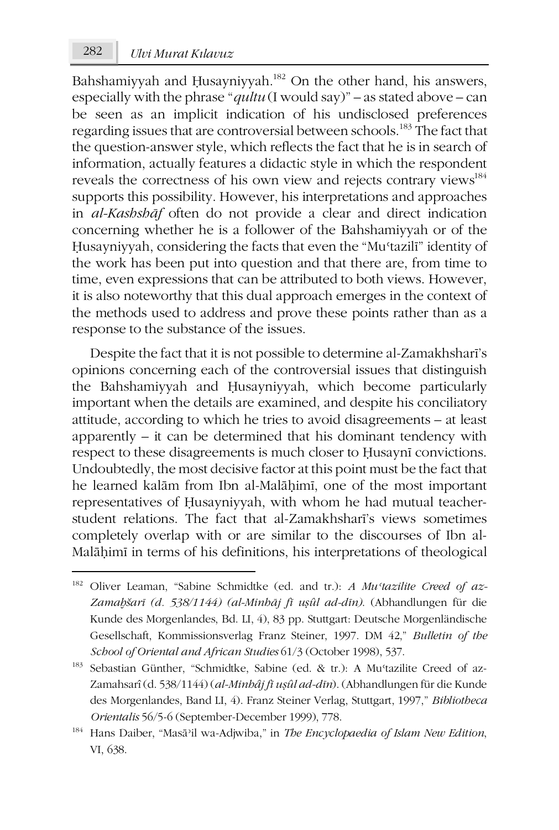Bahshamiyyah and Husayniyyah.<sup>182</sup> On the other hand, his answers, especially with the phrase "*qultu* (I would say)" – as stated above – can be seen as an implicit indication of his undisclosed preferences regarding issues that are controversial between schools.<sup>183</sup> The fact that the question-answer style, which reflects the fact that he is in search of information, actually features a didactic style in which the respondent reveals the correctness of his own view and rejects contrary views<sup>184</sup> supports this possibility. However, his interpretations and approaches in *al-Kashshāf* often do not provide a clear and direct indication concerning whether he is a follower of the Bahshamiyyah or of the Husayniyyah, considering the facts that even the "Mu'tazili" identity of the work has been put into question and that there are, from time to time, even expressions that can be attributed to both views. However, it is also noteworthy that this dual approach emerges in the context of the methods used to address and prove these points rather than as a response to the substance of the issues.

Despite the fact that it is not possible to determine al-Zamakhsharī's opinions concerning each of the controversial issues that distinguish the Bahshamiyyah and Ḥusayniyyah, which become particularly important when the details are examined, and despite his conciliatory attitude, according to which he tries to avoid disagreements – at least apparently – it can be determined that his dominant tendency with respect to these disagreements is much closer to Ḥusaynī convictions. Undoubtedly, the most decisive factor at this point must be the fact that he learned kalām from Ibn al-Malāḥimī, one of the most important representatives of Ḥusayniyyah, with whom he had mutual teacherstudent relations. The fact that al-Zamakhsharī's views sometimes completely overlap with or are similar to the discourses of Ibn al-Malāḥimī in terms of his definitions, his interpretations of theological

**.** 

<sup>182</sup> Oliver Leaman, "Sabine Schmidtke (ed. and tr.): *A Muʿtazilite Creed of az-Zamaḫšarī (d. 538/1144) (al-Minhāj fī uṣûl ad-dīn)*. (Abhandlungen für die Kunde des Morgenlandes, Bd. LI, 4), 83 pp. Stuttgart: Deutsche Morgenländische Gesellschaft, Kommissionsverlag Franz Steiner, 1997. DM 42," *Bulletin of the School of Oriental and African Studies* 61/3 (October 1998), 537.

<sup>&</sup>lt;sup>183</sup> Sebastian Günther, "Schmidtke, Sabine (ed. & tr.): A Mu<sup>ctazilite Creed of az-</sup> Zamahsarî (d. 538/1144) (*al-Minhâj fī uṣûl ad-dīn*). (Abhandlungen für die Kunde des Morgenlandes, Band LI, 4). Franz Steiner Verlag, Stuttgart, 1997," *Bibliotheca Orientalis* 56/5-6 (September-December 1999), 778.

<sup>184</sup> Hans Daiber, "Masāʾil wa-Adjwiba," in *The Encyclopaedia of Islam New Edition*, VI, 638.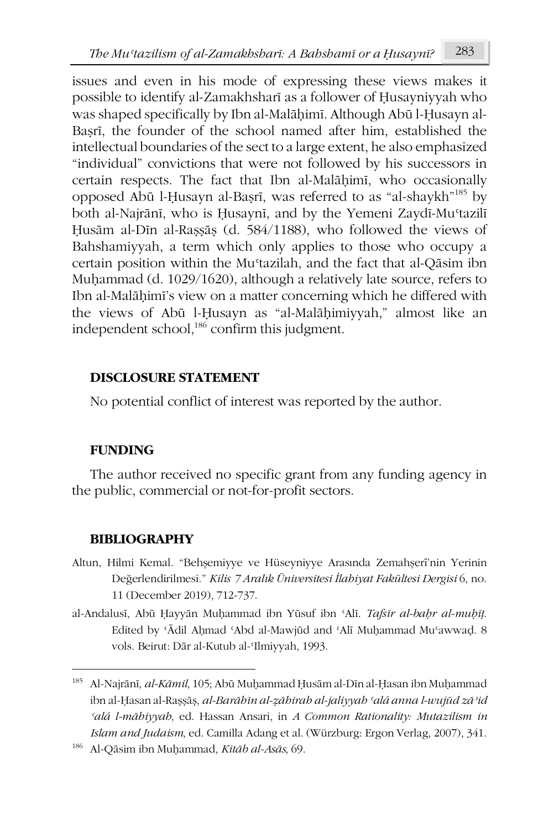issues and even in his mode of expressing these views makes it possible to identify al-Zamakhsharī as a follower of Ḥusayniyyah who was shaped specifically by Ibn al-Malāḥimī. Although Abū l-Ḥusayn al-Baṣrī, the founder of the school named after him, established the intellectual boundaries of the sect to a large extent, he also emphasized "individual" convictions that were not followed by his successors in certain respects. The fact that Ibn al-Malāḥimī, who occasionally opposed Abū l-Ḥusayn al-Baṣrī, was referred to as "al-shaykh"185 by both al-Najrānī, who is Ḥusaynī, and by the Yemeni Zaydī-Muʿtazilī Ḥusām al-Dīn al-Raṣṣāṣ (d. 584/1188), who followed the views of Bahshamiyyah, a term which only applies to those who occupy a certain position within the Muʿtazilah, and the fact that al-Qāsim ibn Muḥammad (d. 1029/1620), although a relatively late source, refers to Ibn al-Malāḥimī's view on a matter concerning which he differed with the views of Abū l-Ḥusayn as "al-Malāḥimiyyah," almost like an independent school,<sup>186</sup> confirm this judgment.

### **DISCLOSURE STATEMENT**

No potential conflict of interest was reported by the author.

## **FUNDING**

**.** 

The author received no specific grant from any funding agency in the public, commercial or not-for-profit sectors.

## **BIBLIOGRAPHY**

- Altun, Hilmi Kemal. "Behşemiyye ve Hüseyniyye Arasında Zemahşerî'nin Yerinin Değerlendirilmesi." *Kilis 7 Aralık Üniversitesi İlahiyat Fakültesi Dergisi* 6, no. 11 (December 2019), 712-737.
- al-Andalusī, Abū Ḥayyān Muḥammad ibn Yūsuf ibn ʿAlī. *Tafsīr al-baḥr al-muḥīṭ*. Edited by ʿĀdil Aḥmad ʿAbd al-Mawjūd and ʿAlī Muḥammad Muʿawwaḍ. 8 vols. Beirut: Dār al-Kutub al-ʿIlmiyyah, 1993.

<sup>185</sup> Al-Najrānī, *al-Kāmil*, 105; Abū Muḥammad Ḥusām al-Dīn al-Ḥasan ibn Muḥammad ibn al-Ḥasan al-Raṣṣāṣ, *al-Barāhīn al-ẓāhirah al-jaliyyah ʿalá anna l-wujūd zāʾid ʿalá l-māhiyyah*, ed. Hassan Ansari, in *A Common Rationality: Mutazilism in Islam and Judaism*, ed. Camilla Adang et al. (Würzburg: Ergon Verlag, 2007), 341.

<sup>186</sup> Al-Qāsim ibn Muḥammad, *Kitāb al-Asās*, 69.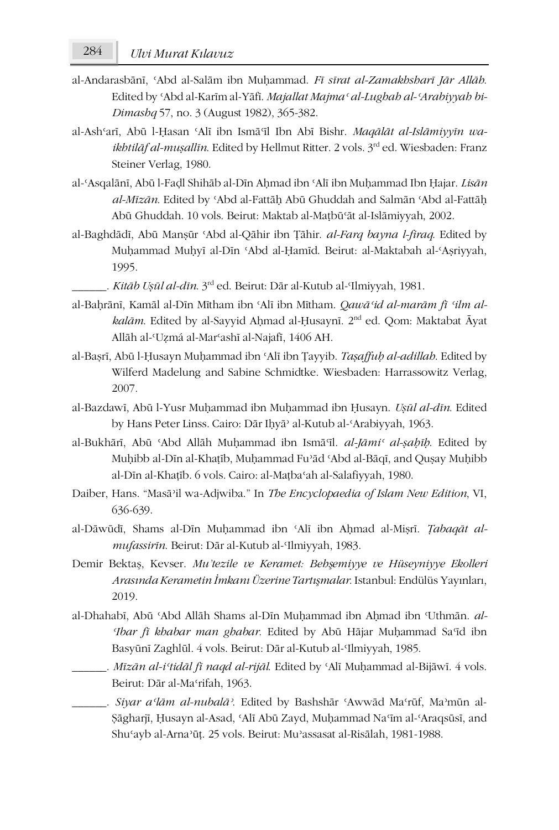- al-Andarasbānī, ʿAbd al-Salām ibn Muḥammad. *Fī sīrat al-Zamakhsharī Jār Allāh*. Edited by ʿAbd al-Karīm al-Yāfī. *Majallat Majmaʿ al-Lughah al-ʿArabiyyah bi-Dimashq* 57, no. 3 (August 1982), 365-382.
- al-Ashʿarī, Abū l-Ḥasan ʿAlī ibn Ismāʿīl Ibn Abī Bishr. *Maqālāt al-Islāmiyyīn waikhtilāf al-muṣallīn*. Edited by Hellmut Ritter. 2 vols. 3rd ed. Wiesbaden: Franz Steiner Verlag, 1980.
- al-ʿAsqalānī, Abū l-Faḍl Shihāb al-Dīn Aḥmad ibn ʿAlī ibn Muḥammad Ibn Ḥajar. *Lisān al-Mīzān*. Edited by ʿAbd al-Fattāḥ Abū Ghuddah and Salmān ʿAbd al-Fattāḥ Abū Ghuddah. 10 vols. Beirut: Maktab al-Maṭbūʿāt al-Islāmiyyah, 2002.
- al-Baghdādī, Abū Manṣūr ʿAbd al-Qāhir ibn Ṭāhir. *al-Farq bayna l-firaq*. Edited by Muḥammad Muḥyī al-Dīn ʿAbd al-Ḥamīd. Beirut: al-Maktabah al-ʿAṣriyyah, 1995.
	- \_\_\_\_\_\_. *Kitāb Uṣūl al-dīn*. 3rd ed. Beirut: Dār al-Kutub al-ʿIlmiyyah, 1981.
- al-Baḥrānī, Kamāl al-Dīn Mītham ibn ʿAlī ibn Mītham. *Qawāʿid al-marām fī ʿilm alkalām*. Edited by al-Sayyid Aḥmad al-Ḥusaynī. 2nd ed. Qom: Maktabat Āyat Allāh al-ʿUẓmá al-Marʿashī al-Najafī, 1406 AH.
- al-Baṣrī, Abū l-Ḥusayn Muḥammad ibn ʿAlī ibn Ṭayyib. *Taṣaffuḥ al-adillah*. Edited by Wilferd Madelung and Sabine Schmidtke. Wiesbaden: Harrassowitz Verlag, 2007.
- al-Bazdawī, Abū l-Yusr Muḥammad ibn Muḥammad ibn Ḥusayn. *Uṣūl al-dīn*. Edited by Hans Peter Linss. Cairo: Dār Iḥyāʾ al-Kutub al-ʿArabiyyah, 1963.
- al-Bukhārī, Abū ʿAbd Allāh Muḥammad ibn Ismāʿīl. *al-Jāmiʿ al-ṣaḥīḥ*. Edited by Muḥibb al-Dīn al-Khaṭīb, Muḥammad Fuʾād ʿAbd al-Bāqī, and Quṣay Muḥibb al-Dīn al-Khaṭīb. 6 vols. Cairo: al-Maṭbaʿah al-Salafiyyah, 1980.
- Daiber, Hans. "Masāʾil wa-Adjwiba." In *The Encyclopaedia of Islam New Edition*, VI, 636-639.
- al-Dāwūdī, Shams al-Dīn Muhammad ibn 'Alī ibn Ahmad al-Misrī. *Tabaqāt almufassirīn*. Beirut: Dār al-Kutub al-ʿIlmiyyah, 1983.
- Demir Bektaş, Kevser. *Mu'tezile ve Keramet: Behşemiyye ve Hüseyniyye Ekolleri Arasında Kerametin İmkanı Üzerine Tartışmalar*. Istanbul: Endülüs Yayınları, 2019.
- al-Dhahabī, Abū ʿAbd Allāh Shams al-Dīn Muḥammad ibn Aḥmad ibn ʿUthmān. *al-ʿIbar fī khabar man ghabar*. Edited by Abū Hājar Muḥammad Saʿīd ibn Basyūnī Zaghlūl. 4 vols. Beirut: Dār al-Kutub al-ʿIlmiyyah, 1985.
- \_\_\_\_\_\_. *Mīzān al-iʿtidāl fī naqd al-rijāl*. Edited by ʿAlī Muḥammad al-Bijāwī. 4 vols. Beirut: Dār al-Maʿrifah, 1963.
- \_\_\_\_\_\_. *Siyar aʿlām al-nubalāʾ*. Edited by Bashshār ʿAwwād Maʿrūf, Maʾmūn al-Ṣāgharjī, Ḥusayn al-Asad, ʿAlī Abū Zayd, Muḥammad Naʿīm al-ʿAraqsūsī, and Shuʿayb al-Arnaʾūṭ. 25 vols. Beirut: Muʾassasat al-Risālah, 1981-1988.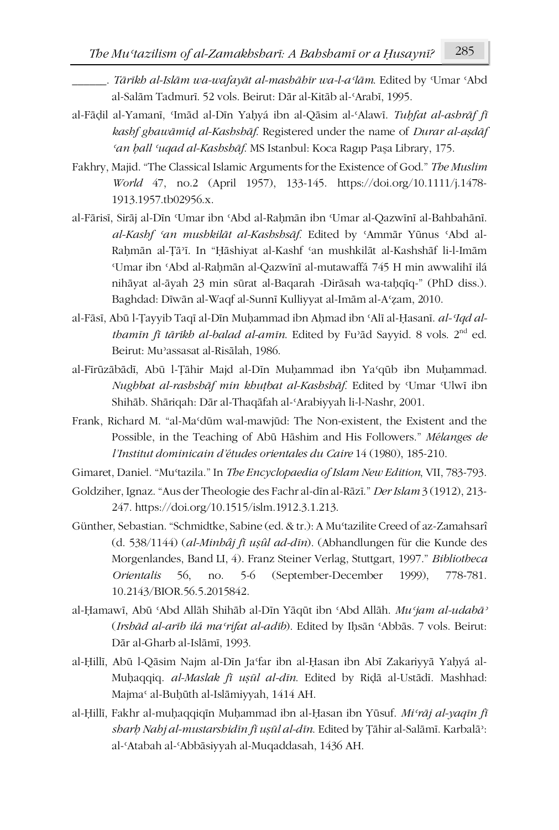- al-Fāḍil al-Yamanī, ʿImād al-Dīn Yaḥyá ibn al-Qāsim al-ʿAlawī. *Tuḥfat al-ashrāf fī kashf ghawāmiḍ al-Kashshāf*. Registered under the name of *Durar al-aṣdāf ʿan ḥall ʿuqad al-Kashshāf*. MS Istanbul: Koca Ragıp Paşa Library, 175.
- Fakhry, Majid. "The Classical Islamic Arguments for the Existence of God." *The Muslim World* 47, no.2 (April 1957), 133-145. https://doi.org/10.1111/j.1478- 1913.1957.tb02956.x.
- al-Fārisī, Sirāj al-Dīn ʿUmar ibn ʿAbd al-Raḥmān ibn ʿUmar al-Qazwīnī al-Bahbahānī. *al-Kashf ʿan mushkilāt al-Kashshsāf*. Edited by ʿAmmār Yūnus ʿAbd al-Raḥmān al-Ṭāʾī. In "Ḥāshiyat al-Kashf ʿan mushkilāt al-Kashshāf li-l-Imām ʿUmar ibn ʿAbd al-Raḥmān al-Qazwīnī al-mutawaffá 745 H min awwalihī ilá nihāyat al-āyah 23 min sūrat al-Baqarah -Dirāsah wa-taḥqīq-" (PhD diss.). Baghdad: Dīwān al-Waqf al-Sunnī Kulliyyat al-Imām al-Aʿẓam, 2010.
- al-Fāsī, Abū l-Tayyib Taqī al-Dīn Muhammad ibn Ahmad ibn 'Alī al-Hasanī. *al-'Iqd althamīn fī tārīkh al-balad al-amīn*. Edited by Fuʾād Sayyid. 8 vols. 2nd ed. Beirut: Muʾassasat al-Risālah, 1986.
- al-Fīrūzābādī, Abū l-Ṭāhir Majd al-Dīn Muḥammad ibn Yaʿqūb ibn Muḥammad. *Nughbat al-rashshāf min khuṭbat al-Kashshāf*. Edited by ʿUmar ʿUlwī ibn Shihāb. Shāriqah: Dār al-Thaqāfah al-ʿArabiyyah li-l-Nashr, 2001.
- Frank, Richard M. "al-Maʿdūm wal-mawjūd: The Non-existent, the Existent and the Possible, in the Teaching of Abū Hāshim and His Followers." *Mélanges de l'Institut dominicain d'études orientales du Caire* 14 (1980), 185-210.
- Gimaret, Daniel. "Muʿtazila." In *The Encyclopaedia of Islam New Edition*, VII, 783-793.
- Goldziher, Ignaz. "Aus der Theologie des Fachr al-dīn al-Rāzī." *Der Islam* 3 (1912), 213- 247. https://doi.org/10.1515/islm.1912.3.1.213.
- Günther, Sebastian. "Schmidtke, Sabine (ed. & tr.): A Muʿtazilite Creed of az-Zamahsarî (d. 538/1144) (*al-Minhâj fī uṣûl ad-dīn*). (Abhandlungen für die Kunde des Morgenlandes, Band LI, 4). Franz Steiner Verlag, Stuttgart, 1997." *Bibliotheca Orientalis* 56, no. 5-6 (September-December 1999), 778-781. 10.2143/BIOR.56.5.2015842.
- al-Ḥamawī, Abū ʿAbd Allāh Shihāb al-Dīn Yāqūt ibn ʿAbd Allāh. *Muʿjam al-udabāʾ* (*Irshād al-arīb ilá maʿrifat al-adīb*). Edited by Iḥsān ʿAbbās. 7 vols. Beirut: Dār al-Gharb al-Islāmī, 1993.
- al-Ḥillī, Abū l-Qāsim Najm al-Dīn Jaʿfar ibn al-Ḥasan ibn Abī Zakariyyā Yaḥyá al-Muḥaqqiq. *al-Maslak fī uṣūl al-dīn*. Edited by Riḍā al-Ustādī. Mashhad: Majma<sup>c</sup> al-Buhūth al-Islāmiyyah, 1414 AH.
- al-Ḥillī, Fakhr al-muḥaqqiqīn Muḥammad ibn al-Ḥasan ibn Yūsuf. *Miʿrāj al-yaqīn fī sharḥ Nahj al-mustarshidīn fī uṣūl al-dīn*. Edited by Ṭāhir al-Salāmī. Karbalāʾ: al-ʿAtabah al-ʿAbbāsiyyah al-Muqaddasah, 1436 AH.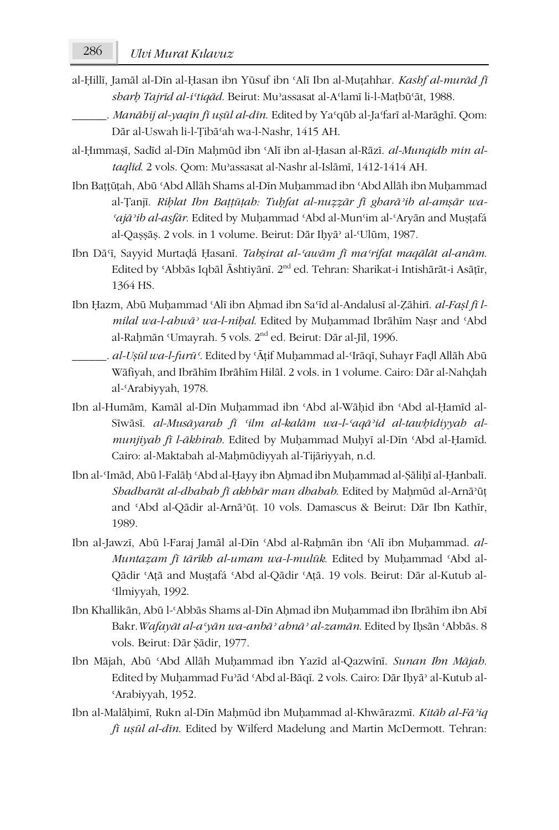- al-Ḥillī, Jamāl al-Dīn al-Ḥasan ibn Yūsuf ibn ʿAlī Ibn al-Muṭahhar. *Kashf al-murād fī sharḥ Tajrīd al-iʿtiqād*. Beirut: Muʾassasat al-Aʿlamī li-l-Maṭbūʿāt, 1988.
	- \_\_\_\_\_\_. *Manāhij al-yaqīn fī uṣūl al-dīn*. Edited by Yaʿqūb al-Jaʿfarī al-Marāghī. Qom: Dār al-Uswah li-l-Ṭibāʿah wa-l-Nashr, 1415 AH.
- al-Ḥımmaṣī, Sadīd al-Dīn Maḥmūd ibn ʿAlī ibn al-Ḥasan al-Rāzī. *al-Munqidh min altaqlīd*. 2 vols. Qom: Muʾassasat al-Nashr al-Islāmī, 1412-1414 AH.
- Ibn Baṭṭūṭah, Abū ʿAbd Allāh Shams al-Dīn Muḥammad ibn ʿAbd Allāh ibn Muḥammad al-Ṭanjī. *Riḥlat Ibn Baṭṭūṭah: Tuḥfat al-nuẓẓār fī gharāʾib al-amṣār wa-ʿajāʾib al-asfār*. Edited by Muḥammad ʿAbd al-Munʿim al-ʿAryān and Muṣṭafá al-Qaṣṣāṣ. 2 vols. in 1 volume. Beirut: Dār Iḥyāʾ al-ʿUlūm, 1987.
- Ibn Dāʿī, Sayyid Murtaḍá Ḥasanī. *Tabṣirat al-ʿawām fī maʿrifat maqālāt al-anām*. Edited by ʿAbbās Iqbāl Āshtiyānī. 2nd ed. Tehran: Sharikat-i Intishārāt-i Asāṭīr, 1364 HS.
- Ibn Hazm, Abū Muhammad 'Alī ibn Ahmad ibn Sa'īd al-Andalusī al-Zāhirī. *al-Fasl fī lmilal wa-l-ahwāʾ wa-l-niḥal*. Edited by Muḥammad Ibrāhīm Naṣr and ʿAbd al-Rahmān 'Umayrah. 5 vols. 2<sup>nd</sup> ed. Beirut: Dār al-Jīl, 1996.
	- \_\_\_\_\_\_. *al-Uṣūl wa-l-furūʿ*. Edited by ʿĀṭif Muḥammad al-ʿIrāqī, Suhayr Faḍl Allāh Abū Wāfiyah, and Ibrāhīm Ibrāhīm Hilāl. 2 vols. in 1 volume. Cairo: Dār al-Nahḍah al-ʿArabiyyah, 1978.
- Ibn al-Humām, Kamāl al-Dīn Muḥammad ibn ʿAbd al-Wāḥid ibn ʿAbd al-Ḥamīd al-Sīwāsī. *al-Musāyarah fī ʿilm al-kalām wa-l-ʿaqāʾid al-tawḥīdiyyah almunjiyah fī l-ākhirah*. Edited by Muḥammad Muḥyī al-Dīn ʿAbd al-Ḥamīd. Cairo: al-Maktabah al-Maḥmūdiyyah al-Tijāriyyah, n.d.
- Ibn al-ʿImād, Abū l-Falāḥ ʿAbd al-Ḥayy ibn Aḥmad ibn Muḥammad al-Ṣāliḥī al-Ḥanbalī. *Shadharāt al-dhahab fī akhbār man dhahab*. Edited by Maḥmūd al-Arnāʾūṭ and ʿAbd al-Qādir al-Arnāʾūṭ. 10 vols. Damascus & Beirut: Dār Ibn Kathīr, 1989.
- Ibn al-Jawzī, Abū l-Faraj Jamāl al-Dīn ʿAbd al-Raḥmān ibn ʿAlī ibn Muḥammad. *al-Muntaẓam fī tārīkh al-umam wa-l-mulūk*. Edited by Muḥammad ʿAbd al-Qādir ʿAṭā and Muṣṭafá ʿAbd al-Qādir ʿAṭā. 19 vols. Beirut: Dār al-Kutub al-ʿIlmiyyah, 1992.
- Ibn Khallikān, Abū l-ʿAbbās Shams al-Dīn Aḥmad ibn Muḥammad ibn Ibrāhīm ibn Abī Bakr.*Wafayāt al-aʿyān wa-anbāʾ abnāʾ al-zamān*. Edited by Iḥsān ʿAbbās. 8 vols. Beirut: Dār Ṣādir, 1977.
- Ibn Mājah, Abū ʿAbd Allāh Muḥammad ibn Yazīd al-Qazwīnī. *Sunan Ibn Mājah*. Edited by Muḥammad Fuʾād ʿAbd al-Bāqī. 2 vols. Cairo: Dār Iḥyāʾ al-Kutub al-ʿArabiyyah, 1952.
- Ibn al-Malāḥimī, Rukn al-Dīn Maḥmūd ibn Muḥammad al-Khwārazmī. *Kitāb al-Fāʾiq fī uṣūl al-dīn*. Edited by Wilferd Madelung and Martin McDermott. Tehran: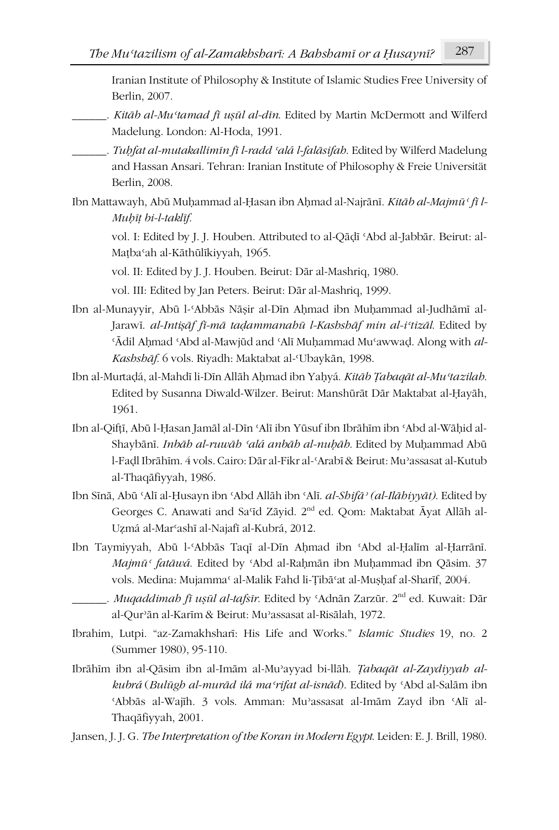Iranian Institute of Philosophy & Institute of Islamic Studies Free University of Berlin, 2007.

- \_\_\_\_\_\_. *Kitāb al-Muʿtamad fī uṣūl al-dīn*. Edited by Martin McDermott and Wilferd Madelung. London: Al-Hoda, 1991.
- \_\_\_\_\_\_. *Tuḥfat al-mutakallimīn fī l-radd ʿalá l-falāsifah*. Edited by Wilferd Madelung and Hassan Ansari. Tehran: Iranian Institute of Philosophy & Freie Universität Berlin, 2008.
- Ibn Mattawayh, Abū Muhammad al-Hasan ibn Ahmad al-Najrānī. *Kitāb al-Majmū* ' fī l-*Muḥīṭ bi-l-taklīf*.

vol. I: Edited by J. J. Houben. Attributed to al-Qāḍī ʿAbd al-Jabbār. Beirut: al-Maṭbaʿah al-Kāthūlīkiyyah, 1965.

vol. II: Edited by J. J. Houben. Beirut: Dār al-Mashriq, 1980.

vol. III: Edited by Jan Peters. Beirut: Dār al-Mashriq, 1999.

- Ibn al-Munayyir, Abū l-ʿAbbās Nāṣir al-Dīn Aḥmad ibn Muḥammad al-Judhāmī al-Jarawī. *al-Intiṣāf fī-mā taḍammanahū l-Kashshāf min al-iʿtizāl*. Edited by ʿĀdil Aḥmad ʿAbd al-Mawjūd and ʿAlī Muḥammad Muʿawwaḍ. Along with *al-Kashshāf*. 6 vols. Riyadh: Maktabat al-ʿUbaykān, 1998.
- Ibn al-Murtaḍá, al-Mahdī li-Dīn Allāh Aḥmad ibn Yaḥyá. *Kitāb Ṭabaqāt al-Muʿtazilah*. Edited by Susanna Diwald-Wilzer. Beirut: Manshūrāt Dār Maktabat al-Ḥayāh, 1961.
- Ibn al-Qifṭī, Abū l-Ḥasan Jamāl al-Dīn ʿAlī ibn Yūsuf ibn Ibrāhīm ibn ʿAbd al-Wāḥid al-Shaybānī. *Inbāh al-ruwāh ʿalá anbāh al-nuḥāh*. Edited by Muḥammad Abū l-Faḍl Ibrāhīm. 4 vols. Cairo: Dār al-Fikr al-ʿArabī & Beirut: Muʾassasat al-Kutub al-Thaqāfiyyah, 1986.
- Ibn Sīnā, Abū ʿAlī al-Ḥusayn ibn ʿAbd Allāh ibn ʿAlī. *al-Shifāʾ (al-Ilāhiyyāt)*. Edited by Georges C. Anawati and Saʿīd Zāyid. 2nd ed. Qom: Maktabat Āyat Allāh al-Uẓmá al-Marʿashī al-Najafī al-Kubrá, 2012.
- Ibn Taymiyyah, Abū l-ʿAbbās Taqī al-Dīn Aḥmad ibn ʿAbd al-Ḥalīm al-Ḥarrānī. *Majmūʿ fatāwá*. Edited by ʿAbd al-Raḥmān ibn Muḥammad ibn Qāsim. 37 vols. Medina: Mujammaʿ al-Malik Fahd li-Ṭibāʿat al-Muṣḥaf al-Sharīf, 2004.
- \_\_\_\_\_\_. *Muqaddimah fī uṣūl al-tafsīr*. Edited by ʿAdnān Zarzūr. 2nd ed. Kuwait: Dār al-Qurʾān al-Karīm & Beirut: Muʾassasat al-Risālah, 1972.
- Ibrahim, Lutpi. "az-Zamakhsharī: His Life and Works." *Islamic Studies* 19, no. 2 (Summer 1980), 95-110.
- Ibrāhīm ibn al-Qāsim ibn al-Imām al-Muʾayyad bi-llāh. *Ṭabaqāt al-Zaydiyyah alkubrá* (*Bulūgh al-murād ilá maʿrifat al-isnād*). Edited by ʿAbd al-Salām ibn ʿAbbās al-Wajīh. 3 vols. Amman: Muʾassasat al-Imām Zayd ibn ʿAlī al-Thaqāfiyyah, 2001.

Jansen, J. J. G. *The Interpretation of the Koran in Modern Egypt*. Leiden: E. J. Brill, 1980.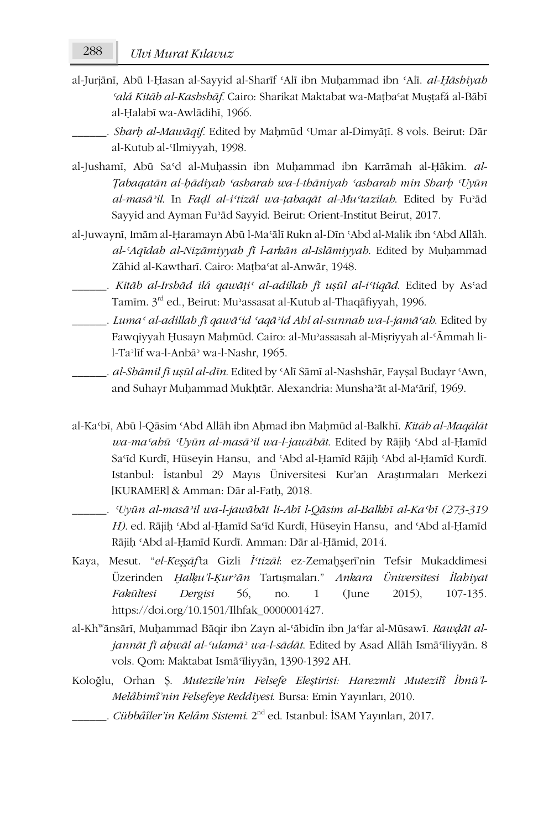al-Jurjānī, Abū l-Ḥasan al-Sayyid al-Sharīf ʿAlī ibn Muḥammad ibn ʿAlī. *al-Ḥāshiyah ʿalá Kitāb al-Kashshāf*. Cairo: Sharikat Maktabat wa-Maṭbaʿat Muṣṭafá al-Bābī al-Ḥalabī wa-Awlādihī, 1966.

\_\_\_\_\_\_. *Sharḥ al-Mawāqif*. Edited by Maḥmūd ʿUmar al-Dimyāṭī. 8 vols. Beirut: Dār al-Kutub al-ʿIlmiyyah, 1998.

- al-Jushamī, Abū Saʿd al-Muḥassin ibn Muḥammad ibn Karrāmah al-Ḥākim. *al-Ṭabaqatān al-ḥādiyah ʿasharah wa-l-thāniyah ʿasharah min Sharḥ ʿUyūn al-masāʾil*. In *Faḍl al-iʿtizāl wa-ṭabaqāt al-Muʿtazilah*. Edited by Fuʾād Sayyid and Ayman Fuʾād Sayyid. Beirut: Orient-Institut Beirut, 2017.
- al-Juwaynī, Imām al-Ḥaramayn Abū l-Maʿālī Rukn al-Dīn ʿAbd al-Malik ibn ʿAbd Allāh. *al-ʿAqīdah al-Niẓāmiyyah fī l-arkān al-Islāmiyyah*. Edited by Muḥammad Zāhid al-Kawtharī. Cairo: Maṭbaʿat al-Anwār, 1948.
- \_\_\_\_\_\_. *Kitāb al-Irshād ilá qawāṭiʿ al-adillah fī uṣūl al-iʿtiqād*. Edited by Asʿad Tamīm. 3rd ed., Beirut: Muʾassasat al-Kutub al-Thaqāfiyyah, 1996.
- \_\_\_\_\_\_. *Lumaʿ al-adillah fī qawāʿid ʿaqāʾid Ahl al-sunnah wa-l-jamāʿah*. Edited by Fawqiyyah Ḥusayn Maḥmūd. Cairo: al-Muʾassasah al-Miṣriyyah al-ʿĀmmah lil-Taʾlīf wa-l-Anbāʾ wa-l-Nashr, 1965.
- \_\_\_\_\_\_. *al-Shāmil fī uṣūl al-dīn*. Edited by ʿAlī Sāmī al-Nashshār, Fayṣal Budayr ʿAwn, and Suhayr Muḥammad Mukḥtār. Alexandria: Munshaʾāt al-Maʿārif, 1969.
- al-Kaʿbī, Abū l-Qāsim ʿAbd Allāh ibn Aḥmad ibn Maḥmūd al-Balkhī. *Kitāb al-Maqālāt wa-maʿahū ʿUyūn al-masāʾil wa-l-jawābāt*. Edited by Rājiḥ ʿAbd al-Ḥamīd Saʿīd Kurdī, Hüseyin Hansu, and ʿAbd al-Ḥamīd Rājiḥ ʿAbd al-Ḥamīd Kurdī. Istanbul: İstanbul 29 Mayıs Üniversitesi Kur'an Araştırmaları Merkezi [KURAMER] & Amman: Dār al-Fatḥ, 2018.
	- \_\_\_\_\_\_. *ʿUyūn al-masāʾil wa-l-jawābāt li-Abī l-Qāsim al-Balkhī al-Kaʿbī (273-319 H)*. ed. Rājiḥ ʿAbd al-Ḥamīd Saʿīd Kurdī, Hüseyin Hansu, and ʿAbd al-Ḥamīd Rājiḥ ʿAbd al-Ḥamīd Kurdī. Amman: Dār al-Ḥāmid, 2014.
- Kaya, Mesut. "*el-Keşşāf'*ta Gizli *İʿtizāl*: ez-Zemaḫşerī'nin Tefsir Mukaddimesi Üzerinden *Ḫalḳu'l-Ḳurʾān* Tartışmaları." *Ankara Üniversitesi İlahiyat Fakültesi Dergisi* 56, no. 1 (June 2015), 107-135. https://doi.org/10.1501/Ilhfak\_0000001427.
- al-Khwānsārī, Muḥammad Bāqir ibn Zayn al-ʿābidīn ibn Jaʿfar al-Mūsawī. *Rawḍāt aljannāt fī aḥwāl al-ʿulamāʾ wa-l-sādāt*. Edited by Asad Allāh Ismāʿīliyyān. 8 vols. Qom: Maktabat Ismāʿīliyyān, 1390-1392 AH.
- Koloğlu, Orhan Ş. *Mutezile'nin Felsefe Eleştirisi: Harezmli Mutezilî İbnü'l-Melâhimî'nin Felsefeye Reddiyesi*. Bursa: Emin Yayınları, 2010.
	- \_\_\_\_\_\_. *Cübbâîler'in Kelâm Sistemi*. 2nd ed. Istanbul: İSAM Yayınları, 2017.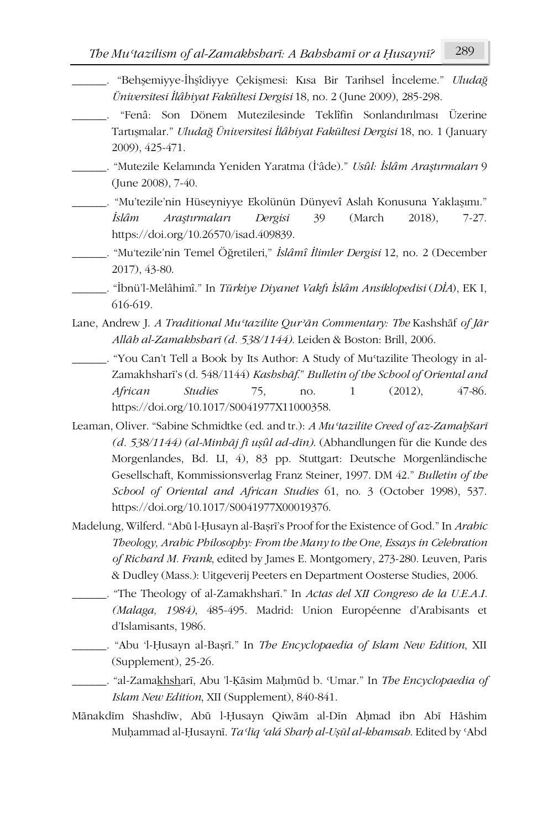- \_\_\_\_\_\_. "Behşemiyye-İhşîdiyye Çekişmesi: Kısa Bir Tarihsel İnceleme." *Uludağ Üniversitesi İlâhiyat Fakültesi Dergisi* 18, no. 2 (June 2009), 285-298.
- \_\_\_\_\_\_. "Fenâ: Son Dönem Mutezilesinde Teklîfin Sonlandırılması Üzerine Tartışmalar." *Uludağ Üniversitesi İlâhiyat Fakültesi Dergisi* 18, no. 1 (January 2009), 425-471.
- \_\_\_\_\_\_. "Mutezile Kelamında Yeniden Yaratma (İ'âde)." *Usûl: İslâm Araştırmaları* 9 (June 2008), 7-40.
- \_\_\_\_\_\_. "Mu'tezile'nin Hüseyniyye Ekolünün Dünyevî Aslah Konusuna Yaklaşımı." *İslâm Araştırmaları Dergisi* 39 (March 2018), 7-27. https://doi.org/10.26570/isad.409839.
- \_\_\_\_\_\_. "Mu'tezile'nin Temel Öğretileri," *İslâmî İlimler Dergisi* 12, no. 2 (December 2017), 43-80.
	- \_\_\_\_\_\_. "İbnü'l-Melâhimî." In *Türkiye Diyanet Vakfı İslâm Ansiklopedisi* (*DİA*), EK I, 616-619.
- Lane, Andrew J. *A Traditional Muʿtazilite Qurʾān Commentary: The* Kashshāf *of Jār Allāh al-Zamakhsharī (d. 538/1144)*. Leiden & Boston: Brill, 2006.
- \_\_\_\_\_\_. "You Can't Tell a Book by Its Author: A Study of Muʿtazilite Theology in al-Zamakhsharī's (d. 548/1144) *Kashshāf*." *Bulletin of the School of Oriental and African Studies* 75, no. 1 (2012), 47-86. https://doi.org/10.1017/S0041977X11000358.
- Leaman, Oliver. "Sabine Schmidtke (ed. and tr.): *A Muʿtazilite Creed of az-Zamaḫšarī (d. 538/1144) (al-Minhāj fī uṣûl ad-dīn)*. (Abhandlungen für die Kunde des Morgenlandes, Bd. LI, 4), 83 pp. Stuttgart: Deutsche Morgenländische Gesellschaft, Kommissionsverlag Franz Steiner, 1997. DM 42." *Bulletin of the School of Oriental and African Studies* 61, no. 3 (October 1998), 537. https://doi.org/10.1017/S0041977X00019376.
- Madelung, Wilferd. "Abū l-Ḥusayn al-Baṣrī's Proof for the Existence of God." In *Arabic Theology, Arabic Philosophy: From the Many to the One, Essays in Celebration of Richard M. Frank*, edited by James E. Montgomery, 273-280. Leuven, Paris & Dudley (Mass.): Uitgeverij Peeters en Department Oosterse Studies, 2006.
- \_\_\_\_\_\_. "The Theology of al-Zamakhsharī." In *Actas del XII Congreso de la U.E.A.I. (Malaga, 1984)*, 485-495. Madrid: Union Européenne d'Arabisants et d'Islamisants, 1986.
	- \_\_\_\_\_\_. "Abu 'l-Ḥusayn al-Baṣrī." In *The Encyclopaedia of Islam New Edition*, XII (Supplement), 25-26.
	- \_\_\_\_\_\_. "al-Zamakhsharī, Abu 'l-Ḳāsim Maḥmūd b. ʿUmar." In *The Encyclopaedia of Islam New Edition*, XII (Supplement), 840-841.
- Mānakdīm Shashdīw, Abū l-Ḥusayn Qiwām al-Dīn Aḥmad ibn Abī Hāshim Muḥammad al-Ḥusaynī. *Taʿlīq ʿalá Sharḥ al-Uṣūl al-khamsah*. Edited by ʿAbd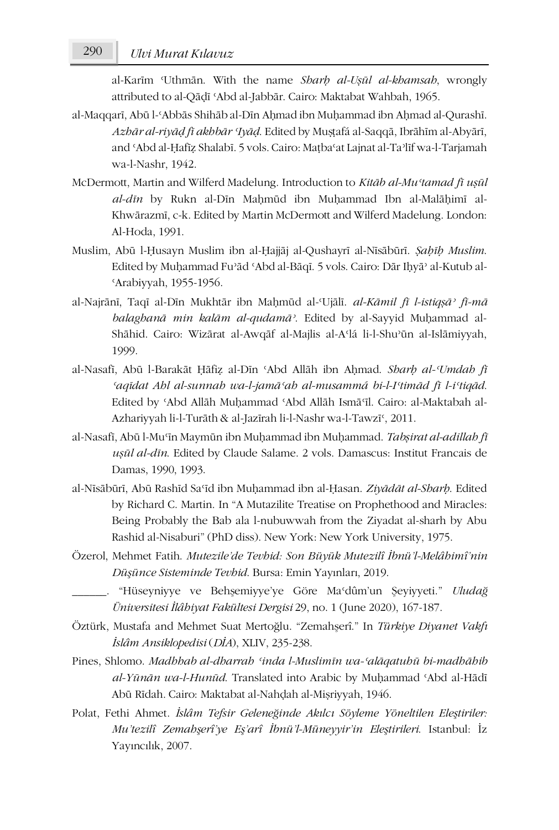al-Karīm ʿUthmān. With the name *Sharḥ al-Uṣūl al-khamsah*, wrongly attributed to al-Qāḍī ʿAbd al-Jabbār. Cairo: Maktabat Wahbah, 1965.

- al-Maqqarī, Abū l-ʿAbbās Shihāb al-Dīn Aḥmad ibn Muḥammad ibn Aḥmad al-Qurashī. *Azhār al-riyāḍ fī akhbār ʿIyāḍ*. Edited by Muṣṭafá al-Saqqā, Ibrāhīm al-Abyārī, and ʿAbd al-Ḥafīẓ Shalabī. 5 vols. Cairo: Maṭbaʿat Lajnat al-Taʾlīf wa-l-Tarjamah wa-l-Nashr, 1942.
- McDermott, Martin and Wilferd Madelung. Introduction to *Kitāb al-Muʿtamad fī uṣūl al-dīn* by Rukn al-Dīn Maḥmūd ibn Muḥammad Ibn al-Malāḥimī al-Khwārazmī, c-k. Edited by Martin McDermott and Wilferd Madelung. London: Al-Hoda, 1991.
- Muslim, Abū l-Ḥusayn Muslim ibn al-Ḥajjāj al-Qushayrī al-Nīsābūrī. *Ṣaḥīḥ Muslim*. Edited by Muḥammad Fuʾād ʿAbd al-Bāqī. 5 vols. Cairo: Dār Iḥyāʾ al-Kutub al-ʿArabiyyah, 1955-1956.
- al-Najrānī, Taqī al-Dīn Mukhtār ibn Maḥmūd al-ʿUjālī. *al-Kāmil fī l-istiqṣāʾ fī-mā balaghanā min kalām al-qudamāʾ*. Edited by al-Sayyid Muḥammad al-Shāhid. Cairo: Wizārat al-Awqāf al-Majlis al-Aʿlá li-l-Shuʾūn al-Islāmiyyah, 1999.
- al-Nasafī, Abū l-Barakāt Ḥāfiẓ al-Dīn ʿAbd Allāh ibn Aḥmad. *Sharḥ al-ʿUmdah fī ʿaqīdat Ahl al-sunnah wa-l-jamāʿah al-musammá bi-l-Iʿtimād fī l-iʿtiqād*. Edited by ʿAbd Allāh Muḥammad ʿAbd Allāh Ismāʿīl. Cairo: al-Maktabah al-Azhariyyah li-l-Turāth & al-Jazīrah li-l-Nashr wa-l-Tawzīʿ, 2011.
- al-Nasafī, Abū l-Muʿīn Maymūn ibn Muḥammad ibn Muḥammad. *Tabṣirat al-adillah fī uṣūl al-dīn*. Edited by Claude Salame. 2 vols. Damascus: Institut Francais de Damas, 1990, 1993.
- al-Nīsābūrī, Abū Rashīd Saʿīd ibn Muḥammad ibn al-Ḥasan. *Ziyādāt al-Sharḥ*. Edited by Richard C. Martin. In "A Mutazilite Treatise on Prophethood and Miracles: Being Probably the Bab ala l-nubuwwah from the Ziyadat al-sharh by Abu Rashid al-Nisaburi" (PhD diss). New York: New York University, 1975.
- Özerol, Mehmet Fatih. *Mutezile'de Tevhid: Son Büyük Mutezilî İbnü'l-Melâhimî'nin Düşünce Sisteminde Tevhid*. Bursa: Emin Yayınları, 2019.
	- \_\_\_\_\_\_. "Hüseyniyye ve Behşemiyye'ye Göre Maʿdûm'un Şeyiyyeti." *Uludağ Üniversitesi İlâhiyat Fakültesi Dergisi* 29, no. 1 (June 2020), 167-187.
- Öztürk, Mustafa and Mehmet Suat Mertoğlu. "Zemahşerî." In *Türkiye Diyanet Vakfı İslâm Ansiklopedisi* (*DİA*), XLIV, 235-238.
- Pines, Shlomo. *Madhhab al-dharrah ʿinda l-Muslimīn wa-ʿalāqatuhū bi-madhāhib al-Yūnān wa-l-Hunūd*. Translated into Arabic by Muḥammad ʿAbd al-Hādī Abū Rīdah. Cairo: Maktabat al-Nahḍah al-Miṣriyyah, 1946.
- Polat, Fethi Ahmet. *İslâm Tefsir Geleneğinde Akılcı Söyleme Yöneltilen Eleştiriler: Mu'tezilî Zemahşerî'ye Eş'arî İbnü'l-Müneyyir'in Eleştirileri*. Istanbul: İz Yayıncılık, 2007.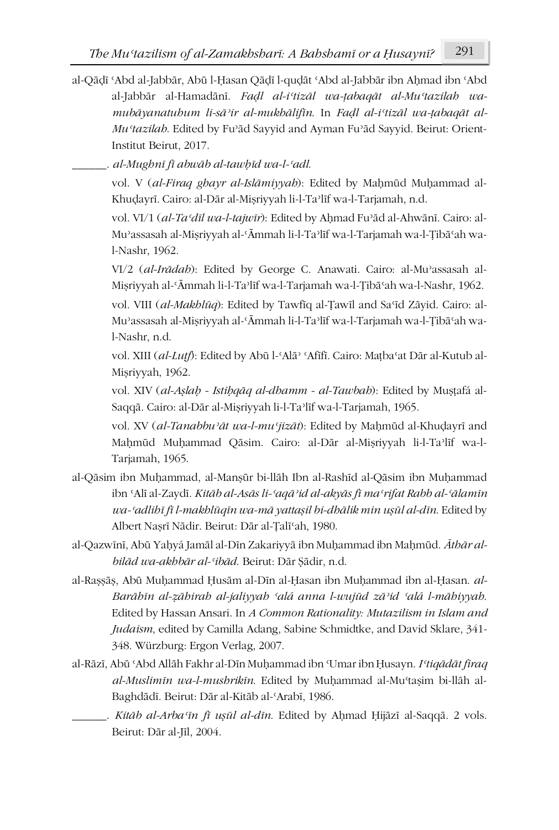- al-Qāḍī ʿAbd al-Jabbār, Abū l-Ḥasan Qāḍī l-quḍāt ʿAbd al-Jabbār ibn Aḥmad ibn ʿAbd al-Jabbār al-Hamadānī. *Faḍl al-iʿtizāl wa-ṭabaqāt al-Muʿtazilah wamubāyanatuhum li-sāʾir al-mukhālifīn*. In *Faḍl al-iʿtizāl wa-ṭabaqāt al-Muʿtazilah*. Edited by Fuʾād Sayyid and Ayman Fuʾād Sayyid. Beirut: Orient-Institut Beirut, 2017.
	- \_\_\_\_\_\_. *al-Mughnī fī abwāb al-tawḥīd wa-l-ʿadl*.

vol. V (*al-Firaq ghayr al-Islāmiyyah*): Edited by Maḥmūd Muḥammad al-Khuḍayrī. Cairo: al-Dār al-Miṣriyyah li-l-Taʾlīf wa-l-Tarjamah, n.d.

vol. VI/1 (*al-Taʿdīl wa-l-tajwīr*): Edited by Aḥmad Fuʾād al-Ahwānī. Cairo: al-Muʾassasah al-Miṣriyyah al-ʿĀmmah li-l-Taʾlīf wa-l-Tarjamah wa-l-Ṭibāʿah wal-Nashr, 1962.

VI/2 (*al-Irādah*): Edited by George C. Anawati. Cairo: al-Muʾassasah al-Miṣriyyah al-ʿĀmmah li-l-Taʾlīf wa-l-Tarjamah wa-l-Ṭibāʿah wa-l-Nashr, 1962.

vol. VIII (*al-Makhlūq*): Edited by Tawfīq al-Ṭawīl and Saʿīd Zāyid. Cairo: al-Muʾassasah al-Miṣriyyah al-ʿĀmmah li-l-Taʾlīf wa-l-Tarjamah wa-l-Ṭibāʿah wal-Nashr, n.d.

vol. XIII (*al-Luṭf*): Edited by Abū l-ʿAlāʾ ʿAfīfī. Cairo: Maṭbaʿat Dār al-Kutub al-Miṣriyyah, 1962.

vol. XIV (*al-Aṣlaḥ - Istiḥqāq al-dhamm - al-Tawbah*): Edited by Muṣṭafá al-Saqqā. Cairo: al-Dār al-Miṣriyyah li-l-Taʾlīf wa-l-Tarjamah, 1965.

vol. XV (*al-Tanabbuʾāt wa-l-muʿjizāt*): Edited by Maḥmūd al-Khuḍayrī and Maḥmūd Muḥammad Qāsim. Cairo: al-Dār al-Miṣriyyah li-l-Taʾlīf wa-l-Tarjamah, 1965.

- al-Qāsim ibn Muḥammad, al-Manṣūr bi-llāh Ibn al-Rashīd al-Qāsim ibn Muḥammad ibn ʿAlī al-Zaydī. *Kitāb al-Asās li-ʿaqāʾid al-akyās fī maʿrifat Rabb al-ʿālamīn wa-ʿadlihī fī l-makhlūqīn wa-mā yattaṣil bi-dhālik min uṣūl al-dīn*. Edited by Albert Naṣrī Nādir. Beirut: Dār al-Ṭalīʿah, 1980.
- al-Qazwīnī, Abū Yaḥyá Jamāl al-Dīn Zakariyyā ibn Muḥammad ibn Maḥmūd. *Āthār albilād wa-akhbār al-ʿibād*. Beirut: Dār Ṣādir, n.d.
- al-Raṣṣāṣ, Abū Muḥammad Ḥusām al-Dīn al-Ḥasan ibn Muḥammad ibn al-Ḥasan. *al-Barāhīn al-ẓāhirah al-jaliyyah ʿalá anna l-wujūd zāʾid ʿalá l-māhiyyah*. Edited by Hassan Ansari. In *A Common Rationality: Mutazilism in Islam and Judaism*, edited by Camilla Adang, Sabine Schmidtke, and David Sklare, 341- 348. Würzburg: Ergon Verlag, 2007.
- al-Rāzī, Abū ʿAbd Allāh Fakhr al-Dīn Muḥammad ibn ʿUmar ibn Ḥusayn. *Iʿtiqādāt firaq al-Muslimīn wa-l-mushrikīn*. Edited by Muḥammad al-Muʿtaṣim bi-llāh al-Baghdādī. Beirut: Dār al-Kitāb al-ʿArabī, 1986.
- \_\_\_\_\_\_. *Kitāb al-Arbaʿīn fī uṣūl al-dīn*. Edited by Aḥmad Ḥijāzī al-Saqqā. 2 vols. Beirut: Dār al-Jīl, 2004.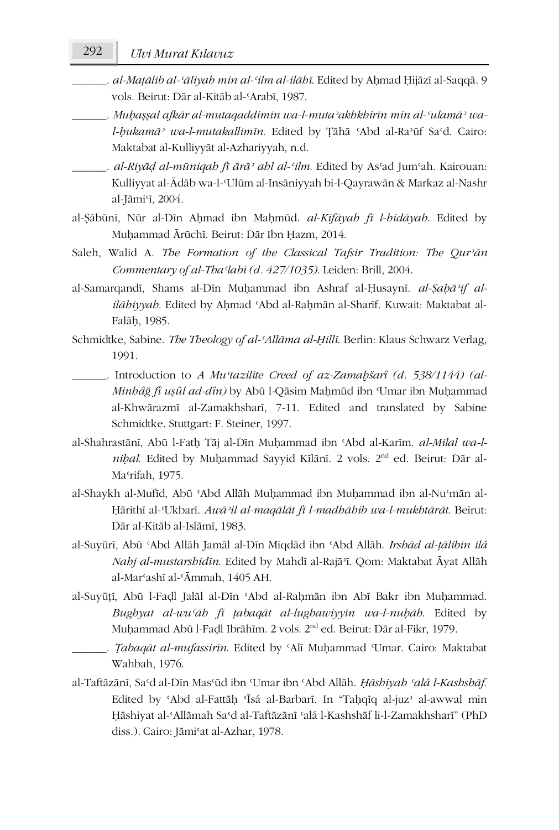## 292 *Ulvi Murat Kılavuz*

- \_\_\_\_\_\_. *al-Maṭālib al-ʿāliyah min al-ʿilm al-ilāhī*. Edited by Aḥmad Ḥijāzī al-Saqqā. 9 vols. Beirut: Dār al-Kitāb al-ʿArabī, 1987.
- \_\_\_\_\_\_. *Muḥaṣṣal afkār al-mutaqaddimīn wa-l-mutaʾakhkhirīn min al-ʿulamāʾ wal-ḥukamāʾ wa-l-mutakallimīn*. Edited by Ṭāhā ʿAbd al-Raʾūf Saʿd. Cairo: Maktabat al-Kulliyyāt al-Azhariyyah, n.d.
- \_\_\_\_\_\_. *al-Riyāḍ al-mūniqah fī ārāʾ ahl al-ʿilm*. Edited by Asʿad Jumʿah. Kairouan: Kulliyyat al-Ādāb wa-l-Ulūm al-Insāniyyah bi-l-Qayrawān & Markaz al-Nashr al-Jāmiʿī, 2004.
- al-Ṣābūnī, Nūr al-Dīn Aḥmad ibn Maḥmūd. *al-Kifāyah fī l-hidāyah*. Edited by Muḥammad Ārūchī. Beirut: Dār Ibn Ḥazm, 2014.
- Saleh, Walid A. *The Formation of the Classical Tafsīr Tradition: The Qurʾān Commentary of al-Thaʿlabī (d. 427/1035)*. Leiden: Brill, 2004.
- al-Samarqandī, Shams al-Dīn Muḥammad ibn Ashraf al-Ḥusaynī. *al-Ṣaḥāʾif alilāhiyyah*. Edited by Aḥmad ʿAbd al-Raḥmān al-Sharīf. Kuwait: Maktabat al-Falāḥ, 1985.
- Schmidtke, Sabine. *The Theology of al-ʿAllāma al-Ḥillī*. Berlin: Klaus Schwarz Verlag, 1991.
- \_\_\_\_\_\_. Introduction to *A Muʿtazilite Creed of az-Zamaḫšarî (d. 538/1144) (al-Minhâğ fî uṣûl ad-dîn)* by Abū l-Qāsim Maḥmūd ibn ʿUmar ibn Muḥammad al-Khwārazmī al-Zamakhsharī, 7-11. Edited and translated by Sabine Schmidtke. Stuttgart: F. Steiner, 1997.
- al-Shahrastānī, Abū l-Fath Tāj al-Dīn Muḥammad ibn 'Abd al-Karīm. *al-Milal wa-lniḥal*. Edited by Muḥammad Sayyid Kīlānī. 2 vols. 2nd ed. Beirut: Dār al-Maʿrifah, 1975.
- al-Shaykh al-Mufīd, Abū ʿAbd Allāh Muḥammad ibn Muḥammad ibn al-Nuʿmān al-Ḥārithī al-ʿUkbarī. *Awāʾil al-maqālāt fī l-madhāhib wa-l-mukhtārāt*. Beirut: Dār al-Kitāb al-Islāmī, 1983.
- al-Suyūrī, Abū ʿAbd Allāh Jamāl al-Dīn Miqdād ibn ʿAbd Allāh. *Irshād al-ṭālibīn ilá Nahj al-mustarshidīn*. Edited by Mahdī al-Rajāʾī. Qom: Maktabat Āyat Allāh al-Marʿashī al-ʿĀmmah, 1405 AH.
- al-Suyūṭī, Abū l-Faḍl Jalāl al-Dīn ʿAbd al-Raḥmān ibn Abī Bakr ibn Muḥammad. *Bughyat al-wuʿāh fī ṭabaqāt al-lughawiyyīn wa-l-nuḥāh*. Edited by Muhammad Abū l-Fadl Ibrāhīm. 2 vols. 2<sup>nd</sup> ed. Beirut: Dār al-Fikr, 1979.
	- \_\_\_\_\_\_. *Ṭabaqāt al-mufassirīn*. Edited by ʿAlī Muḥammad ʿUmar. Cairo: Maktabat Wahbah, 1976.
- al-Taftāzānī, Saʿd al-Dīn Masʿūd ibn ʿUmar ibn ʿAbd Allāh. *Ḥāshiyah ʿalá l-Kashshāf*. Edited by ʿAbd al-Fattāḥ ʿĪsá al-Barbarī. In "Taḥqīq al-juzʾ al-awwal min Ḥāshiyat al-ʿAllāmah Saʿd al-Taftāzānī ʿalá l-Kashshāf li-l-Zamakhsharī" (PhD diss.). Cairo: Jāmiʿat al-Azhar, 1978.